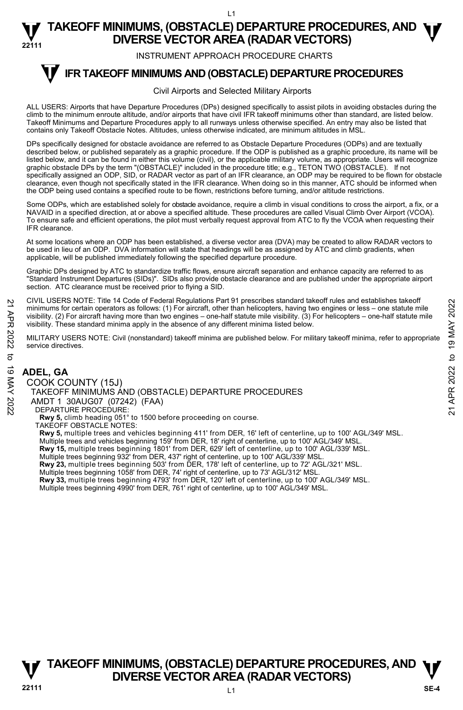INSTRUMENT APPROACH PROCEDURE CHARTS

#### **IFR TAKEOFF MINIMUMS AND (OBSTACLE) DEPARTURE PROCEDURES T**

### Civil Airports and Selected Military Airports

ALL USERS: Airports that have Departure Procedures (DPs) designed specifically to assist pilots in avoiding obstacles during the climb to the minimum enroute altitude, and/or airports that have civil IFR takeoff minimums other than standard, are listed below. Takeoff Minimums and Departure Procedures apply to all runways unless otherwise specified. An entry may also be listed that contains only Takeoff Obstacle Notes. Altitudes, unless otherwise indicated, are minimum altitudes in MSL.

DPs specifically designed for obstacle avoidance are referred to as Obstacle Departure Procedures (ODPs) and are textually described below, or published separately as a graphic procedure. If the ODP is published as a graphic procedure, its name will be listed below, and it can be found in either this volume (civil), or the applicable military volume, as appropriate. Users will recognize graphic obstacle DPs by the term "(OBSTACLE)" included in the procedure title; e.g., TETON TWO (OBSTACLE). If not specifically assigned an ODP, SID, or RADAR vector as part of an IFR clearance, an ODP may be required to be flown for obstacle clearance, even though not specifically stated in the IFR clearance. When doing so in this manner, ATC should be informed when the ODP being used contains a specified route to be flown, restrictions before turning, and/or altitude restrictions.

Some ODPs, which are established solely for obstacle avoidance, require a climb in visual conditions to cross the airport, a fix, or a NAVAID in a specified direction, at or above a specified altitude. These procedures are called Visual Climb Over Airport (VCOA). To ensure safe and efficient operations, the pilot must verbally request approval from ATC to fly the VCOA when requesting their IFR clearance.

At some locations where an ODP has been established, a diverse vector area (DVA) may be created to allow RADAR vectors to be used in lieu of an ODP. DVA information will state that headings will be as assigned by ATC and climb gradients, when applicable, will be published immediately following the specified departure procedure.

Graphic DPs designed by ATC to standardize traffic flows, ensure aircraft separation and enhance capacity are referred to as "Standard Instrument Departures (SIDs)". SIDs also provide obstacle clearance and are published under the appropriate airport section. ATC clearance must be received prior to flying a SID.

CIVIL USERS NOTE: Title 14 Code of Federal Regulations Part 91 prescribes standard takeoff rules and establishes takeoff minimums for certain operators as follows: (1) For aircraft, other than helicopters, having two engines or less – one statute mile visibility. (2) For aircraft having more than two engines – one-half statute mile visibility. (3) For helicopters – one-half statute mile visibility. These standard minima apply in the absence of any different minima listed below. 21 CIVIL USERS NOTE: Thire 14 Code or Federal regulations Part 91 prescinces standard takeoff minimums for certain operators as follows: (1) For aircraft, due than helicopters, having two engines or less – one-half statu

MILITARY USERS NOTE: Civil (nonstandard) takeoff minima are published below. For military takeoff minima, refer to appropriate service directives.

### **ADEL, GA**

COOK COUNTY (15J) TAKEOFF MINIMUMS AND (OBSTACLE) DEPARTURE PROCEDURES AMDT 1 30AUG07 (07242) (FAA) DEPARTURE PROCEDURE: **Rwy 5,** climb heading 051° to 1500 before proceeding on course. TAKEOFF OBSTACLE NOTES: **Rwy 5,** multiple trees and vehicles beginning 411' from DER, 16' left of centerline, up to 100' AGL/349' MSL. Multiple trees and vehicles beginning 159' from DER, 18' right of centerline, up to 100' AGL/349' MSL.

**Rwy 15,** multiple trees beginning 1801' from DER, 629' left of centerline, up to 100' AGL/339' MSL.<br>Multiple trees beginning 932' from DER, 437' right of centerline, up to 100' AGL/339' MSL.

**Rwy 23,** multiple trees beginning 503' from DER, 178' left of centerline, up to 72' AGL/321' MSL.

Multiple trees beginning 1058' from DER, 74' right of centerline, up to 73' AGL/312' MSL.<br>**Rwy 33,** multiple trees beginning 4793' from DER, 120' left of centerline, up to 100' AGL/349' MSL.

Multiple trees beginning 4990' from DER, 761' right of centerline, up to 100' AGL/349' MSL.

# **TAKEOFF MINIMUMS, (OBSTACLE) DEPARTURE PROCEDURES, AND**  $\Psi$ **<br>DIVERSE VECTOR AREA (RADAR VECTORS) V** DIVERSE VECTOR AREA (RADAR VECTORS) V<br>22111 SE-4

 $\overline{11}$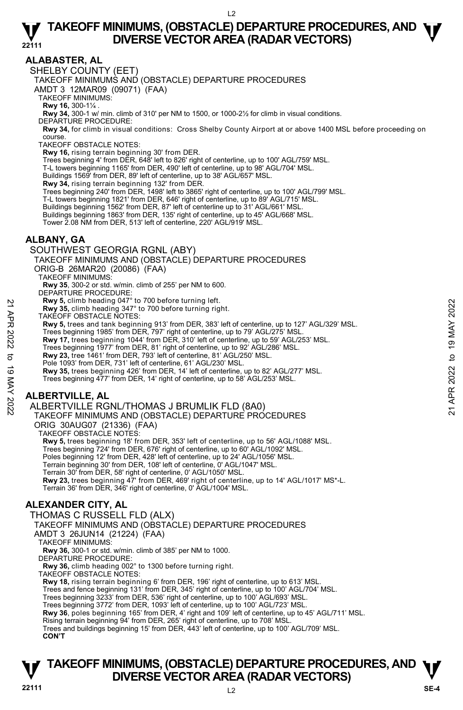### **ALABASTER, AL**

SHELBY COUNTY (EET)

TAKEOFF MINIMUMS AND (OBSTACLE) DEPARTURE PROCEDURES

AMDT 3 12MAR09 (09071) (FAA)

TAKEOFF MINIMUMS:

**Rwy 16,** 300-1¼ .<br>**Rwy 34,** 300-1 w/ min. climb of 310' per NM to 1500, or 1000-2½ for climb in visual conditions.

DEPARTURE PROCEDURE:

**Rwy 34,** for climb in visual conditions: Cross Shelby County Airport at or above 1400 MSL before proceeding on course.

TAKEOFF OBSTACLE NOTES:

**Rwy 16,** rising terrain beginning 30' from DER.

Trees beginning 4' from DER, 648' left to 826' right of centerline, up to 100' AGL/759' MSL.

T-L towers beginning 1165' from DER, 490' left of centerline, up to 98' AGL/704' MSL.

Buildings 1569' from DER, 89' left of centerline, up to 38' AGL/657' MSL.

**Rwy 34,** rising terrain beginning 132' from DER.<br>Trees beginning 240' from DER, 1498' left to 3865' right of centerline, up to 100' AGL/799' MSL.

T-L towers beginning 1821' from DER, 646' right of centerline, up to 89' AGL/715' MSL.

Buildings beginning 1562' from DER, 87' left of centerline up to 31' AGL/661' MSL.

Buildings beginning 1863' from DER, 135' right of centerline, up to 45' AGL/668' MSL. Tower 2.08 NM from DER, 513' left of centerline, 220' AGL/919' MSL.

### **ALBANY, GA**

SOUTHWEST GEORGIA RGNL (ABY)

TAKEOFF MINIMUMS AND (OBSTACLE) DEPARTURE PROCEDURES

ORIG-B 26MAR20 (20086) (FAA)

TAKEOFF MINIMUMS:

**Rwy 35**, 300-2 or std. w/min. climb of 255' per NM to 600.

DEPARTURE PROCEDURE

**Rwy 5,** climb heading 047° to 700 before turning left.

**Rwy 35,** climb heading 347° to 700 before turning right.

TAKEOFF OBSTACLE NOTES:

**Rwy 5,** trees and tank beginning 913' from DER, 383' left of centerline, up to 127' AGL/329' MSL. Ref 2022 to 19 March 2022 to 19 May 3, climb heading 347° to 700 before turning right.<br>
TAKEOFF OBSTACLE NOTES:<br>
THE TAKEOFF OBSTACLE NOTES:<br>
These beginning 1985' from DER, 379' right of centerline, up to 79' AGL/275' MS

Trees beginning 1985' from DER, 797' right of centerline, up to 79' AGL/275' MSL.

**Rwy 17,** trees beginning 1044' from DER, 310' left of centerline, up to 59' AGL/253' MSL.

Trees beginning 1977' from DER, 81' right of centerline, up to 92' AGL/286' MSL.<br>**Rwy 23,** tree 1461' from DER, 793' left of centerline, 81' AGL/250' MSL.

Pole 1093' from DER, 731' left of centerline, 61' AGL/230' MSL.

**Rwy 35,** trees beginning 426' from DER, 14' left of centerline, up to 82' AGL/277' MSL.

Trees beginning 477' from DER, 14' right of centerline, up to 58' AGL/253' MSL.

### **ALBERTVILLE, AL**

ALBERTVILLE RGNL/THOMAS J BRUMLIK FLD (8A0)

TAKEOFF MINIMUMS AND (OBSTACLE) DEPARTURE PROCEDURES

ORIG 30AUG07 (21336) (FAA)

TAKEOFF OBSTACLE NOTES:

**Rwy 5,** trees beginning 18' from DER, 353' left of centerline, up to 56' AGL/1088' MSL. Trees beginning 724' from DER, 676' right of centerline, up to 60' AGL/1092' MSL. Poles beginning 12' from DER, 428' left of centerline, up to 24' AGL/1056' MSL. Terrain beginning 30' from DER, 108' left of centerline, 0' AGL/1047' MSL. Terrain 30' from DER, 58' right of centerline, 0' AGL/1050' MSL. **Rwy 23,** trees beginning 47' from DER, 469' right of centerline, up to 14' AGL/1017' MS\*-L.<br>Terrain 36' from DER, 346' right of centerline, 0' AGL/1004' MSL.

### **ALEXANDER CITY, AL**

THOMAS C RUSSELL FLD (ALX)

TAKEOFF MINIMUMS AND (OBSTACLE) DEPARTURE PROCEDURES

AMDT 3 26JUN14 (21224) (FAA)

TAKEOFF MINIMUMS:

**Rwy 36,** 300-1 or std. w/min. climb of 385' per NM to 1000.

DEPARTURE PROCEDURE:

**Rwy 36,** climb heading 002° to 1300 before turning right.

TAKEOFF OBSTACLE NOTES:

**Rwy 18,** rising terrain beginning 6' from DER, 196' right of centerline, up to 613' MSL.<br>Trees and fence beginning 131' from DER, 345' right of centerline, up to 100' AGL/704' MSL.

Trees beginning 3233' from DER, 536' right of centerline, up to 100' AGL/693' MSL.

Trees beginning 3772' from DER, 1093' left of centerline, up to 100' AGL/723' MSL.

**Rwy 36**, poles beginning 165' from DER, 4' right and 109' left of centerline, up to 45' AGL/711' MSL.<br>Rising terrain beginning 94' from DER, 265' right of centerline, up to 708' MSL.

Trees and buildings beginning 15' from DER, 443' left of centerline, up to 100' AGL/709' MSL. **CON'T**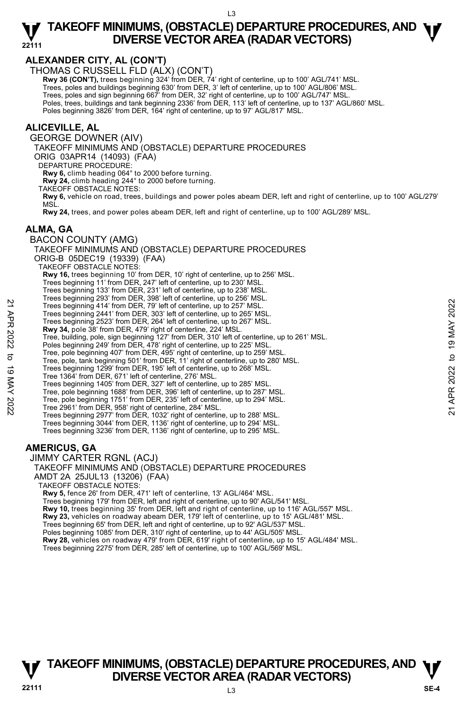### **ALEXANDER CITY, AL (CON'T)**

THOMAS C RUSSELL FLD (ALX) (CON'T)

**Rwy 36 (CON'T),** trees beginning 324' from DER, 74' right of centerline, up to 100' AGL/741' MSL. Trees, poles and buildings beginning 630' from DER, 3' left of centerline, up to 100' AGL/806' MSL. Trees, poles and sign beginning 667' from DER, 32' right of centerline, up to 100' AGL/747' MSL. Poles, trees, buildings and tank beginning 2336' from DER, 113' left of centerline, up to 137' AGL/860' MSL.

Poles beginning 3826' from DER, 164' right of centerline, up to 97' AGL/817' MSL.

### **ALICEVILLE, AL**

GEORGE DOWNER (AIV)

TAKEOFF MINIMUMS AND (OBSTACLE) DEPARTURE PROCEDURES

ORIG 03APR14 (14093) (FAA)

DEPARTURE PROCEDURE

**Rwy 6,** climb heading 064° to 2000 before turning.

**Rwy 24,** climb heading 244° to 2000 before turning.

TAKEOFF OBSTACLE NOTES:

**Rwy 6,** vehicle on road, trees, buildings and power poles abeam DER, left and right of centerline, up to 100' AGL/279' MSL.

**Rwy 24,** trees, and power poles abeam DER, left and right of centerline, up to 100' AGL/289' MSL.

### **ALMA, GA**

BACON COUNTY (AMG) TAKEOFF MINIMUMS AND (OBSTACLE) DEPARTURE PROCEDURES ORIG-B 05DEC19 (19339) (FAA) TAKEOFF OBSTACLE NOTES: **Rwy 16,** trees beginning 10' from DER, 10' right of centerline, up to 256' MSL. Trees beginning 11' from DER, 247' left of centerline, up to 230' MSL. Trees beginning 133' from DER, 231' left of centerline, up to 238' MSL. Trees beginning 293' from DER, 398' left of centerline, up to 256' MSL. Trees beginning 414' from DER, 79' left of centerline, up to 257' MSL. Trees beginning 2441' from DER, 303' left of centerline, up to 265' MSL. Trees beginning 2523' from DER, 264' left of centerline, up to 267' MSL.<br>**Rwy 34,** pole 38' from DER, 479' right of centerline, 224' MSL. Tree, building, pole, sign beginning 127' from DER, 310' left of centerline, up to 261' MSL. Poles beginning 249' from DER, 478' right of centerline, up to 225' MSI Tree, pole beginning 407' from DER, 495' right of centerline, up to 259' MSL. Tree, pole, tank beginning 501' from DER, 11' right of centerline, up to 280' MSL. Trees beginning 1299' from DER, 195' left of centerline, up to 268' MSL. Tree 1364' from DER, 671' left of centerline, 276' MSL. Trees beginning 1405' from DER, 327' left of centerline, up to 285' MSL. Tree, pole beginning 1688' from DER, 396' left of centerline, up to 287' MSL. Tree, pole beginning 1751' from DER, 235' left of centerline, up to 294' MSL. Tree 2961' from DER, 958' right of centerline, 284' MSL. Trees beginning 2977' from DER, 1032' right of centerline, up to 288' MSL. Trees beginning 3044' from DER, 1136' right of centerline, up to 294' MSL. Trees beginning 3236' from DER, 1136' right of centerline, up to 295' MSL. 22 Trees beginning 407 if om DER, 303' left of centerline, up to 257' MSL.<br>
Trees beginning 2441' from DER, 203' left of centerline, up to 265' MSL.<br>
Trees beginning 2523' from DER, 204' left of centerline, up to 267' MSL.

### **AMERICUS, GA**

JIMMY CARTER RGNL (ACJ)

TAKEOFF MINIMUMS AND (OBSTACLE) DEPARTURE PROCEDURES

AMDT 2A 25JUL13 (13206) (FAA)

TAKEOFF OBSTACLE NOTES:

**Rwy 5,** fence 26' from DER, 471' left of centerline, 13' AGL/464' MSL.

Trees beginning 179' from DER, left and right of centerline, up to 90' AGL/541' MSL.

**Rwy 10,** trees beginning 35' from DER, left and right of centerline, up to 116' AGL/557' MSL. **Rwy 23,** vehicles on roadway abeam DER, 179' left of centerline, up to 15' AGL/481' MSL.

Trees beginning 65' from DER, left and right of centerline, up to 92' AGL/537' MSL.

Poles beginning 1085' from DER, 310' right of centerline, up to 44' AGL/505' MSL.

**Rwy 28,** vehicles on roadway 479' from DER, 619' right of centerline, up to 15' AGL/484' MSL.

Trees beginning 2275' from DER, 285' left of centerline, up to 100' AGL/569' MSL.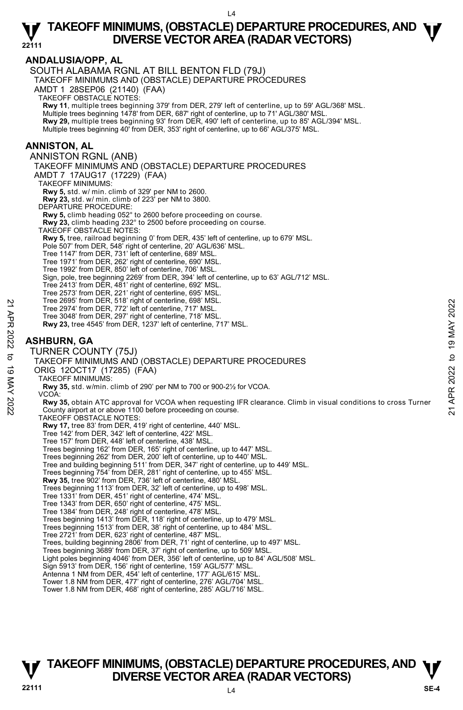**22111 ANDALUSIA/OPP, AL**  SOUTH ALABAMA RGNL AT BILL BENTON FLD (79J) TAKEOFF MINIMUMS AND (OBSTACLE) DEPARTURE PROCEDURES AMDT 1 28SEP06 (21140) (FAA) TAKEOFF OBSTACLE NOTES: **Rwy 11**, multiple trees beginning 379' from DER, 279' left of centerline, up to 59' AGL/368' MSL. Multiple trees beginning 1478' from DER, 687' right of centerline, up to 71' AGL/380' MSL. **Rwy 29,** multiple trees beginning 93' from DER, 490' left of centerline, up to 85' AGL/394' MSL. Multiple trees beginning 40' from DER, 353' right of centerline, up to 66' AGL/375' MSL. **ANNISTON, AL**  ANNISTON RGNL (ANB) TAKEOFF MINIMUMS AND (OBSTACLE) DEPARTURE PROCEDURES AMDT 7 17AUG17 (17229) (FAA) TAKEOFF MINIMUMS: **Rwy 5,** std. w/ min. climb of 329' per NM to 2600. **Rwy 23,** std. w/ min. climb of 223' per NM to 3800. DEPARTURE PROCEDURE: **Rwy 5,** climb heading 052° to 2600 before proceeding on course. **Rwy 23,** climb heading 232° to 2500 before proceeding on course. TAKEOFF OBSTACLE NOTES: **Rwy 5,** tree, railroad beginning 0' from DER, 435' left of centerline, up to 679' MSL. Pole 507' from DER, 548' right of centerline, 20' AGL/636' MSL. Tree 1147' from DER, 731' left of centerline, 689' MSL. Tree 1971' from DER, 262' right of centerline, 690' MSL. Tree 1992' from DER, 850' left of centerline, 706' MSL. Sign, pole, tree beginning 2269' from DER, 394' left of centerline, up to 63' AGL/712' MSL. Tree 2413' from DER, 481' right of centerline, 692' MSL. Tree 2573' from DER, 221' right of centerline, 695' MSL. Tree 2695' from DER, 518' right of centerline, 698' MSL. Tree 2974' from DER, 772' left of centerline, 717' MSL. Tree 3048' from DER, 297' right of centerline, 718' MSL. **Rwy 23,** tree 4545' from DER, 1237' left of centerline, 717' MSL. **ASHBURN, GA**  TURNER COUNTY (75J) TAKEOFF MINIMUMS AND (OBSTACLE) DEPARTURE PROCEDURES ORIG 12OCT17 (17285) (FAA) TAKEOFF MINIMUMS: **Rwy 35,** std. w/min. climb of 290' per NM to 700 or 900-2½ for VCOA. VCOA: **Rwy 35,** obtain ATC approval for VCOA when requesting IFR clearance. Climb in visual conditions to cross Turner County airport at or above 1100 before proceeding on course. TAKEOFF OBSTACLE NOTES: **Rwy 17,** tree 83' from DER, 419' right of centerline, 440' MSL. Tree 142' from DER, 342' left of centerline, 422' MSL. Tree 157' from DER, 448' left of centerline, 438' MSL. Trees beginning 162' from DER, 165' right of centerline, up to 447' MSL. Trees beginning 262' from DER, 200' left of centerline, up to 440' MSL. Tree and building beginning 511' from DER, 347' right of centerline, up to 449' MSL. Trees beginning 754' from DER, 281' right of centerline, up to 455' MSL. **Rwy 35,** tree 902' from DER, 736' left of centerline, 480' MSL. Trees beginning 1113' from DER, 32' left of centerline, up to 498' MSL. Tree 1331' from DER, 451' right of centerline, 474' MSL. Tree 1343' from DER, 650' right of centerline, 475' MSL. Tree 1384' from DER, 248' right of centerline, 478' MSL. Trees beginning 1413' from DER, 118' right of centerline, up to 479' MSL. Trees beginning 1513' from DER, 38' right of centerline, up to 484' MSL. Tree 2721' from DER, 623' right of centerline, 487' MSL. Trees, building beginning 2806' from DER, 71' right of centerline, up to 497' MSL. Trees beginning 3689' from DER, 37' right of centerline, up to 509' MSL. Light poles beginning 4046' from DER, 356' left of centerline, up to 84' AGL/508' MSL. Sign 5913' from DER, 156' right of centerline, 159' AGL/577' MSL. Antenna 1 NM from DER, 454' left of centerline, 177' AGL/615' MSL. Tower 1.8 NM from DER, 477' right of centerline, 276' AGL/704' MSL. Tower 1.8 NM from DER, 468' right of centerline, 285' AGL/716' MSL. Tree 2994' from DER, 712' left of centerline, 898' MSL.<br>
Tree 2994' from DER, 712' left of centerline, 717' MSL.<br>
Tree 3048' from DER, 297' right of centerline, 718' MSL.<br> **ASHBURN, GA<br>
TURNER COUNTY (75J)**<br> **ASHBURN, GA**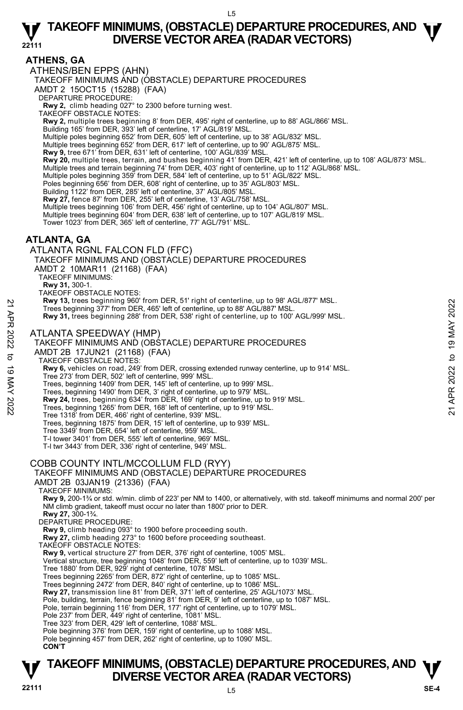### **ATHENS, GA**

ATHENS/BEN EPPS (AHN) TAKEOFF MINIMUMS AND (OBSTACLE) DEPARTURE PROCEDURES AMDT 2 15OCT15 (15288) (FAA) DEPARTURE PROCEDURE: **Rwy 2,** climb heading 027° to 2300 before turning west. TAKEOFF OBSTACLE NOTES: **Rwy 2,** multiple trees beginning 8' from DER, 495' right of centerline, up to 88' AGL/866' MSL. Building 165' from DER, 393' left of centerline, 17' AGL/819' MSL. Multiple poles beginning 652' from DER, 605' left of centerline, up to 38' AGL/832' MSL. Multiple trees beginning 652' from DER, 617' left of centerline, up to 90' AGL/875' MSL. **Rwy 9,** tree 671' from DER, 631' left of centerline, 100' AGL/839' MSL. **Rwy 20,** multiple trees, terrain, and bushes beginning 41' from DER, 421' left of centerline, up to 108' AGL/873' MSL. Multiple trees and terrain beginning 74' from DER, 403' right of centerline, up to 112' AGL/868' MSL. Multiple poles beginning 359' from DER, 584' left of centerline, up to 51' AGL/822' MSL. Poles beginning 656' from DER, 608' right of centerline, up to 35' AGL/803' MSL. Building 1122' from DER, 285' left of centerline, 37' AGL/805' MSL. **Rwy 27,** fence 87' from DER, 255' left of centerline, 13' AGL/758' MSL. Multiple trees beginning 106' from DER, 456' right of centerline, up to 104' AGL/807' MSL. Multiple trees beginning 604' from DER, 638' left of centerline, up to 107' AGL/819' MSL. Tower 1023' from DER, 365' left of centerline, 77' AGL/791' MSL. **ATLANTA, GA**  ATLANTA RGNL FALCON FLD (FFC) TAKEOFF MINIMUMS AND (OBSTACLE) DEPARTURE PROCEDURES AMDT 2 10MAR11 (21168) (FAA) TAKEOFF MINIMUMS: **Rwy 31,** 300-1. TAKEOFF OBSTACLE NOTES: **Rwy 13,** trees beginning 960' from DER, 51' right of centerline, up to 98' AGL/877' MSL. Trees beginning 377' from DER, 465' left of centerline, up to 88' AGL/887' MSL. **Rwy 31,** trees beginning 288' from DER, 538' right of centerline, up to 100' AGL/999' MSL. ATLANTA SPEEDWAY (HMP) TAKEOFF MINIMUMS AND (OBSTACLE) DEPARTURE PROCEDURES AMDT 2B 17JUN21 (21168) (FAA) TAKEOFF OBSTACLE NOTES: **Rwy 6,** vehicles on road, 249' from DER, crossing extended runway centerline, up to 914' MSL. Tree 273' from DER, 502' left of centerline, 999' MSL. Trees, beginning 1409' from DER, 145' left of centerline, up to 999' MSL. Trees, beginning 1490' from DER, 3' right of centerline, up to 979' MSL. **Rwy 24,** trees, beginning 634' from DER, 169' right of centerline, up to 919' MSL. Trees, beginning 1265' from DER, 168' left of centerline, up to 919' MSL. Tree 1318' from DER, 466' right of centerline, 939' MSL. Trees, beginning 1875' from DER, 15' left of centerline, up to 939' MSL. Tree 3349' from DER, 654' left of centerline, 959' MSL. T-l tower 3401' from DER, 555' left of centerline, 969' MSL. T-l twr 3443' from DER, 336' right of centerline, 949' MSL. COBB COUNTY INTL/MCCOLLUM FLD (RYY) TAKEOFF MINIMUMS AND (OBSTACLE) DEPARTURE PROCEDURES AMDT 2B 03JAN19 (21336) (FAA) TAKEOFF MINIMUMS: **Rwy 9,** 200-1¾ or std. w/min. climb of 223' per NM to 1400, or alternatively, with std. takeoff minimums and normal 200' per NM climb gradient, takeoff must occur no later than 1800' prior to DER. **Rwy 27,** 300-1¾. DEPARTURE PROCEDURE: **Rwy 9,** climb heading 093° to 1900 before proceeding south. **Rwy 27,** climb heading 273° to 1600 before proceeding southeast. TAKEOFF OBSTACLE NOTES: **Rwy 9,** vertical structure 27' from DER, 376' right of centerline, 1005' MSL. Vertical structure, tree beginning 1048' from DER, 559' left of centerline, up to 1039' MSL. Tree 1880' from DER, 929' right of centerline, 1078' MSL. Trees beginning 2265' from DER, 872' right of centerline, up to 1085' MSL. Trees beginning 2472' from DER, 840' right of centerline, up to 1086' MSL.<br>**Rwy 27,** transmission line 81' from DER, 371' left of centerline, 25' AGL/1073' MSL.<br>Pole, building, terrain, fence beginning 81' from DER, 9' lef Pole, terrain beginning 116' from DER, 177' right of centerline, up to 1079' MSL. Pole 237' from DER, 449' right of centerline, 1081' MSL. Tree 323' from DER, 429' left of centerline, 1088' MSL. Pole beginning 376' from DER, 159' right of centerline, up to 1088' MSL. Pole beginning 457' from DER, 262' right of centerline, up to 1090' MSL. **CON'T**  21 A Rees beginning 900 Trom DER, 465' left of centerline, up to 98' AGL/897' MSL.<br>
Trees beginning 377' from DER, 465' left of centerline, up to 88' AGL/897' MSL.<br>
Rwy 31, trees beginning 288' from DER, 538' right of cen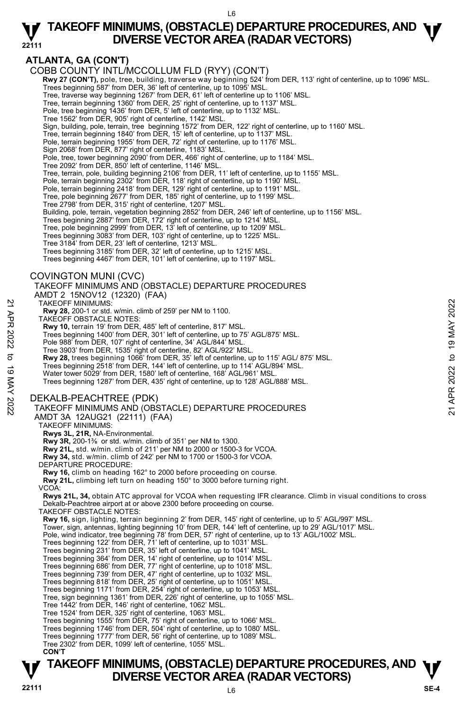#### L6

#### **22111 TAKEOFF MINIMUMS, (OBSTACLE) DEPARTURE PROCEDURES, AND**  $\Psi$ **<br>DIVERSE VECTOR AREA (RADAR VECTORS) DIVERSE VECTOR AREA (RADAR VECTORS)**

### **ATLANTA, GA (CON'T)**

COBB COUNTY INTL/MCCOLLUM FLD (RYY) (CON'T)

**Rwy 27 (CON'T),** pole, tree, building, traverse way beginning 524' from DER, 113' right of centerline, up to 1096' MSL.<br>Trees beginning 587' from DER, 36' left of centerline, up to 1095' MSL.

Tree, traverse way beginning 1267' from DER, 61' left of centerline up to 1106' MSL.

Tree, terrain beginning 1360' from DER, 25' right of centerline, up to 1137' MSL. Pole, tree beginning 1436' from DER, 5' left of centerline, up to 1132' MSL.

Tree 1562' from DER, 905' right of centerline, 1142' MSL.

Sign, building, pole, terrain, tree beginning 1572' from DER, 122' right of centerline, up to 1160' MSL.

Tree, terrain beginning 1840' from DER, 15' left of centerline, up to 1137' MSL. Pole, terrain beginning 1955' from DER, 72' right of centerline, up to 1176' MSL.

Sign 2068' from DER, 877' right of centerline, 1183' MSL.

Pole, tree, tower beginning 2090' from DER, 466' right of centerline, up to 1184' MSL. Tree 2092' from DER, 850' left of centerline, 1146' MSL.

Tree, terrain, pole, building beginning 2106' from DER, 11' left of centerline, up to 1155' MSL.

Pole, terrain beginning 2302' from DER, 118' right of centerline, up to 1190' MSL.

Pole, terrain beginning 2418' from DER, 129' right of centerline, up to 1191' MSL. Tree, pole beginning 2677' from DER, 185' right of centerline, up to 1199' MSL.

Tree 2798' from DER, 315' right of centerline, 1207' MSL.

Building, pole, terrain, vegetation beginning 2852' from DER, 246' left of centerline, up to 1156' MSL.<br>Trees beginning 2887' from DER, 172' right of centerline, up to 1214' MSL.

Tree, pole beginning 2999' from DER, 13' left of centerline, up to 1209' MSL.

Trees beginning 3083' from DER, 103' right of centerline, up to 1225' MSL.

Tree 3184' from DER, 23' left of centerline, 1213' MSL.

Trees beginning 3185' from DER, 32' left of centerline, up to 1215' MSL.

Trees beginning 4467' from DER, 101' left of centerline, up to 1197' MSL.

### COVINGTON MUNI (CVC)

TAKEOFF MINIMUMS AND (OBSTACLE) DEPARTURE PROCEDURES AMDT 2 15NOV12 (12320) (FAA)

TAKEOFF MINIMUMS:

**Rwy 28,** 200-1 or std. w/min. climb of 259' per NM to 1100.

TAKEOFF OBSTACLE NOTES:

**Rwy 10,** terrain 19' from DER, 485' left of centerline, 817' MSL.

Trees beginning 1400' from DER, 301' left of centerline, up to 75' AGL/875' MSL.

Pole 988' from DER, 107' right of centerline, 34' AGL/844' MSL.

Tree 3903' from DER, 1535' right of centerline, 82' AGL/922' MSL.<br>**Rwy 28,** trees beginning 1066' from DER, 35' left of centerline, up to 115' AGL/ 875' MSL.

Trees beginning 2518' from DER, 144' left of centerline, up to 114' AGL/894' MSL.

Water tower 5029' from DER, 1580' left of centerline, 168' AGL/961' MSI

Trees beginning 1287' from DER, 435' right of centerline, up to 128' AGL/888' MSL.

### DEKALB-PEACHTREE (PDK)

# TAKEOFF MINIMUMS AND (OBSTACLE) DEPARTURE PROCEDURES TAKEOFF MINIMUMS:<br>
TWE 202-1 or std. Wmin. climb of 259' per NM to 1100.<br>
TAKEOFF OBSTACLE NOTES:<br>
Trees beginning 1400' from DER, 485' left of centerline, up to 75' AGL/875' MSL.<br>
Trees beginning 1400' from DER, 101' left

AMDT 3A 12AUG21 (22111) (FAA)

TAKEOFF MINIMUMS:

**Rwys 3L, 21R,** NA-Environmental.

**Rwy 3R,** 200-1⅜ or std. w/min. climb of 351' per NM to 1300.

**Rwy 21L,** std. w/min. climb of 211' per NM to 2000 or 1500-3 for VCOA.

 **Rwy 34,** std. w/min. climb of 242' per NM to 1700 or 1500-3 for VCOA.

DEPARTURE PROCEDURE:

**Rwy 16,** climb on heading 162° to 2000 before proceeding on course.

**Rwy 21L,** climbing left turn on heading 150° to 3000 before turning right.

VCOA:

**Rwys 21L, 34,** obtain ATC approval for VCOA when requesting IFR clearance. Climb in visual conditions to cross Dekalb-Peachtree airport at or above 2300 before proceeding on course.

TAKEOFF OBSTACLE NOTES:

**Rwy 16,** sign, lighting, terrain beginning 2' from DER, 145' right of centerline, up to 5' AGL/997' MSL.

Tower, sign, antennas, lighting beginning 10' from DER, 144' left of centerline, up to 29' AGL/1017' MSL.

Pole, wind indicator, tree beginning 78' from DER, 57' right of centerline, up to 13' AGL/1002' MSL.<br>Trees beginning 122' from DER, 71' left of centerline, up to 1031' MSL.

Trees beginning 231' from DER, 35' left of centerline, up to 1041' MSL.

Trees beginning 364' from DER, 14' right of centerline, up to 1014' MSL. Trees beginning 686' from DER, 77' right of centerline, up to 1018' MSL.

Trees beginning 739' from DER, 47' right of centerline, up to 1032' MSL.

Trees beginning 818' from DER, 25' right of centerline, up to 1051' MSL. Trees beginning 1171' from DER, 254' right of centerline, up to 1053' MSL.

Tree, sign beginning 1361' from DER, 226' right of centerline, up to 1055' MSL.

Tree 1442' from DER, 146' right of centerline, 1062' MSL.

Tree 1524' from DER, 325' right of centerline, 1063' MSL.<br>Trees beginning 1555' from DER, 75' right of centerline, up to 1066' MSL.<br>Trees beginning 1746' from DER, 504' right of centerline, up to 1080' MSL.

Trees beginning 1777' from DER, 56' right of centerline, up to 1089' MSL. Tree 2302' from DER, 1099' left of centerline, 1055' MSL.

**CON'T**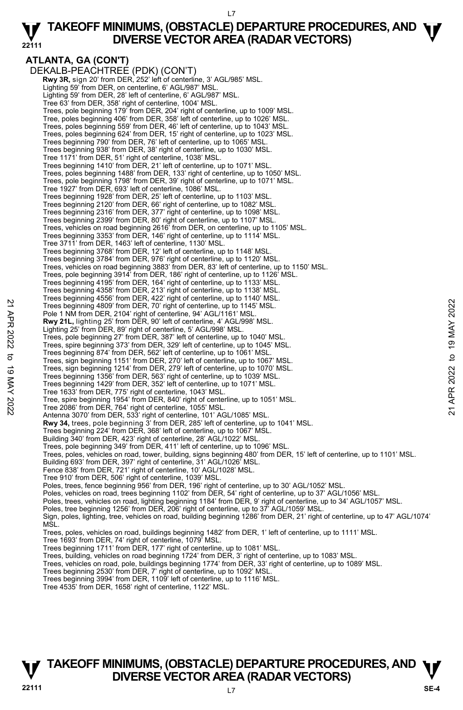#### L7

#### **22111 TAKEOFF MINIMUMS, (OBSTACLE) DEPARTURE PROCEDURES, AND**  $\Psi$ **<br>DIVERSE VECTOR AREA (RADAR VECTORS) DIVERSE VECTOR AREA (RADAR VECTORS)**

**ATLANTA, GA (CON'T)**  DEKALB-PEACHTREE (PDK) (CON'T)  **Rwy 3R,** sign 20' from DER, 252' left of centerline, 3' AGL/985' MSL. Lighting 59' from DER, on centerline, 6' AGL/987' MSL. Lighting 59' from DER, 28' left of centerline, 6' AGL/987' MSL. Tree 63' from DER, 358' right of centerline, 1004' MSL. Trees, pole beginning 179' from DER, 204' right of centerline, up to 1009' MSL. Tree, poles beginning 406' from DER, 358' left of centerline, up to 1026' MSL. Trees, poles beginning 559' from DER, 46' left of centerline, up to 1043' MSL. Trees, poles beginning 624' from DER, 15' right of centerline, up to 1023' MSL.<br>Trees beginning 790' from DER, 76' left of centerline, up to 1065' MSL.<br>Trees beginning 938' from DER, 38' right of centerline, up to 1030' MS Tree 1171' from DER, 51' right of centerline, 1038' MSL. Trees beginning 1410' from DER, 21' left of centerline, up to 1071' MSL. Trees, poles beginning 1488' from DER, 133' right of centerline, up to 1050' MSL. Trees, pole beginning 1798' from DER, 39' right of centerline, up to 1071' MSL. Tree 1927' from DER, 693' left of centerline, 1086' MSL. Trees beginning 1928' from DER, 25' left of centerline, up to 1103' MSL. Trees beginning 2120' from DER, 66' right of centerline, up to 1082' MSL. Trees beginning 2316' from DER, 377' right of centerline, up to 1098' MSL. Trees beginning 2399' from DER, 80' right of centerline, up to 1107' MSL. Trees, vehicles on road beginning 2616' from DER, on centerline, up to 1105' MSL. Trees beginning 3353' from DER, 146' right of centerline, up to 1114' MSL. Tree 3711' from DER, 1463' left of centerline, 1130' MSL. Trees beginning 3768' from DER, 12' left of centerline, up to 1148' MSL. Trees beginning 3784' from DER, 976' right of centerline, up to 1120' MSL. Trees, vehicles on road beginning 3883' from DER, 83' left of centerline, up to 1150' MSL.<br>Trees, pole beginning 3914' from DER, 186' right of centerline, up to 1126' MSL.<br>Trees beginning 4195' from DER, 164' right of cent Trees beginning 4358' from DER, 213' right of centerline, up to 1138' MSL. Trees beginning 4556' from DER, 422' right of centerline, up to 1140' MSL. Trees beginning 4809' from DER, 70' right of centerline, up to 1145' MSL. Pole 1 NM from DER, 2104' right of centerline, 94' AGL/1161' MSL. **Rwy 21L,** lighting 25' from DER, 90' left of centerline, 4' AGL/998' MSL.<br>Lighting 25' from DER, 89' right of centerline, 5' AGL/998' MSL. Trees, pole beginning 27' from DER, 387' left of centerline, up to 1040' MSL. Trees, spire beginning 373' from DER, 329' left of centerline, up to 1045' MSL. Trees beginning 874' from DER, 562' left of centerline, up to 1061' MSL. Trees, sign beginning 1151' from DER, 270' left of centerline, up to 1067' MSL. Trees, sign beginning 1214' from DER, 279' left of centerline, up to 1070' MSL. Trees beginning 1356' from DER, 563' right of centerline, up to 1039' MSL. Trees beginning 1429' from DER, 352' left of centerline, up to 1071' MSL. Tree 1633' from DER, 775' right of centerline, 1043' MSL. Tree, spire beginning 1954' from DER, 840' right of centerline, up to 1051' MSL. Tree 2086' from DER, 764' right of centerline, 1055' MSL. Antenna 3070' from DER, 533' right of centerline, 101' AGL/1085' MSL. **Rwy 34,** trees, pole beginning 3' from DER, 285' left of centerline, up to 1041' MSL.<br>Trees beginning 224' from DER, 368' left of centerline, up to 1067' MSL. Building 340' from DER, 423' right of centerline, 28' AGL/1022' MSL. Trees, pole beginning 349' from DER, 411' left of centerline, up to 1096' MSL. Trees, poles, vehicles on road, tower, building, signs beginning 480' from DER, 15' left of centerline, up to 1101' MSL.<br>Building 693' from DER, 397' right of centerline, 31' AGL/1026' MSL. Fence 838' from DER, 721' right of centerline, 10' AGL/1028' MSL. Tree 910' from DER, 506' right of centerline, 1039' MSL. Poles, trees, fence beginning 956' from DER, 196' right of centerline, up to 30' AGL/1052' MSL. Poles, vehicles on road, trees beginning 1102' from DER, 54' right of centerline, up to 37' AGL/1056' MSL. Poles, trees, vehicles on road, lighting beginning 1184' from DER, 9' right of centerline, up to 34' AGL/1057' MSL. Poles, tree beginning 1256' from DER, 206' right of centerline, up to 37' AGL/1059' MSL. Sign, poles, lighting, tree, vehicles on road, building beginning 1286' from DER, 21' right of centerline, up to 47' AGL/1074' **MSL** Trees, poles, vehicles on road, buildings beginning 1482' from DER, 1' left of centerline, up to 1111' MSL.<br>Tree 1693' from DER, 74' right of centerline, 1079' MSL.<br>Trees beginning 1711' from DER, 177' right of centerline, Trees, building, vehicles on road beginning 1724' from DER, 3' right of centerline, up to 1083' MSL. Trees, vehicles on road, pole, buildings beginning 1774' from DER, 33' right of centerline, up to 1089' MSL.<br>Trees beginning 2530' from DER, 7' right of centerline, up to 1092' MSL. 22 Trees beginning 4809 from DER, 72<sup>1</sup> right of centerline, up to 1145 MSL.<br>
Pole 1 NM from DER, 2104<sup>1</sup> right of centerline, 94<sup>2</sup> AGL/1961<sup>2</sup> MSL.<br>
Pole 1 NM from DER, 2104<sup>1</sup> right of centerline, 94<sup>2</sup> AGL/998<sup>2</sup> MSL.<br>

Trees beginning 3994' from DER, 1109' left of centerline, up to 1116' MSL. Tree 4535' from DER, 1658' right of centerline, 1122' MSL.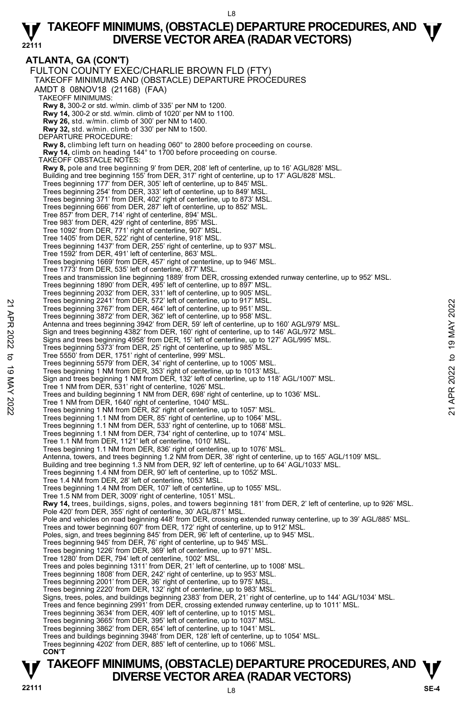**ATLANTA, GA (CON'T)**  FULTON COUNTY EXEC/CHARLIE BROWN FLD (FTY) TAKEOFF MINIMUMS AND (OBSTACLE) DEPARTURE PROCEDURES AMDT 8 08NOV18 (21168) (FAA) TAKEOFF MINIMUMS: **Rwy 8,** 300-2 or std. w/min. climb of 335' per NM to 1200. **Rwy 14,** 300-2 or std. w/min. climb of 1020' per NM to 1100. **Rwy 26,** std. w/min. climb of 300' per NM to 1400. **Rwy 32,** std. w/min. climb of 330' per NM to 1500. DEPARTURE PROCEDURE: **Rwy 8,** climbing left turn on heading 060° to 2800 before proceeding on course. **Rwy 14,** climb on heading 144° to 1700 before proceeding on course. TAKEOFF OBSTACLE NOTES: **Rwy 8,** pole and tree beginning 9' from DER, 208' left of centerline, up to 16' AGL/828' MSL. Building and tree beginning 155' from DER, 317' right of centerline, up to 17' AGL/828' MSL. Trees beginning 177' from DER, 305' left of centerline, up to 845' MSL. Trees beginning 254' from DER, 333' left of centerline, up to 849' MSL. Trees beginning 371' from DER, 402' right of centerline, up to 873' MSL. Trees beginning 666' from DER, 287' left of centerline, up to 852' MSL. Tree 857' from DER, 714' right of centerline, 894' MSL. Tree 983' from DER, 429' right of centerline, 895' MSL. Tree 1092' from DER, 771' right of centerline, 907' MSL. Tree 1405' from DER, 522' right of centerline, 918' MSL. Trees beginning 1437' from DER, 255' right of centerline, up to 937' MSL. Tree 1592' from DER, 491' left of centerline, 863' MSL. Trees beginning 1669' from DER, 457' right of centerline, up to 946' MSL. Tree 1773' from DER, 535' left of centerline, 877' MSL. Trees and transmission line beginning 1889' from DER, crossing extended runway centerline, up to 952' MSL. Trees beginning 1890' from DER, 495' left of centerline, up to 897' MSL. Trees beginning 2032' from DER, 331' left of centerline, up to 905' MSL. Trees beginning 2241' from DER, 572' left of centerline, up to 917' MSL. Trees beginning 3767' from DER, 464' left of centerline, up to 951' MSL. Trees beginning 3872' from DER, 362' left of centerline, up to 958' MSL. Antenna and trees beginning 3942' from DER, 59' left of centerline, up to 160' AGL/979' MSL. Sign and trees beginning 4382' from DER, 160' right of centerline, up to 146' AGL/972' MSL. Signs and trees beginning 4958' from DER, 15' left of centerline, up to 127' AGL/995' MSL. Trees beginning 5373' from DER, 25' right of centerline, up to 985' MSL. Tree 5550' from DER, 1751' right of centerline, 999' MSL. Trees beginning 5579' from DER, 34' right of centerline, up to 1005' MSL. Trees beginning 1 NM from DER, 353' right of centerline, up to 1013' MSL. Sign and trees beginning 1 NM from DER, 132' left of centerline, up to 118' AGL/1007' MSL. Tree 1 NM from DER, 531' right of centerline, 1026' MSL. Trees and building beginning 1 NM from DER, 698' right of centerline, up to 1036' MSL. Tree 1 NM from DER, 1640' right of centerline, 1040' MSL. Trees beginning 1 NM from DER, 82' right of centerline, up to 1057' MSL. Trees beginning 1.1 NM from DER, 85' right of centerline, up to 1064' MSL. Trees beginning 1.1 NM from DER, 533' right of centerline, up to 1068' MSL. Trees beginning 1.1 NM from DER, 734' right of centerline, up to 1074' MSL. Tree 1.1 NM from DER, 1121' left of centerline, 1010' MSL. Trees beginning 1.1 NM from DER, 836' right of centerline, up to 1076' MSL. Antenna, towers, and trees beginning 1.2 NM from DER, 38' right of centerline, up to 165' AGL/1109' MSL. Building and tree beginning 1.3 NM from DER, 92' left of centerline, up to 64' AGL/1033' MSL. Trees beginning 1.4 NM from DER, 90' left of centerline, up to 1052' MSL. Tree 1.4 NM from DER, 28' left of centerline, 1053' MSL. Trees beginning 1.4 NM from DER, 107' left of centerline, up to 1055' MSL. Tree 1.5 NM from DER, 3009' right of centerline, 1051' MSL. **Rwy 14,** trees, buildings, signs, poles, and towers beginning 181' from DER, 2' left of centerline, up to 926' MSL.<br>Pole 420' from DER, 355' right of centerline, 30' AGL/871' MSL. Pole and vehicles on road beginning 448' from DER, crossing extended runway centerline, up to 39' AGL/885' MSL. Trees and tower beginning 607' from DER, 172' right of centerline, up to 912' MSL. Poles, sign, and trees beginning 845' from DER, 96' left of centerline, up to 945' MSL. Trees beginning 945' from DER, 76' right of centerline, up to 945' MSL. Trees beginning 1226' from DER, 369' left of centerline, up to 971' MSL. Tree 1280' from DER, 794' left of centerline, 1002' MSL. Trees and poles beginning 1311' from DER, 21' left of centerline, up to 1008' MSL. Trees beginning 1808' from DER, 242' right of centerline, up to 953' MSL. Trees beginning 2001' from DER, 36' right of centerline, up to 975' MSL. Trees beginning 2220' from DER, 132' right of centerline, up to 983' MSL. Signs, trees, poles, and buildings beginning 2383' from DER, 21' right of centerline, up to 144' AGL/1034' MSL.<br>Trees and fence beginning 2991' from DER, crossing extended runway centerline, up to 1011' MSL. Trees beginning 3634' from DER, 409' left of centerline, up to 1015' MSL. Trees beginning 3665' from DER, 395' left of centerline, up to 1037' MSL. Trees beginning 3862' from DER, 654' left of centerline, up to 1041' MSL. Trees and buildings beginning 3948' from DER, 128' left of centerline, up to 1054' MSL. Trees beginning 4202' from DER, 885' left of centerline, up to 1066' MSL.  **CON'T** Trees beginning 2411 from DER, 372 left of centerline, up to 917 MSL.<br>
Trees beginning 3767' from DER, 362' left of centerline, up to 958' MSL.<br>
Trees beginning 3872' from DER, 362' left of centerline, up to 160' AGL/979'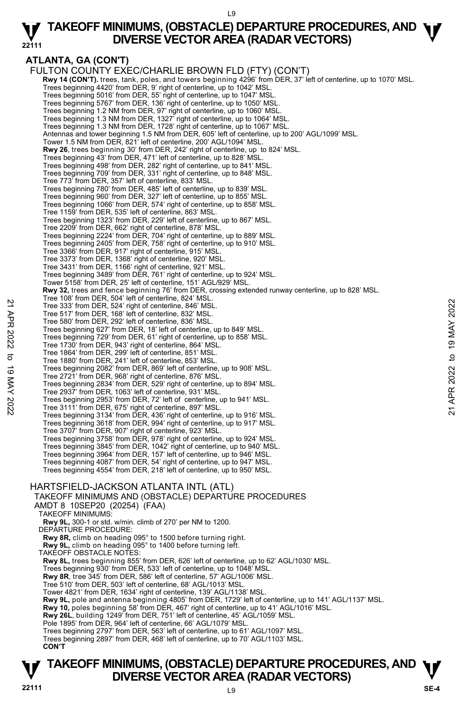#### L9

#### **22111 TAKEOFF MINIMUMS, (OBSTACLE) DEPARTURE PROCEDURES, AND**  $\Psi$ **<br>DIVERSE VECTOR AREA (RADAR VECTORS) DIVERSE VECTOR AREA (RADAR VECTORS)**

### **ATLANTA, GA (CON'T)**

FULTON COUNTY EXEC/CHARLIE BROWN FLD (FTY) (CON'T) **Rwy 14 (CON'T).** trees, tank, poles, and towers beginning 4296' from DER, 37' left of centerline, up to 1070' MSL. Trees beginning 4420' from DER, 9' right of centerline, up to 1042' MSL. Trees beginning 5016' from DER, 55' right of centerline, up to 1047' MSL.<br>Trees beginning 5767' from DER, 136' right of centerline, up to 1050' MSL.<br>Trees beginning 1.2 NM from DER, 97' right of centerline, up to 1060' MSL Trees beginning 1.3 NM from DER, 1327' right of centerline, up to 1064' MSL. Trees beginning 1.3 NM from DER, 1728' right of centerline, up to 1067' MSL. Antennas and tower beginning 1.5 NM from DER, 605' left of centerline, up to 200' AGL/1099' MSL. Tower 1.5 NM from DER, 821' left of centerline, 200' AGL/1094' MSL. **Rwy 26**, trees beginning 30' from DER, 242' right of centerline, up to 824' MSL. Trees beginning 43' from DER, 471' left of centerline, up to 828' MSL. Trees beginning 498' from DER, 282' right of centerline, up to 841' MSL. Trees beginning 709' from DER, 331' right of centerline, up to 848' MSL. Tree 773' from DER, 357' left of centerline, 833' MSL. Trees beginning 780' from DER, 485' left of centerline, up to 839' MSL. Trees beginning 960' from DER, 327' left of centerline, up to 855' MSL. Trees beginning 1066' from DER, 574' right of centerline, up to 858' MSL. Tree 1159' from DER, 535' left of centerline, 863' MSL. Trees beginning 1323' from DER, 229' left of centerline, up to 867' MSL. Tree 2209' from DER, 662' right of centerline, 878' MSL. Trees beginning 2224' from DER, 704' right of centerline, up to 889' MSL. Trees beginning 2405' from DER, 758' right of centerline, up to 910' MSL. Tree 3366' from DER, 917' right of centerline, 915' MSL. Tree 3373' from DER, 1368' right of centerline, 920' MSL. Tree 3431' from DER, 1166' right of centerline, 921' MSL. Trees beginning 3489' from DER, 761' right of centerline, up to 924' MSL. Tower 5158' from DER, 25' left of centerline, 151' AGL/929' MSL. **Rwy 32,** trees and fence beginning 76' from DER, crossing extended runway centerline, up to 828' MSL. Tree 108' from DER, 504' left of centerline, 824' MSL. Tree 333' from DER, 524' right of centerline, 846' MSL. Tree 517' from DER, 168' left of centerline, 832' MSL. Tree 580' from DER, 292' left of centerline, 836' MSL. Trees beginning 627' from DER, 18' left of centerline, up to 849' MSL. Trees beginning 729' from DER, 61' right of centerline, up to 858' MSL. Tree 1730' from DER, 943' right of centerline, 864' MSL. Tree 1864' from DER, 299' left of centerline, 851' MSL. Tree 1880' from DER, 241' left of centerline, 853' MSL. Trees beginning 2082' from DER, 869' left of centerline, up to 908' MSL. Tree 2721' from DER, 968' right of centerline, 876' MSL. Trees beginning 2834' from DER, 529' right of centerline, up to 894' MSL. Tree 2937' from DER, 1063' left of centerline, 931' MSL. Trees beginning 2953' from DER, 72' left of centerline, up to 941' MSL. Tree 3111' from DER, 675' right of centerline, 897' MSL. Trees beginning 3134' from DER, 436' right of centerline, up to 916' MSL. Trees beginning 3618' from DER, 994' right of centerline, up to 917' MSL. Tree 3707' from DER, 907' right of centerline, 923' MSL. Trees beginning 3758' from DER, 978' right of centerline, up to 924' MSL. Trees beginning 3845' from DER, 1042' right of centerline, up to 940' MSL. Trees beginning 3964' from DER, 157' left of centerline, up to 946' MSL. Trees beginning 4087' from DER, 54' right of centerline, up to 947' MSL. Trees beginning 4554' from DER, 218' left of centerline, up to 950' MSL. HARTSFIELD-JACKSON ATLANTA INTL (ATL) TAKEOFF MINIMUMS AND (OBSTACLE) DEPARTURE PROCEDURES AMDT 8 10SEP20 (20254) (FAA) TAKEOFF MINIMUMS: **Rwy 9L,** 300-1 or std. w/min. climb of 270' per NM to 1200. DEPARTURE PROCEDURE: **Rwy 8R,** climb on heading 095° to 1500 before turning right. **Rwy 9L,** climb on heading 095° to 1400 before turning left. TAKEOFF OBSTACLE NOTES: **Rwy 8L,** trees beginning 855' from DER, 626' left of centerline, up to 62' AGL/1030' MSL. Trees beginning 930' from DER, 533' left of centerline, up to 1048' MSL. **Rwy 8R**, tree 345' from DER, 586' left of centerline, 57' AGL/1006' MSL. Tree 510' from DER, 503' left of centerline, 68' AGL/1013' MSL. Tower 4821' from DER, 1634' right of centerline, 139' AGL/1138' MSL. **Rwy 9L,** pole and antenna beginning 4805' from DER, 1729' left of centerline, up to 141' AGL/1137' MSL. **Rwy 10,** poles beginning 58' from DER, 467' right of centerline, up to 41' AGL/1016' MSL. **Rwy 26L**, building 1249' from DER, 751' left of centerline, 45' AGL/1059' MSL.<br>Pole 1895' from DER, 964' left of centerline, 66' AGL/1079' MSL. Trees beginning 2797' from DER, 563' left of centerline, up to 61' AGL/1097' MSL. Trees beginning 2897' from DER, 468' left of centerline, up to 70' AGL/1103' MSL. **CON'T**  22 Tree 333' from DER, 524' tight of centerline, 846' MSL.<br>
Tree 333' from DER, 1924' tight of centerline, 846' MSL.<br>
Tree 580' from DER, 292' left of centerline, 836' MSL.<br>
Trees beginning 627' from DER, 61' right of cen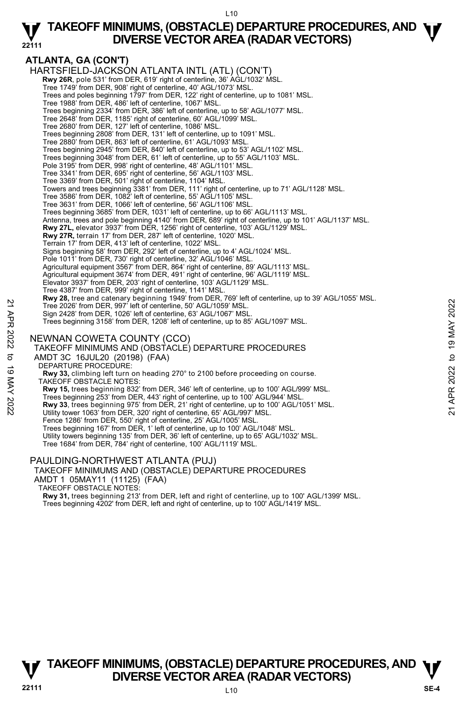#### L10

### **22111 TAKEOFF MINIMUMS, (OBSTACLE) DEPARTURE PROCEDURES, AND**  $\Psi$ **<br>DIVERSE VECTOR AREA (RADAR VECTORS) DIVERSE VECTOR AREA (RADAR VECTORS)**

#### **ATLANTA, GA (CON'T)**  HARTSFIELD-JACKSON ATLANTA INTL (ATL) (CON'T)  **Rwy 26R**, pole 531' from DER, 619' right of centerline, 36' AGL/1032' MSL. Tree 1749' from DER, 908' right of centerline, 40' AGL/1073' MSL. Trees and poles beginning 1797' from DER, 122' right of centerline, up to 1081' MSL. Tree 1988' from DER, 486' left of centerline, 1067' MSL. Trees beginning 2334' from DER, 386' left of centerline, up to 58' AGL/1077' MSL. Tree 2648' from DER, 1185' right of centerline, 60' AGL/1099' MSL. Tree 2680' from DER, 127' left of centerline, 1086' MSL. Trees beginning 2808' from DER, 131' left of centerline, up to 1091' MSL. Tree 2880' from DER, 863' left of centerline, 61' AGL/1093' MSL. Trees beginning 2945' from DER, 840' left of centerline, up to 53' AGL/1102' MSL. Trees beginning 3048' from DER, 61' left of centerline, up to 55' AGL/1103' MSL. Pole 3195' from DER, 998' right of centerline, 48' AGL/1101' MSL. Tree 3341' from DER, 695' right of centerline, 56' AGL/1103' MSL. Tree 3369' from DER, 501' right of centerline, 1104' MSL. Towers and trees beginning 3381' from DER, 111' right of centerline, up to 71' AGL/1128' MSL.<br>Tree 3586' from DER, 1082' left of centerline, 55' AGL/1105' MSL. Tree 3631' from DER, 1066' left of centerline, 56' AGL/1106' MSL. Trees beginning 3685' from DER, 1031' left of centerline, up to 66' AGL/1113' MSL.<br>Antenna, trees and pole beginning 4140' from DER, 689' right of centerline, up to 101' AGL/1137' MSL. **Rwy 27L,** elevator 3937' from DER, 1256' right of centerline, 103' AGL/1129' MSL. **Rwy 27R,** terrain 17' from DER, 287' left of centerline, 1020' MSL. Terrain 17' from DER, 413' left of centerline, 1022' MSL. Signs beginning 58' from DER, 292' left of centerline, up to 4' AGL/1024' MSL. Pole 1011' from DER, 730' right of centerline, 32' AGL/1046' MSL. Agricultural equipment 3567' from DER, 864' right of centerline, 89' AGL/1113' MSL.<br>Agricultural equipment 3674' from DER, 491' right of centerline, 96' AGL/1119' MSL. Elevator 3937' from DER, 203' right of centerline, 103' AGL/1129' MSL. Tree 4387' from DER, 999' right of centerline, 1141' MSL. **Rwy 28,** tree and catenary beginning 1949' from DER, 769' left of centerline, up to 39' AGL/1055' MSL. Tree 2026' from DER, 997' left of centerline, 50' AGL/1059' MSL. Sign 2428' from DER, 1026' left of centerline, 63' AGL/1067' MSL. Trees beginning 3158' from DER, 1208' left of centerline, up to 85' AGL/1097' MSL. NEWNAN COWETA COUNTY (CCO) TAKEOFF MINIMUMS AND (OBSTACLE) DEPARTURE PROCEDURES AMDT 3C 16JUL20 (20198) (FAA) DEPARTURE PROCEDURE: **Rwy 33,** climbing left turn on heading 270° to 2100 before proceeding on course. TAKEOFF OBSTACLE NOTES: **Rwy 15,** trees beginning 832' from DER, 346' left of centerline, up to 100' AGL/999' MSL. Trees beginning 253' from DER, 443' right of centerline, up to 100' AGL/944' MSL. **Rwy 33**, trees beginning 975' from DER, 21' right of centerline, up to 100' AGL/1051' MSL. Utility tower 1063' from DER, 320' right of centerline, 65' AGL/997' MSL. Fence 1286' from DER, 550' right of centerline, 25' AGL/1005' MSL. Trees beginning 167' from DER, 1' left of centerline, up to 100' AGL/1048' MSL. Utility towers beginning 135' from DER, 36' left of centerline, up to 65' AGL/1032' MSL. Tree 1684' from DER, 784' right of centerline, 100' AGL/1119' MSL. PAULDING-NORTHWEST ATLANTA (PUJ) Tree 2026' from DER, 997' left of centerline, 60' AGL/1059' MSL.<br>
Tree 2026' from DER, 997' left of centerline, 63' AGL/1067' MSL.<br>
Trees beginning 3158' from DER, 1208' left of centerline, up to 85' AGL/1097' MSL.<br>
Trees

TAKEOFF MINIMUMS AND (OBSTACLE) DEPARTURE PROCEDURES

AMDT 1 05MAY11 (11125) (FAA)

TAKEOFF OBSTACLE NOTES:

**Rwy 31,** trees beginning 213' from DER, left and right of centerline, up to 100' AGL/1399' MSL. Trees beginning 4202' from DER, left and right of centerline, up to 100' AGL/1419' MSL.

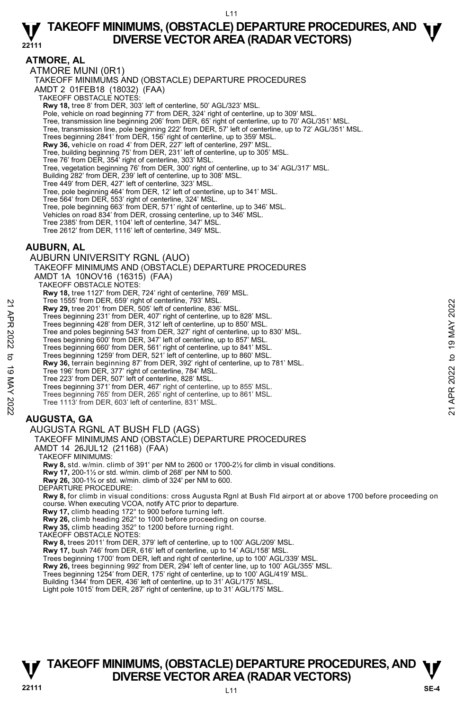**ATMORE, AL** 

ATMORE MUNI (0R1) TAKEOFF MINIMUMS AND (OBSTACLE) DEPARTURE PROCEDURES AMDT 2 01FEB18 (18032) (FAA) TAKEOFF OBSTACLE NOTES: **Rwy 18,** tree 8' from DER, 303' left of centerline, 50' AGL/323' MSL.

Pole, vehicle on road beginning 77' from DER, 324' right of centerline, up to 309' MSL.

Tree, transmission line beginning 206' from DER, 65' right of centerline, up to 70' AGL/351' MSL.

Tree, transmission line, pole beginning 222' from DER, 57' left of centerline, up to 72' AGL/351' MSL.

Trees beginning 2841' from DER, 156' right of centerline, up to 359' MSL. **Rwy 36,** vehicle on road 4' from DER, 227' left of centerline, 297' MSL.

Tree, building beginning 75' from DER, 231' left of centerline, up to 305' MSL.

Tree 76' from DER, 354' right of centerline, 303' MSL.

Tree, vegetation beginning 76' from DER, 300' right of centerline, up to 34' AGL/317' MSL.

Building 282' from DER, 239' left of centerline, up to 308' MSL.

Tree 449' from DER, 427' left of centerline, 323' MSL. Tree, pole beginning 464' from DER, 12' left of centerline, up to 341' MSL.

Tree 564' from DER, 553' right of centerline, 324' MSL.

Tree, pole beginning 663' from DER, 571' right of centerline, up to 346' MSL.

Vehicles on road 834' from DER, crossing centerline, up to 346' MSL.

Tree 2385' from DER, 1104' left of centerline, 347' MSL.

Tree 2612' from DER, 1116' left of centerline, 349' MSL.

### **AUBURN, AL**

AUBURN UNIVERSITY RGNL (AUO) TAKEOFF MINIMUMS AND (OBSTACLE) DEPARTURE PROCEDURES AMDT 1A 10NOV16 (16315) (FAA) TAKEOFF OBSTACLE NOTES: **Rwy 18,** tree 1127' from DER, 724' right of centerline, 769' MSL. Tree 1555' from DER, 659' right of centerline, 793' MSL. **Rwy 29,** tree 201' from DER, 505' left of centerline, 836' MSL. Trees beginning 231' from DER, 407' right of centerline, up to 828' MSL. Trees beginning 428' from DER, 312' left of centerline, up to 850' MSL. Tree and poles beginning 543' from DER, 327' right of centerline, up to 830' MSL. Trees beginning 600' from DER, 347' left of centerline, up to 857' MSL. Trees beginning 660' from DER, 561' right of centerline, up to 841' MSL. Trees beginning 1259' from DER, 521' left of centerline, up to 860' MSL. **Rwy 36,** terrain beginning 87' from DER, 392' right of centerline, up to 781' MSL. Tree 196' from DER, 377' right of centerline, 784' MSL. Tree 223' from DER, 507' left of centerline, 828' MSL. Trees beginning 371' from DER, 467' right of centerline, up to 855' MSL. Trees beginning 765' from DER, 265' right of centerline, up to 861' MSL. Tree 1113' from DER, 603' left of centerline, 831' MSL. **AUGUSTA, GA**  AUGUSTA RGNL AT BUSH FLD (AGS) TAKEOFF MINIMUMS AND (OBSTACLE) DEPARTURE PROCEDURES Tree 15b5 from DER, 659 right of centerline, 836' MSL.<br> **21 APR 2021** from DER, 505' left of centerline, up to 820' MSL.<br>
Trees beginning 231' from DER, 407' right of centerline, up to 820' MSL.<br>
Trees beginning 428' from

AMDT 14 26JUL12 (21168) (FAA)

TAKEOFF MINIMUMS:

**Rwy 8,** std. w/min. climb of 391' per NM to 2600 or 1700-2½ for climb in visual conditions.

**Rwy 17,** 200-1½ or std. w/min. climb of 268' per NM to 500.

**Rwy 26,** 300-1¾ or std. w/min. climb of 324' per NM to 600.

DEPARTURE PROCEDURE:

**Rwy 8,** for climb in visual conditions: cross Augusta Rgnl at Bush Fld airport at or above 1700 before proceeding on course. When executing VCOA, notify ATC prior to departure.

**Rwy 17,** climb heading 172° to 900 before turning left. **Rwy 26,** climb heading 262° to 1000 before proceeding on course.

**Rwy 35,** climb heading 352° to 1200 before turning right.

TAKEOFF OBSTACLE NOTES:

**Rwy 8,** trees 2011' from DER, 379' left of centerline, up to 100' AGL/209' MSL.

**Rwy 17,** bush 746' from DER, 616' left of centerline, up to 14' AGL/158' MSL.

Trees beginning 1700' from DER, left and right of centerline, up to 100' AGL/339' MSL. **Rwy 26,** trees beginning 992' from DER, 294' left of center line, up to 100' AGL/355' MSL.

Trees beginning 1254' from DER, 175' right of centerline, up to 100' AGL/419' MSL.

Building 1344' from DER, 436' left of centerline, up to 31' AGL/175' MSL. Light pole 1015' from DER, 287' right of centerline, up to 31' AGL/175' MSL.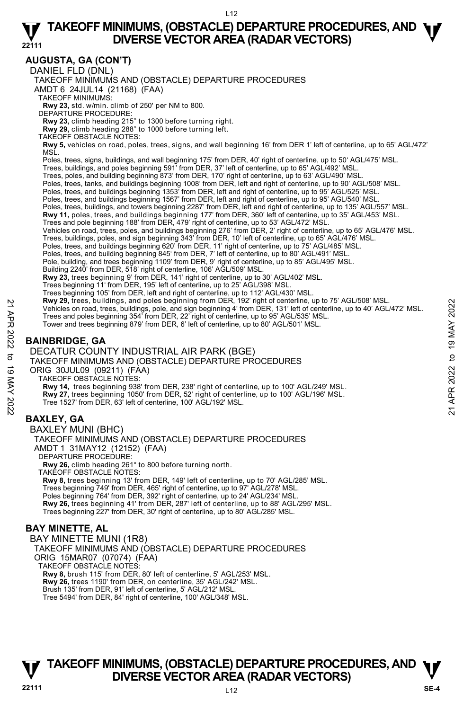### **AUGUSTA, GA (CON'T)**

DANIEL FLD (DNL)

TAKEOFF MINIMUMS AND (OBSTACLE) DEPARTURE PROCEDURES

AMDT 6 24JUL14 (21168) (FAA)

TAKEOFF MINIMUMS:

**Rwy 23,** std. w/min. climb of 250' per NM to 800. DEPARTURE PROCEDURE:

**Rwy 23,** climb heading 215° to 1300 before turning right. **Rwy 29,** climb heading 288° to 1000 before turning left.

TAKEOFF OBSTACLE NOTES:

**Rwy 5,** vehicles on road, poles, trees, signs, and wall beginning 16' from DER 1' left of centerline, up to 65' AGL/472' MSL.

Poles, trees, signs, buildings, and wall beginning 175' from DER, 40' right of centerline, up to 50' AGL/475' MSL.<br>Trees, buildings, and poles beginning 591' from DER, 37' left of centerline, up to 65' AGL/492' MSL.

- 
- Trees, poles, and building beginning 873' from DER, 170' right of centerline, up to 63' AGL/490' MSL.
- Poles, trees, tanks, and buildings beginning 1008' from DER, left and right of centerline, up to 90' AGL/508' MSL.<br>Poles, trees, and buildings beginning 1353' from DER, left and right of centerline, up to 95' AGL/525' MSL.
- 
- Poles, trees, and buildings beginning 1567' from DER, left and right of centerline, up to 95' AGL/540' MSL.
- Poles, trees, buildings, and towers beginning 2287' from DER, left and right of centerline, up to 135' AGL/557' MSL.
- **Rwy 11,** poles, trees, and buildings beginning 177' from DER, 360' left of centerline, up to 35' AGL/453' MSL.<br>Trees and pole beginning 188' from DER, 479' right of centerline, up to 53' AGL/472' MSL.
- 
- Vehicles on road, trees, poles, and buildings beginning 276' from DER, 2' right of centerline, up to 65' AGL/476' MSL.
- Trees, buildings, poles, and sign beginning 343' from DER, 10' left of centerline, up to 65' AGL/476' MSL.<br>Poles, trees, and buildings beginning 620' from DER, 11' right of centerline, up to 75' AGL/485' MSL.
- 

Poles, trees, and building beginning 845' from DER, 7' left of centerline, up to 80' AGL/491' MSL.

Pole, building, and trees beginning 1109' from DER, 9' right of centerline, up to 85' AGL/495' MSL.

Building 2240' from DER, 518' right of centerline, 106' AGL/509' MSL.

**Rwy 23,** trees beginning 9' from DER, 141' right of centerline, up to 30' AGL/402' MSL.

Trees beginning 11' from DER, 195' left of centerline, up to 25' AGL/398' MSL.

Trees beginning 105' from DER, left and right of centerline, up to 112' AGL/430' MSL.

- **Rwy 29,** trees, buildings, and poles beginning from DER, 192' right of centerline, up to 75' AGL/508' MSL.
- Vehicles on road, trees, buildings, pole, and sign beginning 4' from DER, 131' left of centerline, up to 40' AGL/472' MSL. Proves a buildings, and poies beginning and prominers, 1992 right of centerline, up to 40' AGL/472' MSL.<br>
Trees and poles beginning 354' from DER, 22' right of centerline, up to 40' AGL/472' MSL.<br>
Trees and poles beginnin
	- Trees and poles beginning 354' from DER, 22' right of centerline, up to 95' AGL/535' MSL.
	- Tower and trees beginning 879' from DER, 6' left of centerline, up to 80' AGL/501' MSL.

### **BAINBRIDGE, GA**

### DECATUR COUNTY INDUSTRIAL AIR PARK (BGE)

TAKEOFF MINIMUMS AND (OBSTACLE) DEPARTURE PROCEDURES

ORIG 30JUL09 (09211) (FAA) TAKEOFF OBSTACLE NOTES:

**Rwy 14,** trees beginning 938' from DER, 238' right of centerline, up to 100' AGL/249' MSL.

**Rwy 27,** trees beginning 1050' from DER, 52' right of centerline, up to 100' AGL/196' MSL.

Tree 1527' from DER, 63' left of centerline, 100' AGL/192' MSL.

### **BAXLEY, GA**

BAXLEY MUNI (BHC) TAKEOFF MINIMUMS AND (OBSTACLE) DEPARTURE PROCEDURES AMDT 1 31MAY12 (12152) (FAA) DEPARTURE PROCEDURE: **Rwy 26,** climb heading 261° to 800 before turning north. TAKEOFF OBSTACLE NOTES: **Rwy 8,** trees beginning 13' from DER, 149' left of centerline, up to 70' AGL/285' MSL. Trees beginning 749' from DER, 465' right of centerline, up to 97' AGL/278' MSL. Poles beginning 764' from DER, 392' right of centerline, up to 24' AGL/234' MSL. **Rwy 26,** trees beginning 41' from DER, 287' left of centerline, up to 88' AGL/295' MSL. Trees beginning 227' from DER, 30' right of centerline, up to 80' AGL/285' MSL.

### **BAY MINETTE, AL**

BAY MINETTE MUNI (1R8) TAKEOFF MINIMUMS AND (OBSTACLE) DEPARTURE PROCEDURES ORIG 15MAR07 (07074) (FAA) TAKEOFF OBSTACLE NOTES: **Rwy 8,** brush 115' from DER, 80' left of centerline, 5' AGL/253' MSL. **Rwy 26,** trees 1190' from DER, on centerline, 35' AGL/242' MSL. Brush 135' from DER, 91' left of centerline, 5' AGL/212' MSL. Tree 5494' from DER, 84' right of centerline, 100' AGL/348' MSL.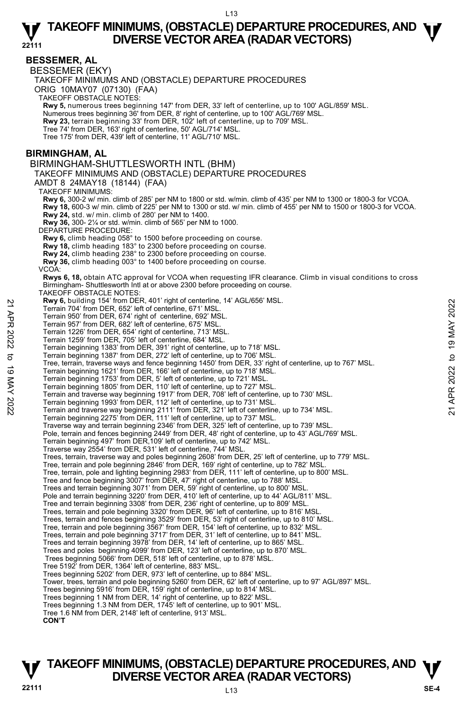**22111** 

### **BESSEMER, AL**

BESSEMER (EKY)

TAKEOFF MINIMUMS AND (OBSTACLE) DEPARTURE PROCEDURES

ORIG 10MAY07 (07130) (FAA)

TAKEOFF OBSTACLE NOTES:

**Rwy 5,** numerous trees beginning 147' from DER, 33' left of centerline, up to 100' AGL/859' MSL.

Numerous trees beginning 36' from DER, 8' right of centerline, up to 100' AGL/769' MSL.

**Rwy 23,** terrain beginning 33' from DER, 102' left of centerline, up to 709' MSL.

Tree 74' from DER, 163' right of centerline, 50' AGL/714' MSL.

Tree 175' from DER, 439' left of centerline, 11' AGL/710' MSL.

### **BIRMINGHAM, AL**

BIRMINGHAM-SHUTTLESWORTH INTL (BHM)

TAKEOFF MINIMUMS AND (OBSTACLE) DEPARTURE PROCEDURES

AMDT 8 24MAY18 (18144) (FAA)

TAKEOFF MINIMUMS:

**Rwy 6,** 300-2 w/ min. climb of 285' per NM to 1800 or std. w/min. climb of 435' per NM to 1300 or 1800-3 for VCOA. **Rwy 18,** 600-3 w/ min. climb of 225' per NM to 1300 or std. w/ min. climb of 455' per NM to 1500 or 1800-3 for VCOA. **Rwy 24,** std. w/ min. climb of 280' per NM to 1400. **Rwy 36,** 300- 2¼ or std. w/min. climb of 565' per NM to 1000.

DEPARTURE PROCEDURE:

**Rwy 6,** climb heading 058° to 1500 before proceeding on course.

**Rwy 18,** climb heading 183° to 2300 before proceeding on course.

**Rwy 24,** climb heading 238° to 2300 before proceeding on course.

**Rwy 36,** climb heading 003° to 1400 before proceeding on course.

VCOA:

**Rwys 6, 18,** obtain ATC approval for VCOA when requesting IFR clearance. Climb in visual conditions to cross Birmingham- Shuttlesworth Intl at or above 2300 before proceeding on course.

TAKEOFF OBSTACLE NOTES:

**Rwy 6,** building 154' from DER, 401' right of centerline, 14' AGL/656' MSL.

Terrain 704' from DER, 652' left of centerline, 671' MSL.

Terrain 950' from DER, 674' right of centerline, 692' MSL. Terrain 957' from DER, 682' left of centerline, 675' MSL.

Terrain 1226' from DER, 654' right of centerline, 713' MSL.

- Terrain 1259' from DER, 705' left of centerline, 684' MSL.
- Terrain beginning 1383' from DER, 391' right of centerline, up to 718' MSL. Terrain beginning 1387' from DER, 272' left of centerline, up to 706' MSL.
- 
- Tree, terrain, traverse ways and fence beginning 1450' from DER, 33' right of centerline, up to 767' MSL. **EVALUAT 19 TAST TOWER, 4011 Fight of centerline, 14 AGL/656 MSL.**<br>
Terrain 950' from DER, 652' left of centerline, 671' MSL.<br>
Terrain 197' from DER, 674' right of centerline, 692' MSL.<br>
Terrain 1226' from DER, 684' right

Terrain beginning 1621' from DER, 166' left of centerline, up to 718' MSL.

Terrain beginning 1753' from DER, 5' left of centerline, up to 721' MSL.

Terrain beginning 1805' from DER, 110' left of centerline, up to 727' MSL.

Terrain and traverse way beginning 1917' from DER, 708' left of centerline, up to 730' MSL.

Terrain beginning 1993' from DER, 112' left of centerline, up to 731' MSL. Terrain and traverse way beginning 2111' from DER, 321' left of centerline, up to 734' MSL.

Terrain beginning 2275' from DER, 111' left of centerline, up to 737' MSL.

Traverse way and terrain beginning 2346' from DER, 325' left of centerline, up to 739' MSL. Pole, terrain and fences beginning 2449' from DER, 48' right of centerline, up to 43' AGL/769' MSL.

Terrain beginning 497' from DER,109' left of centerline, up to 742' MSL.

Traverse way 2554' from DER, 531' left of centerline, 744' MSL.

Trees, terrain, traverse way and poles beginning 2608' from DER, 25' left of centerline, up to 779' MSL.

Tree, terrain and pole beginning 2846' from DER, 169' right of centerline, up to 782' MSL.

Tree, terrain, pole and lighting beginning 2983' from DER, 111' left of centerline, up to 800' MSL.

Tree and fence beginning 3007' from DER, 47' right of centerline, up to 788' MSL.

Trees and terrain beginning 3071' from DER, 59' right of centerline, up to 800' MSL.

Pole and terrain beginning 3220' from DER, 410' left of centerline, up to 44' AGL/811' MSL.

Tree and terrain beginning 3308' from DER, 236' right of centerline, up to 809' MSL. Trees, terrain and pole beginning 3320' from DER, 96' left of centerline, up to 816' MSL.

Trees, terrain and fences beginning 3529' from DER, 53' right of centerline, up to 810' MSL.

Tree, terrain and pole beginning 3567' from DER, 154' left of centerline, up to 832' MSL.

Trees, terrain and pole beginning 3717' from DER, 31' left of centerline, up to 841' MSL. Trees and terrain beginning 3978' from DER, 14' left of centerline, up to 865' MSL.

Trees and poles beginning 4099' from DER, 123' left of centerline, up to 870' MSL.

Trees beginning 5066' from DER, 518' left of centerline, up to 878' MSL. Tree 5192' from DER, 1364' left of centerline, 883' MSL.

Trees beginning 5202' from DER, 973' left of centerline, up to 884' MSL.

Tower, trees, terrain and pole beginning 5260' from DER, 62' left of centerline, up to 97' AGL/897' MSL.

Trees beginning 5916' from DER, 159' right of centerline, up to 814' MSL.

Trees beginning 1 NM from DER, 14' right of centerline, up to 822' MSL.

Trees beginning 1.3 NM from DER, 1745' left of centerline, up to 901' MSL.

Tree 1.6 NM from DER, 2148' left of centerline, 913' MSL.

**CON'T**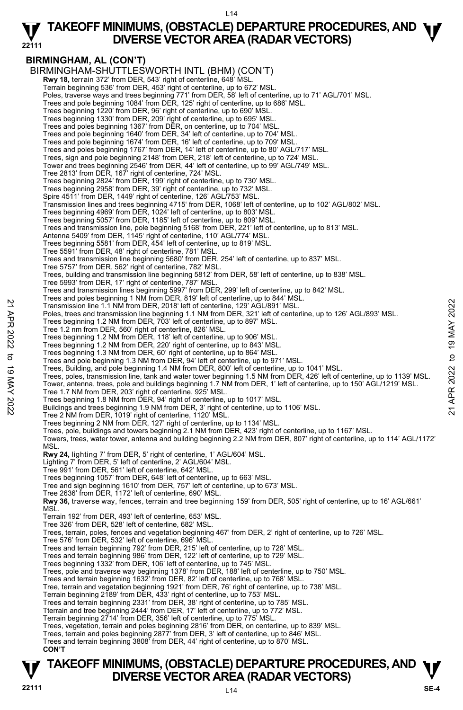L14

#### **22111 TAKEOFF MINIMUMS, (OBSTACLE) DEPARTURE PROCEDURES, AND**  $\Psi$ **<br>DIVERSE VECTOR AREA (RADAR VECTORS) DIVERSE VECTOR AREA (RADAR VECTORS)**

#### **BIRMINGHAM, AL (CON'T)**  BIRMINGHAM-SHUTTLESWORTH INTL (BHM) (CON'T) **Rwy 18,** terrain 372' from DER, 543' right of centerline, 648' MSL Terrain beginning 536' from DER, 453' right of centerline, up to 672' MSL. Poles, traverse ways and trees beginning 771' from DER, 58' left of centerline, up to 71' AGL/701' MSL. Trees and pole beginning 1084' from DER, 125' right of centerline, up to 686' MSL. Trees beginning 1220' from DER, 96' right of centerline, up to 690' MSL Trees beginning 1330' from DER, 209' right of centerline, up to 695' MSL. Trees and poles beginning 1367' from DER, on centerline, up to 704' MSL. Trees and pole beginning 1640' from DER, 34' left of centerline, up to 704' MSL. Trees and pole beginning 1674' from DER, 16' left of centerline, up to 709' MSL. Trees and poles beginning 1767' from DER, 14' left of centerline, up to 80' AGL/717' MSL. Trees, sign and pole beginning 2148' from DER, 218' left of centerline, up to 724' MSL. Tower and trees beginning 2546' from DER, 44' left of centerline, up to 99' AGL/749' MSL. Tree 2813' from DER, 167' right of centerline, 724' MSL. Trees beginning 2824' from DER, 199' right of centerline, up to 730' MSL. Trees beginning 2958' from DER, 39' right of centerline, up to 732' MSL. Spire 4511' from DER, 1449' right of centerline, 126' AGL/753' MSL. Transmission lines and trees beginning 4715' from DER, 1068' left of centerline, up to 102' AGL/802' MSL. Trees beginning 4969' from DER, 1024' left of centerline, up to 803' MSL. Trees beginning 5057' from DER, 1185' left of centerline, up to 809' MSL. Trees and transmission line, pole beginning 5168' from DER, 221' left of centerline, up to 813' MSL. Antenna 5409' from DER, 1145' right of centerline, 110' AGL/774' MSL. Trees beginning 5581' from DER, 454' left of centerline, up to 819' MSL. Tree 5591' from DER, 48' right of centerline, 781' MSL. Trees and transmission line beginning 5680' from DER, 254' left of centerline, up to 837' MSL. Tree 5757' from DER, 562' right of centerline, 782' MSL. Trees, building and transmission line beginning 5812' from DER, 58' left of centerline, up to 838' MSL. Tree 5993' from DER, 17' right of centerline, 787' MSL. Trees and transmission lines beginning 5997' from DER, 299' left of centerline, up to 842' MSL. Trees and poles beginning 1 NM from DER, 819' left of centerline, up to 844' MSL. Transmission line 1.1 NM from DER, 2018' left of centerline, 129' AGL/891' MSL. Poles, trees and transmission line beginning 1.1 NM from DER, 321' left of centerline, up to 126' AGL/893' MSL. Trees beginning 1.2 NM from DER, 703' left of centerline, up to 897' MSL. Tree 1.2 nm from DER, 560' right of centerline, 826' MSL. Trees beginning 1.2 NM from DER, 118' left of centerline, up to 906' MSL. Trees beginning 1.2 NM from DER, 220' right of centerline, up to 843' MSL. Trees beginning 1.3 NM from DER, 60' right of centerline, up to 864' MSL. Trees and pole beginning 1.3 NM from DER, 94' left of centerline, up to 971' MSL. Trees, Building, and pole beginning 1.4 NM from DER, 800' left of centerline, up to 1041' MSL. Trees, poles, transmission line, tank and water tower beginning 1.5 NM from DER, 426' left of centerline, up to 1139' MSL. Tower, antenna, trees, pole and buildings beginning 1.7 NM from DER, 1' left of centerline, up to 150' AGL/1219' MSL. Tree 1.7 NM from DER, 203' right of centerline, 925' MSL. Trees beginning 1.8 NM from DER, 94' right of centerline, up to 1017' MSL. Buildings and trees beginning 1.9 NM from DER, 3' right of centerline, up to 1106' MSL. Tree 2 NM from DER, 1019' right of centerline, 1120' MSL. Trees beginning 2 NM from DER, 127' right of centerline, up to 1134' MSL. Trees, pole, buildings and towers beginning 2.1 NM from DER, 423' right of centerline, up to 1167' MSL. Towers, trees, water tower, antenna and building beginning 2.2 NM from DER, 807' right of centerline, up to 114' AGL/1172' MSL. **Rwy 24,** lighting 7' from DER, 5' right of centerline, 1' AGL/604' MSL. Lighting 7' from DER, 5' left of centerline, 2' AGL/604' MSL. Tree 991' from DER, 561' left of centerline, 642' MSL. Trees beginning 1057' from DER, 648' left of centerline, up to 663' MSL. Tree and sign beginning 1610' from DER, 757' left of centerline, up to 673' MSL. Tree 2636' from DER, 1172' left of centerline, 690' MSL. **Rwy 36,** traverse way, fences, terrain and tree beginning 159' from DER, 505' right of centerline, up to 16' AGL/661' MSL. Terrain 192' from DER, 493' left of centerline, 653' MSL. Tree 326' from DER, 528' left of centerline, 682' MSL. Trees, terrain, poles, fences and vegetation beginning 467' from DER, 2' right of centerline, up to 726' MSL. Tree 576' from DER, 532' left of centerline, 696' MSL. Trees and terrain beginning 792' from DER, 215' left of centerline, up to 728' MSL. Trees and terrain beginning 986' from DER, 122' left of centerline, up to 729' MSL. Trees beginning 1332' from DER, 106' left of centerline, up to 745' MSL Trees, pole and traverse way beginning 1378' from DER, 188' left of centerline, up to 750' MSL. Trees and terrain beginning 1632' from DER, 82' left of centerline, up to 768' MSL. Tree, terrain and vegetation beginning 1921' from DER, 76' right of centerline, up to 738' MSL. Terrain beginning 2189' from DER, 433' right of centerline, up to 753' MSL. Trees and terrain beginning 2331' from DER, 38' right of centerline, up to 785' MSL. Tterrain and tree beginning 2444' from DER, 17' left of centerline, up to 772' MSL. Terrain beginning 2714' from DER, 356' left of centerline, up to 775' MSL. Trees, vegetation, terrain and poles beginning 2816' from DER, on centerline, up to 839' MSL. Trees, terrain and poles beginning 2877' from DER, 3' left of centerline, up to 846' MSL. Trees and terrain beginning 3808' from DER, 44' right of centerline, up to 870' MSL.  **CON'T**  22<br>
Transmission line 1.1 NM from DER, 2018 left of centerline, 129 AGL/891' MSL.<br>
Poles, trees beginning 1.2 NM from DER, 701 left of centerline, up to 897' MSL.<br>
Trees beginning 1.2 NM from DER, 703' left of centerline,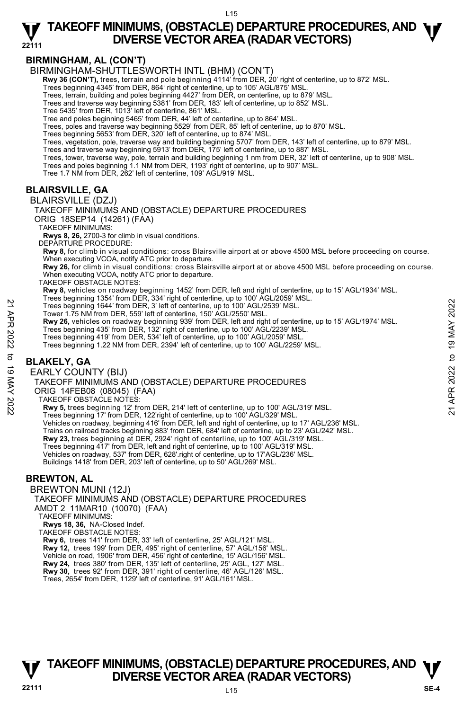L15

### **22111 TAKEOFF MINIMUMS, (OBSTACLE) DEPARTURE PROCEDURES, AND**  $\Psi$ **<br>DIVERSE VECTOR AREA (RADAR VECTORS) DIVERSE VECTOR AREA (RADAR VECTORS)**

### **BIRMINGHAM, AL (CON'T)**

BIRMINGHAM-SHUTTLESWORTH INTL (BHM) (CON'T)

**Rwy 36 (CON'T),** trees, terrain and pole beginning 4114' from DER, 20' right of centerline, up to 872' MSL. Trees beginning 4345' from DER, 864' right of centerline, up to 105' AGL/875' MSL.

Trees, terrain, building and poles beginning 4427' from DER, on centerline, up to 879' MSL.

Trees and traverse way beginning 5381' from DER, 183' left of centerline, up to 852' MSL.

Tree 5435' from DER, 1013' left of centerline, 861' MSL.

Tree and poles beginning 5465' from DER, 44' left of centerline, up to 864' MSL.

Trees, poles and traverse way beginning 5529' from DER, 85' left of centerline, up to 870' MSL.

Trees beginning 5653' from DER, 320' left of centerline, up to 874' MSL.

Trees, vegetation, pole, traverse way and building beginning 5707' from DER, 143' left of centerline, up to 879' MSL.

Trees and traverse way beginning 5913' from DER, 175' left of centerline, up to 887' MSL.

Trees, tower, traverse way, pole, terrain and building beginning 1 nm from DER, 32' left of centerline, up to 908' MSL.<br>Trees and poles beginning 1.1 NM from DER, 1193' right of centerline, up to 907' MSL.

Tree 1.7 NM from DER, 262' left of centerline, 109' AGL/919' MSL.

### **BLAIRSVILLE, GA**

BLAIRSVILLE (DZJ)

TAKEOFF MINIMUMS AND (OBSTACLE) DEPARTURE PROCEDURES ORIG 18SEP14 (14261) (FAA)

TAKEOFF MINIMUMS:

**Rwys 8, 26,** 2700-3 for climb in visual conditions.

DEPARTURE PROCEDURE:

**Rwy 8,** for climb in visual conditions: cross Blairsville airport at or above 4500 MSL before proceeding on course. When executing VCOA, notify ATC prior to departure.

**Rwy 26,** for climb in visual conditions: cross Blairsville airport at or above 4500 MSL before proceeding on course. When executing VCOA, notify ATC prior to departure.

TAKEOFF OBSTACLE NOTES:

**Rwy 8,** vehicles on roadway beginning 1452' from DER, left and right of centerline, up to 15' AGL/1934' MSL.<br>Trees beginning 1354' from DER, 334' right of centerline, up to 100' AGL/2059' MSL.

Trees beginning 1644' from DER, 3' left of centerline, up to 100' AGL/2539' MSL.

Tower 1.75 NM from DER, 559' left of centerline, 150' AGL/2550' MSL.

**Rwy 26,** vehicles on roadway beginning 939' from DER, left and right of centerline, up to 15' AGL/1974' MSL.<br>Trees beginning 435' from DER, 132' right of centerline, up to 100' AGL/2239' MSL. 22 Trees beginning 1644 from DER, 3'left of centerline, up to 100' AGL/2539' MSL.<br>
Tower 1.75 NM from DER, 3'left of centerline, up to 100' AGL/2539' MSL.<br>
Tower 1.75 NM from DER, 3'left of centerline, up to 100' AGL/2539

Trees beginning 419' from DER, 534' left of centerline, up to 100' AGL/2059' MSL.

Trees beginning 1.22 NM from DER, 2394' left of centerline, up to 100' AGL/2259' MSL.

### **BLAKELY, GA**

EARLY COUNTY (BIJ)

TAKEOFF MINIMUMS AND (OBSTACLE) DEPARTURE PROCEDURES

ORIG 14FEB08 (08045) (FAA)

TAKEOFF OBSTACLE NOTES:

**Rwy 5,** trees beginning 12' from DER, 214' left of centerline, up to 100' AGL/319' MSL.

Trees beginning 17' from DER, 122'right of centerline, up to 100' AGL/329' MSL.

Vehicles on roadway, beginning 416' from DER, left and right of centerline, up to 17' AGL/236' MSL.

Trains on railroad tracks beginning 883' from DER, 684' left of centerline, up to 23' AGL/242' MSL.

**Rwy 23,** trees beginning at DER, 2924' right of centerline, up to 100' AGL/319' MSL.

Trees beginning 417' from DER, left and right of centerline, up to 100' AGL/319' MSL.

Vehicles on roadway, 537' from DER, 628'.right of centerline, up to 17'AGL/236' MSL. Buildings 1418' from DER, 203' left of centerline, up to 50' AGL/269' MSL.

### **BREWTON, AL**

BREWTON MUNI (12J) TAKEOFF MINIMUMS AND (OBSTACLE) DEPARTURE PROCEDURES AMDT 2 11MAR10 (10070) (FAA)

TAKEOFF MINIMUMS:

**Rwys 18, 36,** NA-Closed Indef.

TAKEOFF OBSTACLE NOTES:

**Rwy 6,** trees 141' from DER, 33' left of centerline, 25' AGL/121' MSL.

**Rwy 12,** trees 199' from DER, 495' right of centerline, 57' AGL/156' MSL. Vehicle on road, 1906' from DER, 456' right of centerline, 15' AGL/156' MSL.

**Rwy 24,** trees 380' from DER, 135' left of centerline, 25' AGL, 127' MSL. **Rwy 30,** trees 92' from DER, 391' right of centerline, 46' AGL/126' MSL.

Trees, 2654' from DER, 1129' left of centerline, 91' AGL/161' MSL.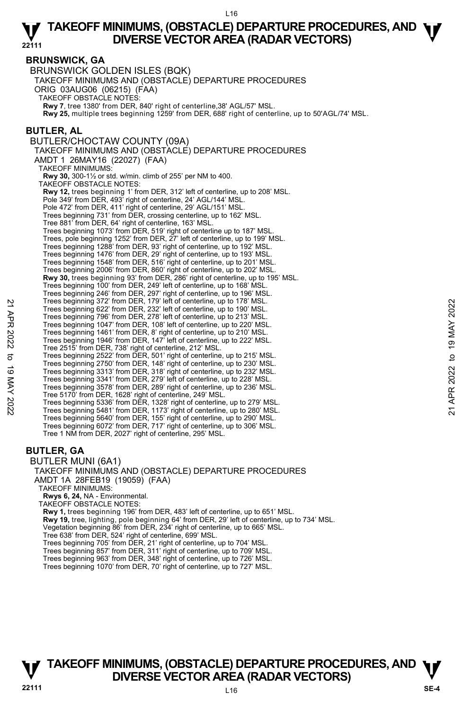### **BRUNSWICK, GA**

BRUNSWICK GOLDEN ISLES (BQK) TAKEOFF MINIMUMS AND (OBSTACLE) DEPARTURE PROCEDURES ORIG 03AUG06 (06215) (FAA) TAKEOFF OBSTACLE NOTES: **Rwy 7**, tree 1380' from DER, 840' right of centerline,38' AGL/57' MSL. **Rwy 25,** multiple trees beginning 1259' from DER, 688' right of centerline, up to 50'AGL/74' MSL. **BUTLER, AL**  BUTLER/CHOCTAW COUNTY (09A) TAKEOFF MINIMUMS AND (OBSTACLE) DEPARTURE PROCEDURES AMDT 1 26MAY16 (22027) (FAA) TAKEOFF MINIMUMS: **Rwy 30,** 300-1½ or std. w/min. climb of 255' per NM to 400. TAKEOFF OBSTACLE NOTES: **Rwy 12,** trees beginning 1' from DER, 312' left of centerline, up to 208' MSL. Pole 349' from DER, 493' right of centerline, 24' AGL/144' MSL. Pole 472' from DER, 411' right of centerline, 29' AGL/151' MSL. Trees beginning 731' from DER, crossing centerline, up to 162' MSL. Tree 881' from DER, 64' right of centerline, 163' MSL. Trees beginning 1073' from DER, 519' right of centerline up to 187' MSL. Trees, pole beginning 1252' from DER, 27' left of centerline, up to 199' MSL. Trees beginning 1288' from DER, 93' right of centerline, up to 192' MSL. Trees beginning 1476' from DER, 29' right of centerline, up to 193' MSL. Trees beginning 1548' from DER, 516' right of centerline, up to 201' MSL. Trees beginning 2006' from DER, 860' right of centerline, up to 202' MSL. **Rwy 30,** trees beginning 93' from DER, 286' right of centerline, up to 195' MSL. Trees beginning 100' from DER, 249' left of centerline, up to 168' MSL. Trees beginning 246' from DER, 297' right of centerline, up to 196' MSL. Trees beginning 372' from DER, 179' left of centerline, up to 178' MSL. Trees beginning 622' from DER, 232' left of centerline, up to 190' MSL. Trees beginning 796' from DER, 278' left of centerline, up to 213' MSL. Trees beginning 1047' from DER, 108' left of centerline, up to 220' MSL. Trees beginning 1461' from DER, 8' right of centerline, up to 210' MSL. Trees beginning 1946' from DER, 147' left of centerline, up to 222' MSL. Tree 2515' from DER, 738' right of centerline, 212' MSL. Trees beginning 2522' from DER, 501' right of centerline, up to 215' MSL. Trees beginning 2750' from DER, 148' right of centerline, up to 230' MSL. Trees beginning 3313' from DER, 318' right of centerline, up to 232' MSL. Trees beginning 3341' from DER, 279' left of centerline, up to 228' MSL. Trees beginning 3578' from DER, 289' right of centerline, up to 236' MSL. Tree 5170' from DER, 1628' right of centerline, 249' MSL. Trees beginning 5336' from DER, 1328' right of centerline, up to 279' MSL. Trees beginning 5481' from DER, 1173' right of centerline, up to 280' MSL. Trees beginning 5640' from DER, 155' right of centerline, up to 290' MSL. Trees beginning 6072' from DER, 717' right of centerline, up to 306' MSL. Tree 1 NM from DER, 2027' right of centerline, 295' MSL. Trees beginning 3/2" from DER, 19' lett of centerine, up to 190' MSL.<br>
Trees beginning 796' from DER, 278' left of centerline, up to 190' MSL.<br>
Trees beginning 196' from DER, 108' left of centerline, up to 220' MSL.<br>
Trees

### **BUTLER, GA**

BUTLER MUNI (6A1) TAKEOFF MINIMUMS AND (OBSTACLE) DEPARTURE PROCEDURES AMDT 1A 28FEB19 (19059) (FAA) TAKEOFF MINIMUMS: **Rwys 6, 24,** NA - Environmental. TAKEOFF OBSTACLE NOTES: **Rwy 1,** trees beginning 196' from DER, 483' left of centerline, up to 651' MSL. **Rwy 19,** tree, lighting, pole beginning 64' from DER, 29' left of centerline, up to 734' MSL.<br>Vegetation beginning 86' from DER, 234' right of centerline, up to 665' MSL. Tree 638' from DER, 524' right of centerline, 699' MSL. Trees beginning 705' from DER, 21' right of centerline, up to 704' MSL. Trees beginning 857' from DER, 311' right of centerline, up to 709' MSL. Trees beginning 963' from DER, 348' right of centerline, up to 726' MSL.

#### Trees beginning 1070' from DER, 70' right of centerline, up to 727' MSL.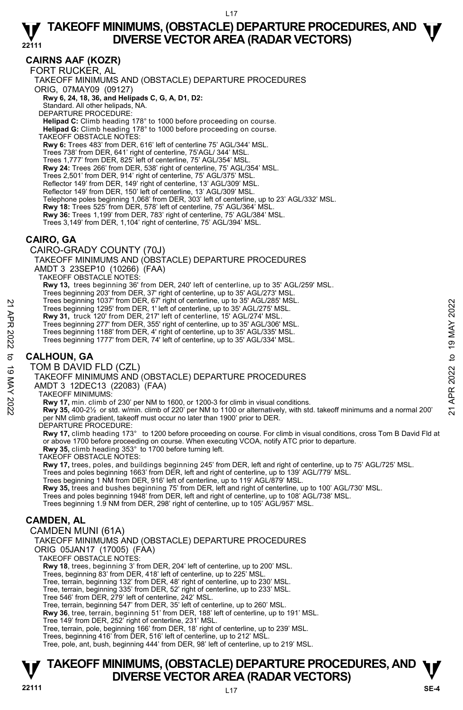### **CAIRNS AAF (KOZR)**

FORT RUCKER, AL TAKEOFF MINIMUMS AND (OBSTACLE) DEPARTURE PROCEDURES ORIG, 07MAY09 (09127)  **Rwy 6, 24, 18, 36, and Helipads C, G, A, D1, D2:** Standard. All other helipads, NA. DEPARTURE PROCEDURE: **Helipad C:** Climb heading 178° to 1000 before proceeding on course. **Helipad G:** Climb heading 178° to 1000 before proceeding on course. TAKEOFF OBSTACLE NOTES: **Rwy 6:** Trees 483' from DER, 616' left of centerline 75' AGL/344' MSL. Trees 738' from DER, 641' right of centerline, 75'AGL/ 344' MSL. Trees 1,777' from DER, 825' left of centerline, 75' AGL/354' MSL. **Rwy 24:** Trees 266' from DER, 538' right of centerline, 75' AGL/354' MSL. Trees 2,501' from DER, 914' right of centerline, 75' AGL/375' MSL. Reflector 149' from DER, 149' right of centerline, 13' AGL/309' MSL. Reflector 149' from DER, 150' left of centerline, 13' AGL/309' MSL. Telephone poles beginning 1,068' from DER, 303' left of centerline, up to 23' AGL/332' MSL. **Rwy 18:** Trees 525' from DER, 578' left of centerline, 75' AGL/364' MSL. **Rwy 36:** Trees 1,199' from DER, 783' right of centerline, 75' AGL/384' MSL. Trees 3,149' from DER, 1,104' right of centerline, 75' AGL/394' MSL.

### **CAIRO, GA**

CAIRO-GRADY COUNTY (70J) TAKEOFF MINIMUMS AND (OBSTACLE) DEPARTURE PROCEDURES AMDT 3 23SEP10 (10266) (FAA) TAKEOFF OBSTACLE NOTES: **Rwy 13,** trees beginning 36' from DER, 240' left of centerline, up to 35' AGL/259' MSL. Trees beginning 203' from DER, 37' right of centerline, up to 35' AGL/273' MSL. Trees beginning 1037' from DER, 67' right of centerline, up to 35' AGL/285' MSL. Trees beginning 1295' from DER, 1' left of centerline, up to 35' AGL/275' MSL. **Rwy 31,** truck 120' from DER, 217' left of centerline, 15' AGL/274' MSL. Trees beginning 277' from DER, 355' right of centerline, up to 35' AGL/306' MSL. Trees beginning 1188' from DER, 4' right of centerline, up to 35' AGL/335' MSL. Trees beginning 1777' from DER, 74' left of centerline, up to 35' AGL/334' MSL. **CALHOUN, GA**  TOM B DAVID FLD (CZL) TAKEOFF MINIMUMS AND (OBSTACLE) DEPARTURE PROCEDURES AMDT 3 12DEC13 (22083) (FAA) TAKEOFF MINIMUMS: Trees beginning 1037 from DER, 1' left of centerline, up to 35' AGL/278' MSL.<br>
Trees beginning 1295' from DER, 217' left of centerline, up to 35' AGL/275' MSL.<br> **Rwy 31**, truck 120' from DER, 217' left of centerline, 15' per NM climb gradient, takeoff must occur no later than 1900' prior to DER. DEPARTURE PROCEDURE:<br>**Rwy 17,** climb heading 173° to 1200 before proceeding on course. For climb in visual conditions, cross Tom B David Fld at or above 1700 before proceeding on course. When executing VCOA, notify ATC prior to departure. **Rwy 35,** climb heading 353° to 1700 before turning left. TAKEOFF OBSTACLE NOTES: **Rwy 17,** trees, poles, and buildings beginning 245' from DER, left and right of centerline, up to 75' AGL/725' MSL. Trees and poles beginning 1663' from DER, left and right of centerline, up to 139' AGL/779' MSL. Trees beginning 1 NM from DER, 916' left of centerline, up to 119' AGL/879' MSL. **Rwy 35,** trees and bushes beginning 75' from DER, left and right of centerline, up to 100' AGL/730' MSL. Trees and poles beginning 1948' from DER, left and right of centerline, up to 108' AGL/738' MSL. Trees beginning 1.9 NM from DER, 298' right of centerline, up to 105' AGL/957' MSL. **CAMDEN, AL**  CAMDEN MUNI (61A) TAKEOFF MINIMUMS AND (OBSTACLE) DEPARTURE PROCEDURES ORIG 05JAN17 (17005) (FAA) TAKEOFF OBSTACLE NOTES: **Rwy 18**, trees, beginning 3' from DER, 204' left of centerline, up to 200' MSL. Trees, beginning 83' from DER, 418' left of centerline, up to 225' MSL. Tree, terrain, beginning 132' from DER, 48' right of centerline, up to 230' MSL. Tree, terrain, beginning 335' from DER, 52' right of centerline, up to 233' MSL. Tree 546' from DER, 279' left of centerline, 242' MSL. Tree, terrain, beginning 547' from DER, 35' left of centerline, up to 260' MSL. **Rwy 36**, tree, terrain, beginning 51' from DER, 188' left of centerline, up to 191' MSL.<br>Tree 149' from DER, 252' right of centerline, 231' MSL.

Tree, terrain, pole, beginning 166' from DER, 18' right of centerline, up to 239' MSL.

Trees, beginning 416' from DER, 516' left of centerline, up to 212' MSL.

Tree, pole, ant, bush, beginning 444' from DER, 98' left of centerline, up to 219' MSL.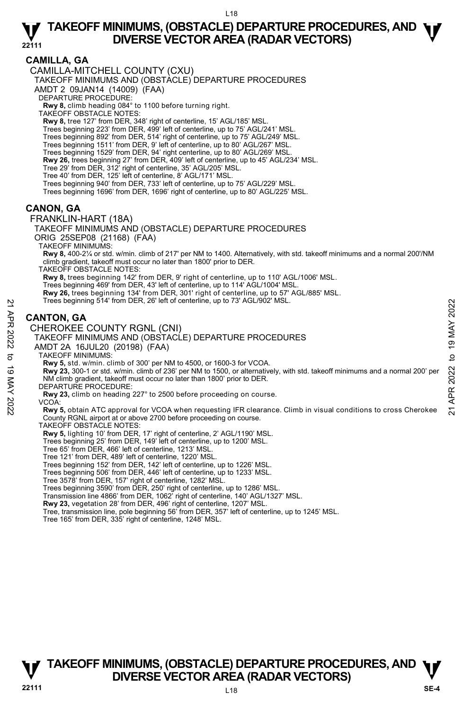### **CAMILLA, GA**

CAMILLA-MITCHELL COUNTY (CXU)

TAKEOFF MINIMUMS AND (OBSTACLE) DEPARTURE PROCEDURES

AMDT 2 09JAN14 (14009) (FAA)

DEPARTURE PROCEDURE:

**Rwy 8,** climb heading 084° to 1100 before turning right. TAKEOFF OBSTACLE NOTES:

**Rwy 8,** tree 127' from DER, 348' right of centerline, 15' AGL/185' MSL.

Trees beginning 223' from DER, 499' left of centerline, up to 75' AGL/241' MSL.

Trees beginning 892' from DER, 514' right of centerline, up to 75' AGL/249' MSL.

Trees beginning 1511' from DER, 9' left of centerline, up to 80' AGL/267' MSL.

Trees beginning 1529' from DER, 94' right centerline, up to 80' AGL/269' MSL.

**Rwy 26,** trees beginning 27' from DER, 409' left of centerline, up to 45' AGL/234' MSL.<br>Tree 29' from DER, 312' right of centerline, 35' AGL/205' MSL.

Tree 40' from DER, 125' left of centerline, 8' AGL/171' MSL.

Trees beginning 940' from DER, 733' left of centerline, up to 75' AGL/229' MSL.

Trees beginning 1696' from DER, 1696' right of centerline, up to 80' AGL/225' MSL.

### **CANON, GA**

FRANKLIN-HART (18A) TAKEOFF MINIMUMS AND (OBSTACLE) DEPARTURE PROCEDURES ORIG 25SEP08 (21168) (FAA) TAKEOFF MINIMUMS: **Rwy 8,** 400-2¼ or std. w/min. climb of 217' per NM to 1400. Alternatively, with std. takeoff minimums and a normal 200'/NM climb gradient, takeoff must occur no later than 1800' prior to DER. TAKEOFF OBSTACLE NOTES: **Rwy 8,** trees beginning 142' from DER, 9' right of centerline, up to 110' AGL/1006' MSL. Trees beginning 469' from DER, 43' left of centerline, up to 114' AGL/1004' MSL. **Rwy 26,** trees beginning 134' from DER, 301' right of centerline, up to 57' AGL/885' MSL. Trees beginning 514' from DER, 26' left of centerline, up to 73' AGL/902' MSL. **CANTON, GA**  CHEROKEE COUNTY RGNL (CNI) TAKEOFF MINIMUMS AND (OBSTACLE) DEPARTURE PROCEDURES AMDT 2A 16JUL20 (20198) (FAA) TAKEOFF MINIMUMS: **Rwy 5,** std. w/min. climb of 300' per NM to 4500, or 1600-3 for VCOA. **Rwy 23,** 300-1 or std. w/min. climb of 236' per NM to 1500, or alternatively, with std. takeoff minimums and a normal 200' per NM climb gradient, takeoff must occur no later than 1800' prior to DER. DEPARTURE PROCEDURE: **Rwy 23,** climb on heading 227° to 2500 before proceeding on course. VCOA: **Rwy 5,** obtain ATC approval for VCOA when requesting IFR clearance. Climb in visual conditions to cross Cherokee County RGNL airport at or above 2700 before proceeding on course. TAKEOFF OBSTACLE NOTES: **Rwy 5,** lighting 10' from DER, 17' right of centerline, 2' AGL/1190' MSL. Trees beginning 25' from DER, 149' left of centerline, up to 1200' MSL. Tree 65' from DER, 466' left of centerline, 1213' MSL. Tree 121' from DER, 489' left of centerline, 1220' MSL. Trees beginning 514 from DER, 26' left of centerline, up to 73' AGL/902' MSL.<br>
22<br> **CANTON, GA**<br>
CHEROKEE COUNTY RGNL (CNI)<br>
TAKEOFF MINIMUMS AND (OBSTACLE) DEPARTURE PROCEDURES<br>
AMDIT 2A 16JUL20 (20198) (FAA)<br>
TAKEOFF MI

Trees beginning 152' from DER, 142' left of centerline, up to 1226' MSL.

Trees beginning 506' from DER, 446' left of centerline, up to 1233' MSL.

Tree 3578' from DER, 157' right of centerline, 1282' MSL.

Trees beginning 3590' from DER, 250' right of centerline, up to 1286' MSL.

Transmission line 4866' from DER, 1062' right of centerline, 140' AGL/1327' MSL.

**Rwy 23,** vegetation 28' from DER, 496' right of centerline, 1207' MSL.<br>Tree, transmission line, pole beginning 56' from DER, 357' left of centerline, up to 1245' MSL.

Tree 165' from DER, 335' right of centerline, 1248' MSL.

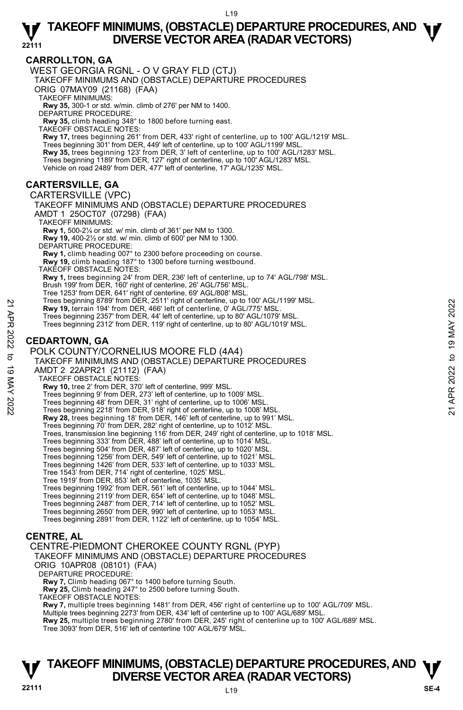### **CARROLLTON, GA**

WEST GEORGIA RGNL - O V GRAY FLD (CTJ)

TAKEOFF MINIMUMS AND (OBSTACLE) DEPARTURE PROCEDURES ORIG 07MAY09 (21168) (FAA)

TAKEOFF MINIMUMS:

**Rwy 35,** 300-1 or std. w/min. climb of 276' per NM to 1400. DEPARTURE PROCEDURE:

**Rwy 35,** climb heading 348° to 1800 before turning east.

TAKEOFF OBSTACLE NOTES:

**Rwy 17,** trees beginning 261' from DER, 433' right of centerline, up to 100' AGL/1219' MSL. Trees beginning 301' from DER, 449' left of centerline, up to 100' AGL/1199' MSL. **Rwy 35,** trees beginning 123' from DER, 3' left of centerline, up to 100' AGL/1283' MSL. Trees beginning 1189' from DER, 127' right of centerline, up to 100' AGL/1283' MSL. Vehicle on road 2489' from DER, 477' left of centerline, 17' AGL/1235' MSL.

### **CARTERSVILLE, GA**

CARTERSVILLE (VPC)

TAKEOFF MINIMUMS AND (OBSTACLE) DEPARTURE PROCEDURES AMDT 1 25OCT07 (07298) (FAA) TAKEOFF MINIMUMS: **Rwy 1,** 500-2¼ or std. w/ min. climb of 361' per NM to 1300. **Rwy 19,** 400-2½ or std. w/ min. climb of 600' per NM to 1300. DEPARTURE PROCEDURE: **Rwy 1,** climb heading 007° to 2300 before proceeding on course. **Rwy 19,** climb heading 187° to 1300 before turning westbound. TAKEOFF OBSTACLE NOTES: **Rwy 1,** trees beginning 24' from DER, 236' left of centerline, up to 74' AGL/798' MSL. Brush 199' from DER, 160' right of centerline, 26' AGL/756' MSL. Tree 1253' from DER, 641' right of centerline, 69' AGL/808' MSL. Trees beginning 8789' from DER, 2511' right of centerline, up to 100' AGL/1199' MSL. **Rwy 19,** terrain 194' from DER, 466' left of centerline, 0' AGL/775' MSL. Trees beginning 2357' from DER, 44' left of centerline, up to 80' AGL/1079' MSL. Trees beginning 2312' from DER, 119' right of centerline, up to 80' AGL/1019' MSL. POLK COUNTY/CORNELIUS MOORE FLD (4A4)

### **CEDARTOWN, GA**

TAKEOFF MINIMUMS AND (OBSTACLE) DEPARTURE PROCEDURES AMDT 2 22APR21 (21112) (FAA) TAKEOFF OBSTACLE NOTES: **Rwy 10,** tree 2' from DER, 370' left of centerline, 999' MSL. Trees beginning 9' from DER, 273' left of centerline, up to 1009' MSL. Trees beginning 48' from DER, 31' right of centerline, up to 1006' MSL. Trees beginning 2218' from DER, 918' right of centerline, up to 1008' MSL.  **Rwy 28,** trees beginning 18' from DER, 146' left of centerline, up to 991' MSL. Trees beginning 70' from DER, 282' right of centerline, up to 1012' MSL. Trees, transmission line beginning 116' from DER, 249' right of centerline, up to 1018' MSL. Trees beginning 333' from DER, 488' left of centerline, up to 1014' MSL. Trees beginning 504' from DER, 487' left of centerline, up to 1020' MSL. Trees beginning 1256' from DER, 549' left of centerline, up to 1021' MSL. Trees beginning 1426' from DER, 533' left of centerline, up to 1033' MSL. Tree 1543' from DER, 714' right of centerline, 1025' MSL. Tree 1919' from DER, 853' left of centerline, 1035' MSL. Trees beginning 1992' from DER, 561' left of centerline, up to 1044' MSL. Trees beginning 2119' from DER, 654' left of centerline, up to 1048' MSL. Trees beginning 2487' from DER, 714' left of centerline, up to 1052' MSL. Trees beginning 2650' from DER, 990' left of centerline, up to 1053' MSL. Trees beginning 2891' from DER, 1122' left of centerline, up to 1054' MSL. Press beginning 8/39' from DER, 2011' right of centerline, up to 100' AGL/17199' MSL.<br>
Trees beginning 2357' from DER, 46' left of centerline, up to 80' AGL/1079' MSL.<br>
Trees beginning 2312' from DER, 119' right of center

### **CENTRE, AL**

CENTRE-PIEDMONT CHEROKEE COUNTY RGNL (PYP) TAKEOFF MINIMUMS AND (OBSTACLE) DEPARTURE PROCEDURES ORIG 10APR08 (08101) (FAA) DEPARTURE PROCEDURE: **Rwy 7,** Climb heading 067° to 1400 before turning South. **Rwy 25,** Climb heading 247° to 2500 before turning South. TAKEOFF OBSTACLE NOTES: **Rwy 7,** multiple trees beginning 1481' from DER, 456' right of centerline up to 100' AGL/709' MSL. Multiple trees beginning 2273' from DER, 434' left of centerline up to 100' AGL/689' MSL.

**Rwy 25,** multiple trees beginning 2780' from DER, 245' right of centerline up to 100' AGL/689' MSL. Tree 3093' from DER, 516' left of centerline 100' AGL/679' MSL.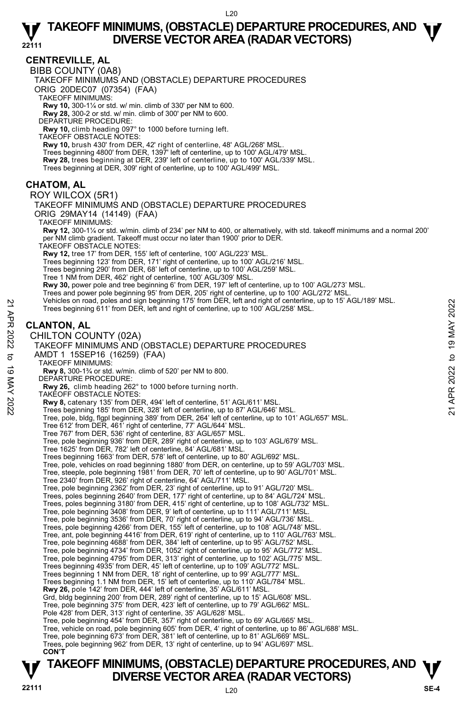### **CENTREVILLE, AL**

BIBB COUNTY (0A8)

TAKEOFF MINIMUMS AND (OBSTACLE) DEPARTURE PROCEDURES

ORIG 20DEC07 (07354) (FAA)

TAKEOFF MINIMUMS:

**Rwy 10,** 300-1¼ or std. w/ min. climb of 330' per NM to 600. **Rwy 28,** 300-2 or std. w/ min. climb of 300' per NM to 600.

DEPARTURE PROCEDURE:

**Rwy 10,** climb heading 097° to 1000 before turning left.

TAKEOFF OBSTACLE NOTES:

**Rwy 10,** brush 430' from DER, 42' right of centerline, 48' AGL/268' MSL. Trees beginning 4800' from DER, 1397' left of centerline, up to 100' AGL/479' MSL. **Rwy 28,** trees beginning at DER, 239' left of centerline, up to 100' AGL/339' MSL.<br>Trees beginning at DER, 309' right of centerline, up to 100' AGL/499' MSL.

### **CHATOM, AL**

ROY WILCOX (5R1)

TAKEOFF MINIMUMS AND (OBSTACLE) DEPARTURE PROCEDURES ORIG 29MAY14 (14149) (FAA)

TAKEOFF MINIMUMS:

**Rwy 12,** 300-1¼ or std. w/min. climb of 234' per NM to 400, or alternatively, with std. takeoff minimums and a normal 200' per NM climb gradient. Takeoff must occur no later than 1900' prior to DER.

TAKEOFF OBSTACLE NOTES:

**Rwy 12,** tree 17' from DER, 155' left of centerline, 100' AGL/223' MSL.

Trees beginning 123' from DER, 171' right of centerline, up to 100' AGL/216' MSL.

Trees beginning 290' from DER, 68' left of centerline, up to 100' AGL/259' MSL.

Tree 1 NM from DER, 462' right of centerline, 100' AGL/309' MSL.

**Rwy 30,** power pole and tree beginning 6' from DER, 197' left of centerline, up to 100' AGL/273' MSL.

Trees and power pole beginning 95' from DER, 205' right of centerline, up to 100' AGL/272' MSL. Vehicles on road, poles and sign beginning 175' from DER, left and right of centerline, up to 15' AGL/189' MSL.

Trees beginning 611' from DER, left and right of centerline, up to 100' AGL/258' MSL.

### **CLANTON, AL**

CHILTON COUNTY (02A)

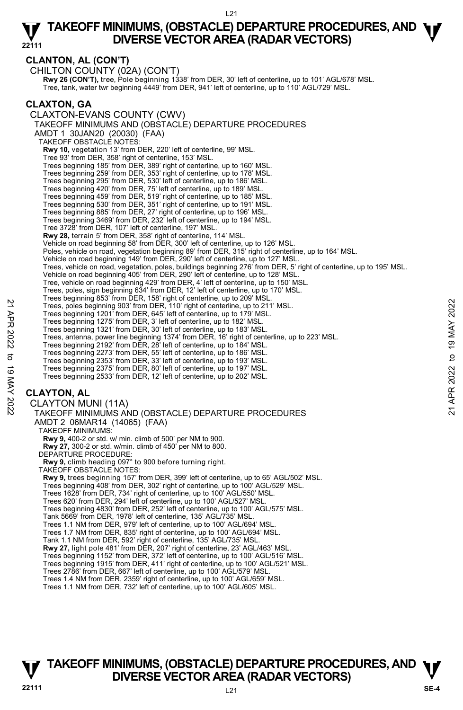### **CLANTON, AL (CON'T)**

CHILTON COUNTY (02A) (CON'T) **Rwy 26 (CON'T),** tree, Pole beginning 1338' from DER, 30' left of centerline, up to 101' AGL/678' MSL.<br>Tree, tank, water twr beginning 4449' from DER, 941' left of centerline, up to 110' AGL/729' MSL. **CLAXTON, GA**  CLAXTON-EVANS COUNTY (CWV) TAKEOFF MINIMUMS AND (OBSTACLE) DEPARTURE PROCEDURES AMDT 1 30JAN20 (20030) (FAA) TAKEOFF OBSTACLE NOTES: **Rwy 10,** vegetation 13' from DER, 220' left of centerline, 99' MSL. Tree 93' from DER, 358' right of centerline, 153' MSL. Trees beginning 185' from DER, 389' right of centerline, up to 160' MSL. Trees beginning 259' from DER, 353' right of centerline, up to 178' MSL. Trees beginning 295' from DER, 530' left of centerline, up to 186' MSL. Trees beginning 420' from DER, 75' left of centerline, up to 189' MSL. Trees beginning 459' from DER, 519' right of centerline, up to 185' MSL. Trees beginning 530' from DER, 351' right of centerline, up to 191' MSL. Trees beginning 885' from DER, 27' right of centerline, up to 196' MSL. Trees beginning 3469' from DER, 232' left of centerline, up to 194' MSL. Tree 3728' from DER, 107' left of centerline, 197' MSL. **Rwy 28,** terrain 5' from DER, 358' right of centerline, 114' MSL. Vehicle on road beginning 58' from DER, 300' left of centerline, up to 126' MSL. Poles, vehicle on road, vegetation beginning 89' from DER, 315' right of centerline, up to 164' MSL. Vehicle on road beginning 149' from DER, 290' left of centerline, up to 127' MSL. Trees, vehicle on road, vegetation, poles, buildings beginning 276' from DER, 5' right of centerline, up to 195' MSL. Vehicle on road beginning 405' from DER, 290' left of centerline, up to 128' MSL. Tree, vehicle on road beginning 429' from DER, 4' left of centerline, up to 150' MSL. Trees, poles, sign beginning 634' from DER, 12' left of centerline, up to 170' MSL. Trees beginning 853' from DER, 158' right of centerline, up to 209' MSL. Trees, poles beginning 903' from DER, 110' right of centerline, up to 211' MSL. Trees beginning 1201' from DER, 645' left of centerline, up to 179' MSL. Trees beginning 1275' from DER, 3' left of centerline, up to 182' MSL. Trees beginning 1321' from DER, 30' left of centerline, up to 183' MSL. Trees, antenna, power line beginning 1374' from DER, 16' right of centerline, up to 223' MSL. Trees beginning 2192' from DER, 28' left of centerline, up to 184' MSL. Trees beginning 2273' from DER, 55' left of centerline, up to 186' MSL. Trees beginning 2353' from DER, 33' left of centerline, up to 193' MSL. Trees beginning 2375' from DER, 80' left of centerline, up to 197' MSL. Trees beginning 2533' from DER, 12' left of centerline, up to 202' MSL. **CLAYTON, AL**  CLAYTON MUNI (11A) TAKEOFF MINIMUMS AND (OBSTACLE) DEPARTURE PROCEDURES AMDT 2 06MAR14 (14065) (FAA) TAKEOFF MINIMUMS: **Rwy 9,** 400-2 or std. w/ min. climb of 500' per NM to 900. **Rwy 27,** 300-2 or std. w/min. climb of 450' per NM to 800. DEPARTURE PROCEDURE: **Rwy 9,** climb heading 097° to 900 before turning right. TAKEOFF OBSTACLE NOTES: **Rwy 9,** trees beginning 157' from DER, 399' left of centerline, up to 65' AGL/502' MSL. Trees beginning 408' from DER, 302' right of centerline, up to 100' AGL/529' MSL. Trees 1628' from DER, 734' right of centerline, up to 100' AGL/550' MSL. Trees 620' from DER, 294' left of centerline, up to 100' AGL/527' MSL. Trees beginning 4830' from DER, 252' left of centerline, up to 100' AGL/575' MSL. Tank 5669' from DER, 1978' left of centerline, 135' AGL/735' MSL. 22 Trees, poles beginning 903' from DER, 110' right of centerline, up to 211' MSL.<br>
Trees beginning 1021' from DER, 110' right of centerline, up to 121' MSL.<br>
Trees beginning 1275' from DER, 3' left of centerline, up to 18

Trees 1.1 NM from DER, 979' left of centerline, up to 100' AGL/694' MSL.

Trees 1.7 NM from DER, 835' right of centerline, up to 100' AGL/694' MSL.

Tank 1.1 NM from DER, 592' right of centerline, 135' AGL/735' MSL.<br>**Rwy 27,** light pole 481' from DER, 207' right of centerline, 23' AGL/463' MSL.

Trees beginning 1152' from DER, 372' left of centerline, up to 100' AGL/516' MSL.

Trees beginning 1915' from DER, 411' right of centerline, up to 100' AGL/521' MSL. Trees 2786' from DER, 667' left of centerline, up to 100' AGL/579' MSL.

Trees 1.4 NM from DER, 2359' right of centerline, up to 100' AGL/659' MSL.

Trees 1.1 NM from DER, 732' left of centerline, up to 100' AGL/605' MSL.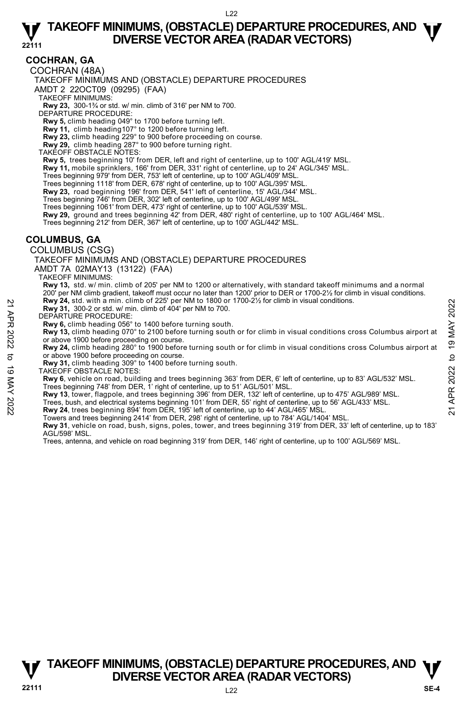### **COCHRAN, GA**

COCHRAN (48A)

TAKEOFF MINIMUMS AND (OBSTACLE) DEPARTURE PROCEDURES

AMDT 2 22OCT09 (09295) (FAA)

TAKEOFF MINIMUMS:

**Rwy 23,** 300-1¾ or std. w/ min. climb of 316' per NM to 700. DEPARTURE PROCEDURE:

**Rwy 5,** climb heading 049° to 1700 before turning left.

**Rwy 11,** climb heading107° to 1200 before turning left.

**Rwy 23,** climb heading 229° to 900 before proceeding on course. **Rwy 29,** climb heading 287° to 900 before turning right.

TAKEOFF OBSTACLE NOTES:

**Rwy 5,** trees beginning 10' from DER, left and right of centerline, up to 100' AGL/419' MSL.

**Rwy 11,** mobile sprinklers, 166' from DER, 331' right of centerline, up to 24' AGL/345' MSL.

Trees beginning 979' from DER, 753' left of centerline, up to 100' AGL/409' MSL.

Trees beginning 1118' from DER, 678' right of centerline, up to 100' AGL/395' MSL.

**Rwy 23,** road beginning 196' from DER, 541' left of centerline, 15' AGL/344' MSL.

Trees beginning 746' from DER, 302' left of centerline, up to 100' AGL/499' MSL.

Trees beginning 1061' from DER, 473' right of centerline, up to 100' AGL/539' MSL.

**Rwy 29,** ground and trees beginning 42' from DER, 480' right of centerline, up to 100' AGL/464' MSL.<br>Trees beginning 212' from DER, 367' left of centerline, up to 100' AGL/442' MSL.

### **COLUMBUS, GA**

COLUMBUS (CSG)

TAKEOFF MINIMUMS AND (OBSTACLE) DEPARTURE PROCEDURES

AMDT 7A 02MAY13 (13122) (FAA)

TAKEOFF MINIMUMS:

**Rwy 13,** std. w/ min. climb of 205' per NM to 1200 or alternatively, with standard takeoff minimums and a normal 200' per NM climb gradient, takeoff must occur no later than 1200' prior to DER or 1700-2½ for climb in visual conditions.<br>**Rwy 24,** std. with a min. climb of 225' per NM to 1800 or 1700-2½ for climb in visual conditions.

**Rwy 31,** 300-2 or std. w/ min. climb of 404' per NM to 700.

DEPARTURE PROCEDURE:

**Rwy 6,** climb heading 056° to 1400 before turning south.

**Rwy 13,** climb heading 070° to 2100 before turning south or for climb in visual conditions cross Columbus airport at or above 1900 before proceeding on course.

**Rwy 24,** climb heading 280° to 1900 before turning south or for climb in visual conditions cross Columbus airport at or above 1900 before proceeding on course. **EVALUATION 14 and electrical systems beginning 300° to 1700-2/2 for climb in visual conditions.<br>
The Supervolution of 2010 before turning south.<br>
New 31, 300-2 or std. W min. climb of 404' per NM to 700.<br>
New 13, climb h** 

**Rwy 31,** climb heading 309° to 1400 before turning south.

TAKEOFF OBSTACLE NOTES:

**Rwy 6**, vehicle on road, building and trees beginning 363' from DER, 6' left of centerline, up to 83' AGL/532' MSL. Trees beginning 748' from DER, 1' right of centerline, up to 51' AGL/501' MSL.

**Rwy 13**, tower, flagpole, and trees beginning 396' from DER, 132' left of centerline, up to 475' AGL/989' MSL.

Towers and trees beginning 2414' from DER, 298' right of centerline, up to 784' AGL/1404' MSL.

**Rwy 31**, vehicle on road, bush, signs, poles, tower, and trees beginning 319' from DER, 33' left of centerline, up to 183' AGL/598' MSL.

Trees, antenna, and vehicle on road beginning 319' from DER, 146' right of centerline, up to 100' AGL/569' MSL.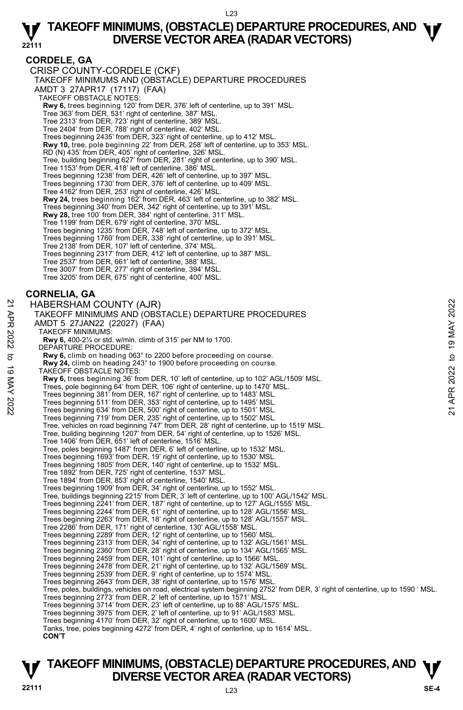### **CORDELE, GA**

CRISP COUNTY-CORDELE (CKF) TAKEOFF MINIMUMS AND (OBSTACLE) DEPARTURE PROCEDURES AMDT 3 27APR17 (17117) (FAA) TAKEOFF OBSTACLE NOTES: **Rwy 6,** trees beginning 120' from DER, 376' left of centerline, up to 391' MSL.<br>Tree 363' from DER, 531' right of centerline, 387' MSL. Tree 2313' from DER, 723' right of centerline, 389' MSL. Tree 2404' from DER, 788' right of centerline, 402' MSL. Trees beginning 2435' from DER, 323' right of centerline, up to 412' MSL.<br>**Rwy 10,** tree, pole beginning 22' from DER, 258' left of centerline, up to 353' MSL. RD (N) 435' from DER, 405' right of centerline, 326' MSL. Tree, building beginning 627' from DER, 281' right of centerline, up to 390' MSL. Tree 1153' from DER, 418' left of centerline, 386' MSL. Trees beginning 1238' from DER, 426' left of centerline, up to 397' MSL. Trees beginning 1730' from DER, 376' left of centerline, up to 409' MSL. Tree 4162' from DER, 253' right of centerline, 426' MSL. **Rwy 24,** trees beginning 162' from DER, 463' left of centerline, up to 382' MSL. Trees beginning 340' from DER, 342' right of centerline, up to 391' MSL. **Rwy 28,** tree 100' from DER, 384' right of centerline, 311' MSL. Tree 1199' from DER, 679' right of centerline, 370' MSL. Trees beginning 1235' from DER, 748' left of centerline, up to 372' MSL. Trees beginning 1760' from DER, 338' right of centerline, up to 391' MSL. Tree 2138' from DER, 107' left of centerline, 374' MSL. Trees beginning 2317' from DER, 412' left of centerline, up to 387' MSL. Tree 2537' from DER, 661' left of centerline, 388' MSL. Tree 3007' from DER, 277' right of centerline, 394' MSL. Tree 3205' from DER, 675' right of centerline, 400' MSL. **CORNELIA, GA**  HABERSHAM COUNTY (AJR) TAKEOFF MINIMUMS AND (OBSTACLE) DEPARTURE PROCEDURES AMDT 5 27JAN22 (22027) (FAA) TAKEOFF MINIMUMS: **Rwy 6,** 400-2¼ or std. w/min. climb of 315' per NM to 1700. DEPARTURE PROCEDURE: **Rwy 6,** climb on heading 063° to 2200 before proceeding on course. **Rwy 24,** climb on heading 243° to 1900 before proceeding on course. TAKEOFF OBSTACLE NOTES: **Rwy 6,** trees beginning 36' from DER, 10' left of centerline, up to 102' AGL/1509' MSL. Trees, pole beginning 64' from DER, 106' right of centerline, up to 1470' MSL. Trees beginning 381' from DER, 167' right of centerline, up to 1483' MSL. Trees beginning 511' from DER, 353' right of centerline, up to 1495' MSL. Trees beginning 634' from DER, 500' right of centerline, up to 1501' MSL. Trees beginning 719' from DER, 235' right of centerline, up to 1502' MSL. Tree, vehicles on road beginning 747' from DER, 28' right of centerline, up to 1519' MSL. Tree, building beginning 1207' from DER, 54' right of centerline, up to 1526' MSL. Tree 1406' from DER, 651' left of centerline, 1516' MSL. Tree, poles beginning 1487' from DER, 6' left of centerline, up to 1532' MSL. Trees beginning 1693' from DER, 19' right of centerline, up to 1530' MSL. Trees beginning 1805' from DER, 140' right of centerline, up to 1532' MSL. Tree 1892' from DER, 725' right of centerline, 1537' MSL. Tree 1894' from DER, 853' right of centerline, 1540' MSL. Trees beginning 1909' from DER, 34' right of centerline, up to 1552' MSL. Tree, buildings beginning 2215' from DER, 3' left of centerline, up to 100' AGL/1542' MSL. Trees beginning 2241' from DER, 187' right of centerline, up to 127' AGL/1555' MSL.<br>Trees beginning 2244' from DER, 61' right of centerline, up to 128' AGL/1556' MSL.<br>Trees beginning 2263' from DER, 18' right of centerline Tree 2286' from DER, 171' right of centerline, 130' AGL/1558' MSL. Trees beginning 2289' from DER, 12' right of centerline, up to 1560' MSL. Trees beginning 2313' from DER, 34' right of centerline, up to 132' AGL/1561' MSL. Trees beginning 2360' from DER, 28' right of centerline, up to 134' AGL/1565' MSL. Trees beginning 2459' from DER, 101' right of centerline, up to 1566' MSL. Trees beginning 2478' from DER, 21' right of centerline, up to 132' AGL/1569' MSL. Trees beginning 2539' from DER, 9' right of centerline, up to 1574' MSL. Trees beginning 2643' from DER, 38' right of centerline, up to 1576' MSI Tree, poles, buildings, vehicles on road, electrical system beginning 2752' from DER, 3' right of centerline, up to 1590 ' MSL. Trees beginning 2773' from DER, 2' left of centerline, up to 1571' MSL. Trees beginning 3714' from DER, 23' left of centerline, up to 88' AGL/1575' MSL. Trees beginning 3975' from DER, 2' left of centerline, up to 91' AGL/1583' MSL. Trees beginning 4170' from DER, 32' right of centerline, up to 1600' MSL. Tanks, tree, poles beginning 4272' from DER, 4' right of centerline, up to 1614' MSL. **CON'T** HABERSHAM COUNTY (AJR)<br>
TAKEOFF MINIMUMS AND (OBSTACLE) DEPARTURE PROCEDURES<br>
AMDT 5 27JAN22 (22027) (FAA)<br>
NAMET STATION 202227 (FAA)<br>
TAKEOFF MINIMUMS:<br>
TAKEOFF MINIMUMS:<br>
TAKEOFF MINIMUMS:<br>
TAKEOFF MINIMUMS:<br>
TAKEOFF M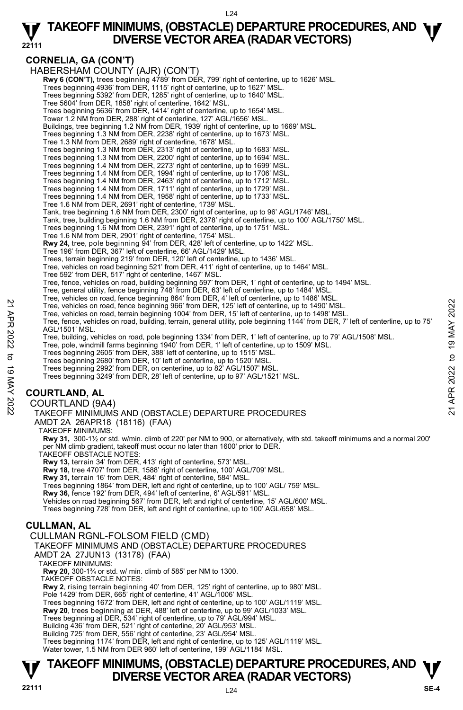#### L24

### **TAKEOFF MINIMUMS, (OBSTACLE) DEPARTURE PROCEDURES, AND**  $\Psi$ **<br>DIVERSE VECTOR AREA (RADAR VECTORS) DIVERSE VECTOR AREA (RADAR VECTORS)**

### **CORNELIA, GA (CON'T)**

**22111**  HABERSHAM COUNTY (AJR) (CON'T) **Rwy 6 (CON'T),** trees beginning 4789' from DER, 799' right of centerline, up to 1626' MSL. Trees beginning 4936' from DER, 1115' right of centerline, up to 1627' MSL. Trees beginning 5392' from DER, 1285' right of centerline, up to 1640' MSL. Tree 5604' from DER, 1858' right of centerline, 1642' MSL. Trees beginning 5636' from DER, 1414' right of centerline, up to 1654' MSL. Tower 1.2 NM from DER, 288' right of centerline, 127' AGL/1656' MSL. Buildings, tree beginning 1.2 NM from DER, 1939' right of centerline, up to 1669' MSL. Trees beginning 1.3 NM from DER, 2238' right of centerline, up to 1673' MSL. Tree 1.3 NM from DER, 2689' right of centerline, 1678' MSL. Trees beginning 1.3 NM from DER, 2313' right of centerline, up to 1683' MSL. Trees beginning 1.3 NM from DER, 2200' right of centerline, up to 1694' MSL. Trees beginning 1.4 NM from DER, 2273' right of centerline, up to 1699' MSL. Trees beginning 1.4 NM from DER, 1994' right of centerline, up to 1706' MSL. Trees beginning 1.4 NM from DER, 2463' right of centerline, up to 1712' MSL. Trees beginning 1.4 NM from DER, 1711' right of centerline, up to 1729' MSL. Trees beginning 1.4 NM from DER, 1958' right of centerline, up to 1733' MSL. Tree 1.6 NM from DER, 2691' right of centerline, 1739' MSL. Tank, tree beginning 1.6 NM from DER, 2300' right of centerline, up to 96' AGL/1746' MSL.<br>Tank, tree, building beginning 1.6 NM from DER, 2378' right of centerline, up to 100' AGL/1750' MSL. Trees beginning 1.6 NM from DER, 2391' right of centerline, up to 1751' MSL. Tree 1.6 NM from DER, 2901' right of centerline, 1754' MSL. **Rwy 24,** tree, pole beginning 94' from DER, 428' left of centerline, up to 1422' MSL. Tree 196' from DER, 367' left of centerline, 66' AGL/1429' MSL. Trees, terrain beginning 219' from DER, 120' left of centerline, up to 1436' MSL. Tree, vehicles on road beginning 521' from DER, 411' right of centerline, up to 1464' MSL. Tree 592' from DER, 517' right of centerline, 1467' MSL. Tree, fence, vehicles on road, building beginning 597' from DER, 1' right of centerline, up to 1494' MSL. Tree, general utility, fence beginning 748' from DER, 63' left of centerline, up to 1484' MSL. Tree, vehicles on road, fence beginning 864' from DER, 4' left of centerline, up to 1486' MSL. Tree, vehicles on road, fence beginning 966' from DER, 125' left of centerline, up to 1490' MSL. Tree, vehicles on road, terrain beginning 1004' from DER, 15' left of centerline, up to 1498' MSL. Tree, fence, vehicles on road, building, terrain, general utility, pole beginning 1144' from DER, 7' left of centerline, up to 75' AGL/1501' MSL. Tree, building, vehicles on road, pole beginning 1334' from DER, 1' left of centerline, up to 79' AGL/1508' MSL.<br>Tree, pole, windmill farms beginning 1940' from DER, 1' left of centerline, up to 1509' MSL. Trees beginning 2605' from DER, 388' left of centerline, up to 1515' MSL. Trees beginning 2680' from DER, 10' left of centerline, up to 1520' MSL. Trees beginning 2992' from DER, on centerline, up to 82' AGL/1507' MSL. Trees beginning 3249' from DER, 28' left of centerline, up to 97' AGL/1521' MSL. **COURTLAND, AL**  COURTLAND (9A4) TAKEOFF MINIMUMS AND (OBSTACLE) DEPARTURE PROCEDURES AMDT 2A 26APR18 (18116) (FAA) TAKEOFF MINIMUMS: **Rwy 31,** 300-1½ or std. w/min. climb of 220' per NM to 900, or alternatively, with std. takeoff minimums and a normal 200' per NM climb gradient, takeoff must occur no later than 1600' prior to DER. TAKEOFF OBSTACLE NOTES: **Rwy 13,** terrain 34' from DER, 413' right of centerline, 573' MSL. **Rwy 18,** tree 4707' from DER, 1588' right of centerline, 100' AGL/709' MSL. **Rwy 31,** terrain 16' from DER, 484' right of centerline, 584' MSL. Trees beginning 1864' from DER, left and right of centerline, up to 100' AGL/ 759' MSL. **Rwy 36,** fence 192' from DER, 494' left of centerline, 6' AGL/591' MSL. Vehicles on road beginning 567' from DER, left and right of centerline, 15' AGL/600' MSL. Trees beginning 728' from DER, left and right of centerline, up to 100' AGL/658' MSL. **CULLMAN, AL**  CULLMAN RGNL-FOLSOM FIELD (CMD) 22 Tree, vehicles on road, fence beginning 966' from DER, 125' left of centerline, up to 1490' MSL.<br>
Tree, vehicles on road, terrain beginning 1004' from DER, 125' left of centerline, up to 1498' MSL.<br>
Tree, vehicles on ro

TAKEOFF MINIMUMS AND (OBSTACLE) DEPARTURE PROCEDURES

- AMDT 2A 27JUN13 (13178) (FAA)
	- TAKEOFF MINIMUMS:
	- **Rwy 20,** 300-1¾ or std. w/ min. climb of 585' per NM to 1300.

TAKEOFF OBSTACLE NOTES:

**Rwy 2**, rising terrain beginning 40' from DER, 125' right of centerline, up to 980' MSL. Pole 1429' from DER, 665' right of centerline, 41' AGL/1006' MSL.

Trees beginning 1672' from DER, left and right of centerline, up to 100' AGL/1119' MSL.

**Rwy 20**, trees beginning at DER, 488' left of centerline, up to 99' AGL/1033' MSL. Trees beginning at DER, 534' right of centerline, up to 79' AGL/994' MSL.

Building 436' from DER, 521' right of centerline, 20' AGL/953' MSL.

Building 725' from DER, 556' right of centerline, 23' AGL/954' MSL.

Trees beginning 1174' from DER, left and right of centerline, up to 125' AGL/1119' MSL. Water tower, 1.5 NM from DER 960' left of centerline, 199' AGL/1184' MSL.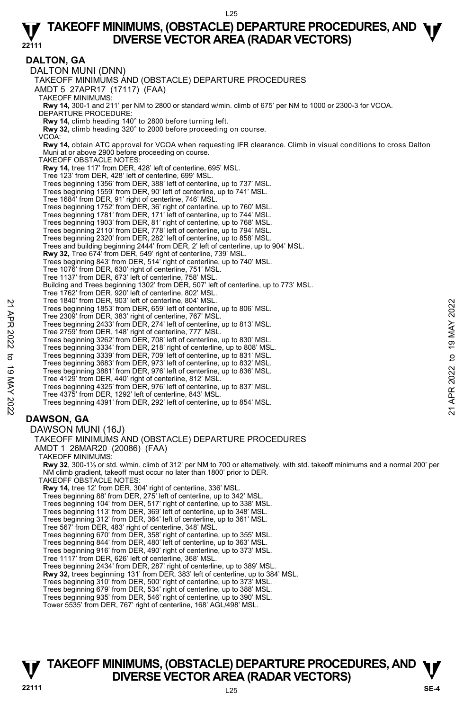#### **DALTON, GA**  DALTON MUNI (DNN) TAKEOFF MINIMUMS AND (OBSTACLE) DEPARTURE PROCEDURES AMDT 5 27APR17 (17117) (FAA) TAKEOFF MINIMUMS: **Rwy 14,** 300-1 and 211' per NM to 2800 or standard w/min. climb of 675' per NM to 1000 or 2300-3 for VCOA. DEPARTURE PROCEDURE: **Rwy 14,** climb heading 140° to 2800 before turning left. **Rwy 32,** climb heading 320° to 2000 before proceeding on course. VCOA: **Rwy 14,** obtain ATC approval for VCOA when requesting IFR clearance. Climb in visual conditions to cross Dalton Muni at or above 2900 before proceeding on course. TAKEOFF OBSTACLE NOTES: **Rwy 14,** tree 117' from DER, 428' left of centerline, 695' MSL. Tree 123' from DER, 428' left of centerline, 699' MSL. Trees beginning 1356' from DER, 388' left of centerline, up to 737' MSL. Trees beginning 1559' from DER, 90' left of centerline, up to 741' MSL. Tree 1684' from DER, 91' right of centerline, 746' MSL. Trees beginning 1752' from DER, 36' right of centerline, up to 760' MSL. Trees beginning 1781' from DER, 171' left of centerline, up to 744' MSL. Trees beginning 1903' from DER, 81' right of centerline, up to 768' MSL. Trees beginning 2110' from DER, 778' left of centerline, up to 794' MSL. Trees beginning 2320' from DER, 282' left of centerline, up to 858' MSL. Trees and building beginning 2444' from DER, 2' left of centerline, up to 904' MSL. **Rwy 32,** Tree 674' from DER, 549' right of centerline, 739' MSL. Trees beginning 843' from DER, 514' right of centerline, up to 740' MSL. Tree 1076' from DER, 630' right of centerline, 751' MSL. Tree 1137' from DER, 673' left of centerline, 758' MSL. Building and Trees beginning 1302' from DER, 507' left of centerline, up to 773' MSL. Tree 1762' from DER, 920' left of centerline, 802' MSL. Tree 1840' from DER, 903' left of centerline, 804' MSL. Trees beginning 1853' from DER, 659' left of centerline, up to 806' MSL. Tree 2309' from DER, 383' right of centerline, 767' MSL. Trees beginning 2433' from DER, 274' left of centerline, up to 813' MSL. Tree 2759' from DER, 148' right of centerline, 777' MSL. Trees beginning 3262' from DER, 708' left of centerline, up to 830' MSL. Trees beginning 3334' from DER, 218' right of centerline, up to 808' MSL. Trees beginning 3339' from DER, 709' left of centerline, up to 831' MSL. Trees beginning 3683' from DER, 973' left of centerline, up to 832' MSL. Trees beginning 3881' from DER, 976' left of centerline, up to 836' MSL. Tree 4129' from DER, 440' right of centerline, 812' MSL. Trees beginning 4325' from DER, 976' left of centerline, up to 837' MSL. Tree 4375' from DER, 1292' left of centerline, 843' MSL. Trees beginning 4391' from DER, 292' left of centerline, up to 854' MSL. **DAWSON, GA**  DAWSON MUNI (16J) TAKEOFF MINIMUMS AND (OBSTACLE) DEPARTURE PROCEDURES AMDT 1 26MAR20 (20086) (FAA) TAKEOFF MINIMUMS: **Rwy 32**, 300-1⅛ or std. w/min. climb of 312' per NM to 700 or alternatively, with std. takeoff minimums and a normal 200' per NM climb gradient, takeoff must occur no later than 1800' prior to DER. TAKEOFF OBSTACLE NOTES: **Rwy 14,** tree 12' from DER, 304' right of centerline, 336' MSL. Trees beginning 88' from DER, 275' left of centerline, up to 342' MSL. Trees beginning 104' from DER, 517' right of centerline, up to 338' MSL. Trees beginning 113' from DER, 369' left of centerline, up to 348' MSL. Trees beginning 312' from DER, 364' left of centerline, up to 361' MSL. Tree 567' from DER, 483' right of centerline, 348' MSL. Trees beginning 670' from DER, 358' right of centerline, up to 355' MSL. Trees beginning 844' from DER, 480' left of centerline, up to 363' MSL. Trees beginning 916' from DER, 490' right of centerline, up to 373' MSL. Tree 1117' from DER, 626' left of centerline, 368' MSL. Trees beginning 2434' from DER, 287' right of centerline, up to 389' MSL. **Rwy 32,** trees beginning 131' from DER, 383' left of centerline, up to 384' MSL. Trees beginning 310' from DER, 500' right of centerline, up to 373' MSL. Trees beginning 679' from DER, 534' right of centerline, up to 388' MSL. Trees beginning 935' from DER, 546' right of centerline, up to 390' MSL. Tower 5535' from DER, 767' right of centerline, 168' AGL/498' MSL. Tree 1840 from DER, 903 left of centerline, 804' MSL.<br>
Trees beginning 1853' from DER, 659' left of centerline, up to 806' MSL.<br>
Trees beginning 2433' from DER, 274' left of centerline, up to 813' MSL.<br>
Trees beginning 226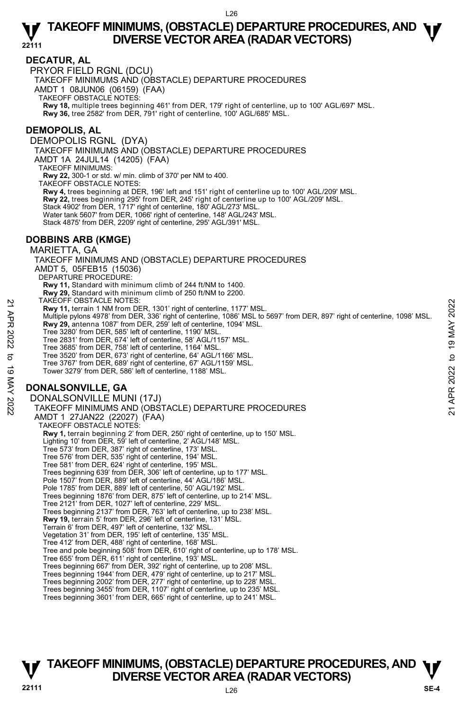### **DECATUR, AL**

PRYOR FIELD RGNL (DCU)

TAKEOFF MINIMUMS AND (OBSTACLE) DEPARTURE PROCEDURES

AMDT 1 08JUN06 (06159) (FAA)

TAKEOFF OBSTACLE NOTES:

**Rwy 18,** multiple trees beginning 461' from DER, 179' right of centerline, up to 100' AGL/697' MSL.<br>**Rwy 36,** tree 2582' from DER, 791' right of centerline, 100' AGL/685' MSL.

### **DEMOPOLIS, AL**

DEMOPOLIS RGNL (DYA) TAKEOFF MINIMUMS AND (OBSTACLE) DEPARTURE PROCEDURES AMDT 1A 24JUL14 (14205) (FAA) TAKEOFF MINIMUMS: **Rwy 22,** 300-1 or std. w/ min. climb of 370' per NM to 400. TAKEOFF OBSTACLE NOTES: **Rwy 4,** trees beginning at DER, 196' left and 151' right of centerline up to 100' AGL/209' MSL. **Rwy 22,** trees beginning 295' from DER, 245' right of centerline up to 100' AGL/209' MSL. Stack 4902' from DER, 1717' right of centerline, 180' AGL/273' MSL. Water tank 5607' from DER, 1066' right of centerline, 148' AGL/243' MSL. Stack 4875' from DER, 2209' right of centerline, 295' AGL/391' MSL.

### **DOBBINS ARB (KMGE)**

### MARIETTA, GA TAKEOFF MINIMUMS AND (OBSTACLE) DEPARTURE PROCEDURES AMDT 5, 05FEB15 (15036) DEPARTURE PROCEDURE: **Rwy 11,** Standard with minimum climb of 244 ft/NM to 1400. **Rwy 29,** Standard with minimum climb of 250 ft/NM to 2200. TAKEOFF OBSTACLE NOTES: **Rwy 11,** terrain 1 NM from DER, 1301' right of centerline, 1177' MSL. Multiple pylons 4978' from DER, 336' right of centerline, 1086' MSL to 5697' from DER, 897' right of centerline, 1098' MSL.<br>**Rwy 29,** antenna 1087' from DER, 259' left of centerline, 1094' MSL. Tree 3280' from DER, 585' left of centerline, 1190' MSL. Tree 2831' from DER, 674' left of centerline, 58' AGL/1157' MSL. Tree 3685' from DER, 758' left of centerline, 1164' MSL. Tree 3520' from DER, 673' right of centerline, 64' AGL/1166' MSL. Tree 3767' from DER, 689' right of centerline, 67' AGL/1159' MSL. Tower 3279' from DER, 586' left of centerline, 1188' MSL. **DONALSONVILLE, GA**  DONALSONVILLE MUNI (17J) TAKEOFF MINIMUMS AND (OBSTACLE) DEPARTURE PROCEDURES AMDT 1 27JAN22 (22027) (FAA) TAKEOFF OBSTACLE NOTES: **Rwy 1,** terrain beginning 2' from DER, 250' right of centerline, up to 150' MSL. Lighting 10' from DER, 59' left of centerline, 2' AGL/148' MSL. Tree 573' from DER, 387' right of centerline, 173' MSL. Tree 576' from DER, 535' right of centerline, 194' MSL. Tree 581' from DER, 624' right of centerline, 195' MSL. Trees beginning 639' from DER, 306' left of centerline, up to 177' MSL. Pole 1507' from DER, 889' left of centerline, 44' AGL/186' MSL. Pole 1785' from DER, 889' left of centerline, 50' AGL/192' MSL. Trees beginning 1876' from DER, 875' left of centerline, up to 214' MSL. Tree 2121' from DER, 1027' left of centerline, 229' MSL. Trees beginning 2137' from DER, 763' left of centerline, up to 238' MSL. **Rwy 19,** terrain 5' from DER, 296' left of centerline, 131' MSL. Terrain 6' from DER, 497' left of centerline, 132' MSL. Vegetation 31' from DER, 195' left of centerline, 135' MSL. Tree 412' from DER, 488' right of centerline, 168' MSL. Tree and pole beginning 508' from DER, 610' right of centerline, up to 178' MSL. Tree 655' from DER, 611' right of centerline, 193' MSL. Trees beginning 667' from DER, 392' right of centerline, up to 208' MSL. Trees beginning 1944' from DER, 479' right of centerline, up to 217' MSL. Trees beginning 2002' from DER, 277' right of centerline, up to 228' MSL. Trees beginning 3455' from DER, 1107' right of centerline, up to 235' MSL. Trees beginning 3601' from DER, 665' right of centerline, up to 241' MSL. 1 ARCOFF OBSTACLE NOTES:<br>
21 ARCOFF OBSTACLE NOTES, 1301' right of centerline, 1177' MSL.<br>
22 Multiple pylons 4978' from DER, 336' right of centerline, 1086' MSL to 5697' from DER, 897' right of centerline, 1098' MSL.<br>
22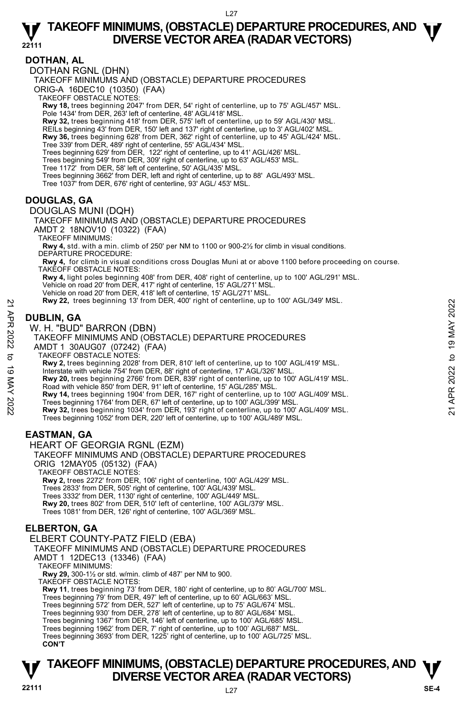**DOTHAN, AL** 

DOTHAN RGNL (DHN)

TAKEOFF MINIMUMS AND (OBSTACLE) DEPARTURE PROCEDURES

ORIG-A 16DEC10 (10350) (FAA) TAKEOFF OBSTACLE NOTES:

**Rwy 18,** trees beginning 2047' from DER, 54' right of centerline, up to 75' AGL/457' MSL.<br>Pole 1434' from DER, 263' left of centerline, 48' AGL/418' MSL.

**Rwy 32,** trees beginning 418' from DER, 575' left of centerline, up to 59' AGL/430' MSL.

- REILs beginning 43' from DER, 150' left and 137' right of centerline, up to 3' AGL/402' MSL.
- **Rwy 36,** trees beginning 628' from DER, 362' right of centerline, up to 45' AGL/424' MSL.<br>Tree 339' from DER, 489' right of centerline, 55' AGL/434' MSL.

Trees beginning 629' from DER, 122' right of centerline, up to 41' AGL/426' MSL.<br>Trees beginning 549' from DER, 309' right of centerline, up to 63' AGL/453' MSL.<br>Tree 1172' from DER, 58' left of centerline, 50' AGL/435' M

- 
- Trees beginning 3662' from DER, left and right of centerline, up to 88' AGL/493' MSL.

Tree 1037' from DER, 676' right of centerline, 93' AGL/ 453' MSL.

### **DOUGLAS, GA**

DOUGLAS MUNI (DQH)

TAKEOFF MINIMUMS AND (OBSTACLE) DEPARTURE PROCEDURES AMDT 2 18NOV10 (10322) (FAA)

TAKEOFF MINIMUMS:

**Rwy 4,** std. with a min. climb of 250' per NM to 1100 or 900-2½ for climb in visual conditions. DEPARTURE PROCEDURE:

**Rwy 4,** for climb in visual conditions cross Douglas Muni at or above 1100 before proceeding on course. TAKEOFF OBSTACLE NOTES:

**Rwy 4,** light poles beginning 408' from DER, 408' right of centerline, up to 100' AGL/291' MSL. Vehicle on road 20' from DER, 417' right of centerline, 15' AGL/271' MSL. Vehicle on road 20' from DER, 418' left of centerline, 15' AGL/271' MSL.

**Rwy 22,** trees beginning 13' from DER, 400' right of centerline, up to 100' AGL/349' MSL.

### **DUBLIN, GA**

W. H. "BUD" BARRON (DBN)

TAKEOFF MINIMUMS AND (OBSTACLE) DEPARTURE PROCEDURES AMDT 1 30AUG07 (07242) (FAA)

TAKEOFF OBSTACLE NOTES:

**Rwy 2,** trees beginning 2028' from DER, 810' left of centerline, up to 100' AGL/419' MSL.

Interstate with vehicle 754' from DER, 88' right of centerline, 17' AGL/326' MSL.<br>**Rwy 20,** trees beginning 2766' from DER, 839' right of centerline, up to 100' AGL/419' MSL. Road with vehicle 850' from DER, 91' left of centerline, 15' AGL/285' MSL. **EXAMPLE 19 APROVED THE SET AND THAT AND THAT AND THAT AND THAT AND THAT AND THAT AND THAT AND THAT AND THAT AND THAT AND THAT AND THAT AND THAT AND THAT AND THAT AND THAT AND THAT AND THAT AND THAT AND THAT AND THAT AND** 

**Rwy 14,** trees beginning 1904' from DER, 167' right of centerline, up to 100' AGL/409' MSL.

Trees beginning 1764' from DER, 67' left of centerline, up to 100' AGL/399' MSL.<br>**Rwy 32,** trees beginning 1034' from DER, 193' right of centerline, up to 100' AGL/409' MSL. Trees beginning 1052' from DER, 220' left of centerline, up to 100' AGL/489' MSL.

### **EASTMAN, GA**

HEART OF GEORGIA RGNL (EZM)

TAKEOFF MINIMUMS AND (OBSTACLE) DEPARTURE PROCEDURES

ORIG 12MAY05 (05132) (FAA) TAKEOFF OBSTACLE NOTES:

**Rwy 2,** trees 2272' from DER, 106' right of centerline, 100' AGL/429' MSL.

Trees 2833' from DER, 505' right of centerline, 100' AGL/439' MSL.

Trees 3332' from DER, 1130' right of centerline, 100' AGL/449' MSL.

**Rwy 20,** trees 802' from DER, 510' left of centerline, 100' AGL/379' MSL.

Trees 1081' from DER, 126' right of centerline, 100' AGL/369' MSL.

### **ELBERTON, GA**

#### ELBERT COUNTY-PATZ FIELD (EBA)

TAKEOFF MINIMUMS AND (OBSTACLE) DEPARTURE PROCEDURES

AMDT 1 12DEC13 (13346) (FAA)

TAKEOFF MINIMUMS:

**Rwy 29,** 300-1½ or std. w/min. climb of 487' per NM to 900.

TAKEOFF OBSTACLE NOTES:

**Rwy 11**, trees beginning 73' from DER, 180' right of centerline, up to 80' AGL/700' MSL.

Trees beginning 79' from DER, 497' left of centerline, up to 60' AGL/663' MSL.

Trees beginning 572' from DER, 527' left of centerline, up to 75' AGL/674' MSL.

Trees beginning 930' from DER, 278' left of centerline, up to 80' AGL/684' MSL.<br>Trees beginning 1367' from DER, 146' left of centerline, up to 100' AGL/685' MSL.<br>Trees beginning 1962' from DER, 7' right of centerline, up t

Trees beginning 3693' from DER, 1225' right of centerline, up to 100' AGL/725' MSL.

**CON'T**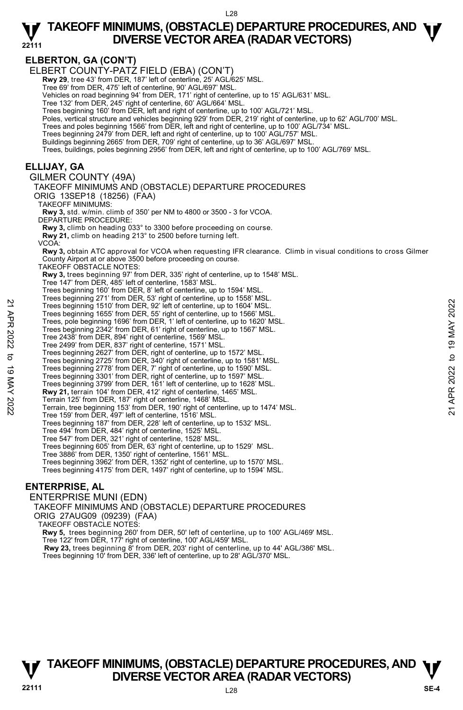**ELBERTON, GA (CON'T)**  ELBERT COUNTY-PATZ FIELD (EBA) (CON'T) **Rwy 29**, tree 43' from DER, 187' left of centerline, 25' AGL/625' MSL. Tree 69' from DER, 475' left of centerline, 90' AGL/697' MSL. Vehicles on road beginning 94' from DER, 171' right of centerline, up to 15' AGL/631' MSL. Tree 132' from DER, 245' right of centerline, 60' AGL/664' MSL. Trees beginning 160' from DER, left and right of centerline, up to 100' AGL/721' MSL. Poles, vertical structure and vehicles beginning 929' from DER, 219' right of centerline, up to 62' AGL/700' MSL. Trees and poles beginning 1566' from DER, left and right of centerline, up to 100' AGL/734' MSL. Trees beginning 2479' from DER, left and right of centerline, up to 100' AGL/757' MSL. Buildings beginning 2665' from DER, 709' right of centerline, up to 36' AGL/697' MSL. Trees, buildings, poles beginning 2956' from DER, left and right of centerline, up to 100' AGL/769' MSL. **ELLIJAY, GA**  GILMER COUNTY (49A) TAKEOFF MINIMUMS AND (OBSTACLE) DEPARTURE PROCEDURES ORIG 13SEP18 (18256) (FAA) TAKEOFF MINIMUMS: **Rwy 3,** std. w/min. climb of 350' per NM to 4800 or 3500 - 3 for VCOA. DEPARTURE PROCEDURE: **Rwy 3,** climb on heading 033° to 3300 before proceeding on course. **Rwy 21,** climb on heading 213° to 2500 before turning left. VCOA: **Rwy 3,** obtain ATC approval for VCOA when requesting IFR clearance. Climb in visual conditions to cross Gilmer County Airport at or above 3500 before proceeding on course. TAKEOFF OBSTACLE NOTES: **Rwy 3,** trees beginning 97' from DER, 335' right of centerline, up to 1548' MSL. Tree 147' from DER, 485' left of centerline, 1583' MSL. Trees beginning 160' from DER, 8' left of centerline, up to 1594' MSL. Trees beginning 271' from DER, 53' right of centerline, up to 1558' MSL. Trees beginning 1510' from DER, 92' left of centerline, up to 1604' MSL. Trees beginning 1655' from DER, 55' right of centerline, up to 1566' MSL. Trees, pole beginning 1696' from DER, 1' left of centerline, up to 1620' MSL. Trees beginning 2342' from DER, 61' right of centerline, up to 1567' MSL. Tree 2438' from DER, 894' right of centerline, 1569' MSL. Tree 2499' from DER, 837' right of centerline, 1571' MSL. Trees beginning 2627' from DER, right of centerline, up to 1572' MSL. Trees beginning 2725' from DER, 340' right of centerline, up to 1581' MSL. Trees beginning 2778' from DER, 7' right of centerline, up to 1590' MSL. Trees beginning 3301' from DER, right of centerline, up to 1597' MSL. Trees beginning 3799' from DER, 161' left of centerline, up to 1628' MSL. **Rwy 21,** terrain 104' from DER, 412' right of centerline, 1465' MSL. Terrain 125' from DER, 187' right of centerline, 1468' MSL. Terrain, tree beginning 153' from DER, 190' right of centerline, up to 1474' MSL. Tree 159' from DER, 497' left of centerline, 1516' MSL. Trees beginning 187' from DER, 228' left of centerline, up to 1532' MSL. Tree 494' from DER, 484' right of centerline, 1525' MSL. Tree 547' from DER, 321' right of centerline, 1528' MSL. Trees beginning 605' from DER, 63' right of centerline, up to 1529' MSL. Tree 3886' from DER, 1350' right of centerline, 1561' MSL. Trees beginning 3962' from DER, 1352' right of centerline, up to 1570' MSL. Trees beginning 4175' from DER, 1497' right of centerline, up to 1594' MSL. **ENTERPRISE, AL**  22 Trees beginning 1510 from DER, 92' left of centerline, up to 1604' MSL.<br>
Trees beginning 1650' from DER, 92' left of centerline, up to 1604' MSL.<br>
Trees beginning 1655' from DER, 1' left of centerline, up to 1662' MSL.<br>

ENTERPRISE MUNI (EDN) TAKEOFF MINIMUMS AND (OBSTACLE) DEPARTURE PROCEDURES ORIG 27AUG09 (09239) (FAA) TAKEOFF OBSTACLE NOTES: **Rwy 5,** trees beginning 260' from DER, 50' left of centerline, up to 100' AGL/469' MSL. Tree 122' from DER, 177' right of centerline, 100' AGL/459' MSL. **Rwy 23,** trees beginning 8' from DER, 203' right of centerline, up to 44' AGL/386' MSL. Trees beginning 10' from DER, 336' left of centerline, up to 28' AGL/370' MSL.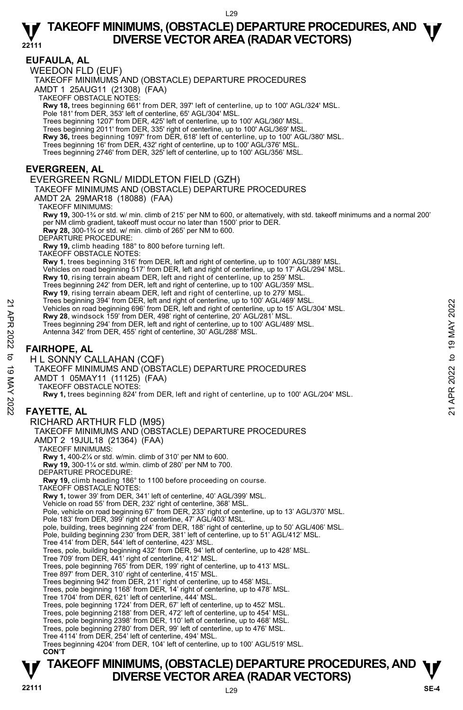### **EUFAULA, AL**

WEEDON FLD (EUF)

TAKEOFF MINIMUMS AND (OBSTACLE) DEPARTURE PROCEDURES

AMDT 1 25AUG11 (21308) (FAA)

TAKEOFF OBSTACLE NOTES:

**Rwy 18,** trees beginning 661' from DER, 397' left of centerline, up to 100' AGL/324' MSL.<br>Pole 181' from DER, 353' left of centerline, 65' AGL/304' MSL.

Trees beginning 1207' from DER, 425' left of centerline, up to 100' AGL/360' MSL.

Trees beginning 2011' from DER, 335' right of centerline, up to 100' AGL/369' MSL.

**Rwy 36,** trees beginning 1097' from DER, 618' left of centerline, up to 100' AGL/380' MSL.<br>Trees beginning 16' from DER, 432' right of centerline, up to 100' AGL/376' MSL.

Trees beginning 2746' from DER, 325' left of centerline, up to 100' AGL/356' MSL.

### **EVERGREEN, AL**

### EVERGREEN RGNL/ MIDDLETON FIELD (GZH)

TAKEOFF MINIMUMS AND (OBSTACLE) DEPARTURE PROCEDURES

AMDT 2A 29MAR18 (18088) (FAA)

TAKEOFF MINIMUMS:

**Rwy 19,** 300-1¾ or std. w/ min. climb of 215' per NM to 600, or alternatively, with std. takeoff minimums and a normal 200' per NM climb gradient, takeoff must occur no later than 1500' prior to DER. **Rwy 28,** 300-1¾ or std. w/ min. climb of 265' per NM to 600. DEPARTURE PROCEDURE: **Rwy 19,** climb heading 188° to 800 before turning left. TAKEOFF OBSTACLE NOTES: **Rwy 1**, trees beginning 316' from DER, left and right of centerline, up to 100' AGL/389' MSL. Vehicles on road beginning 517' from DER, left and right of centerline, up to 17' AGL/294' MSL.<br>**Rwy 10**, rising terrain abeam DER, left and right of centerline, up to 259' MSL. Trees beginning 242' from DER, left and right of centerline, up to 100' AGL/359' MSL.

**Rwy 19**, rising terrain abeam DER, left and right of centerline, up to 279' MSL.

Trees beginning 394' from DER, left and right of centerline, up to 100' AGL/469' MSL.

Vehicles on road beginning 696' from DER, left and right of centerline, up to 15' AGL/304' MSL.

**Rwy 28**, windsock 159' from DER, 498' right of centerline, 20' AGL/281' MSL.

Trees beginning 294' from DER, left and right of centerline, up to 100' AGL/489' MSL. Antenna 342' from DER, 455' right of centerline, 30' AGL/288' MSL.

### **FAIRHOPE, AL**

H L SONNY CALLAHAN (CQF) TAKEOFF MINIMUMS AND (OBSTACLE) DEPARTURE PROCEDURES AMDT 1 05MAY11 (11125) (FAA) TAKEOFF OBSTACLE NOTES: **Rwy 1,** trees beginning 824' from DER, left and right of centerline, up to 100' AGL/204' MSL. **FAYETTE, AL**  RICHARD ARTHUR FLD (M95) TAKEOFF MINIMUMS AND (OBSTACLE) DEPARTURE PROCEDURES AMDT 2 19JUL18 (21364) (FAA) TAKEOFF MINIMUMS: **Rwy 1,** 400-2¼ or std. w/min. climb of 310' per NM to 600. **Rwy 19,** 300-1¼ or std. w/min. climb of 280' per NM to 700. DEPARTURE PROCEDURE: **Rwy 19,** climb heading 186° to 1100 before proceeding on course. TAKEOFF OBSTACLE NOTES: **Rwy 1,** tower 39' from DER, 341' left of centerline, 40' AGL/399' MSL. Vehicle on road 55' from DER, 232' right of centerline, 368' MSL. Pole, vehicle on road beginning 67' from DER, 233' right of centerline, up to 13' AGL/370' MSL. Pole 183' from DER, 399' right of centerline, 47' AGL/403' MSL. pole, building, trees beginning 224' from DER, 188' right of centerline, up to 50' AGL/406' MSL. Pole, building beginning 230' from DER, 381' left of centerline, up to 51' AGL/412' MSL. Tree 414' from DER, 544' left of centerline, 423' MSL. Trees, pole, building beginning 432' from DER, 94' left of centerline, up to 428' MSL. Tree 709' from DER, 441' right of centerline, 412' MSL. Trees, pole beginning 765' from DER, 199' right of centerline, up to 413' MSL. Tree 897' from DER, 310' right of centerline, 415' MSL. Trees beginning 942' from DER, 211' right of centerline, up to 458' MSL. Trees, pole beginning 1168' from DER, 14' right of centerline, up to 478' MSL. Tree 1704' from DER, 621' left of centerline, 444' MSL. Trees, pole beginning 1724' from DER, 67' left of centerline, up to 452' MSL. Trees, pole beginning 2188' from DER, 472' left of centerline, up to 454' MSL. Trees, pole beginning 2398' from DER, 110' left of centerline, up to 468' MSL. Trees, pole beginning 2780' from DER, 99' left of centerline, up to 476' MSL. Tree 4114' from DER, 254' left of centerline, 494' MSL. Trees beginning 4204' from DER, 104' left of centerline, up to 100' AGL/519' MSL. **CON'T** Vehicles on praid 394' from DER, left and right of centerline, up to 100 AGL/489' MSL.<br>
These beginning 696' from DER, 498' right of centerline, up to 15' AGL/304' MSL.<br>
Trees beginning 294' from DER, left and right of cen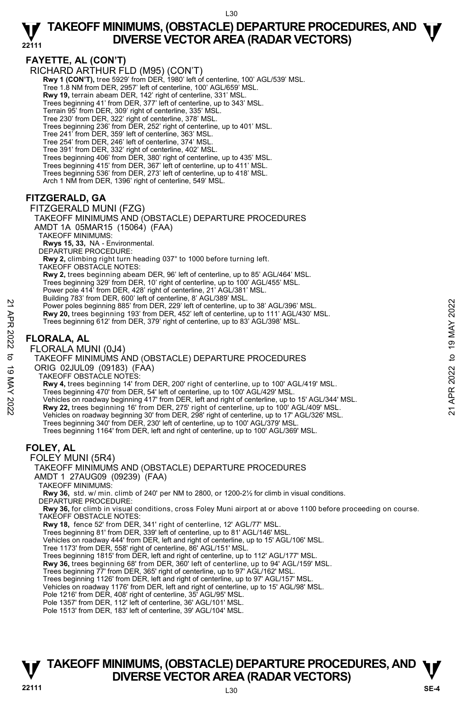### **FAYETTE, AL (CON'T)**

RICHARD ARTHUR FLD (M95) (CON'T)

**Rwy 1 (CON'T),** tree 5929' from DER, 1980' left of centerline, 100' AGL/539' MSL.

Tree 1.8 NM from DER, 2957' left of centerline, 100' AGL/659' MSL.

- **Rwy 19,** terrain abeam DER, 142' right of centerline, 331' MSL.
- Trees beginning 41' from DER, 377' left of centerline, up to 343' MSL.
- Terrain 95' from DER, 309' right of centerline, 335' MSL. Tree 230' from DER, 322' right of centerline, 378' MSL.
- Trees beginning 236' from DER, 252' right of centerline, up to 401' MSL.
- 
- Tree 241' from DER, 359' left of centerline, 363' MSL. Tree 254' from DER, 246' left of centerline, 374' MSL.
- Tree 391' from DER, 332' right of centerline, 402' MSL.
- 
- Trees beginning 406' from DER, 380' right of centerline, up to 435' MSL. Trees beginning 415' from DER, 367' left of centerline, up to 411' MSL.
- Trees beginning 536' from DER, 273' left of centerline, up to 418' MSL.
- Arch 1 NM from DER, 1396' right of centerline, 549' MSL.

### **FITZGERALD, GA**

#### FITZGERALD MUNI (FZG)

TAKEOFF MINIMUMS AND (OBSTACLE) DEPARTURE PROCEDURES AMDT 1A 05MAR15 (15064) (FAA) TAKEOFF MINIMUMS: **Rwys 15, 33,** NA - Environmental. DEPARTURE PROCEDURE: **Rwy 2,** climbing right turn heading 037° to 1000 before turning left.

TAKEOFF OBSTACLE NOTES:

**Rwy 2,** trees beginning abeam DER, 96' left of centerline, up to 85' AGL/464' MSL.

- Trees beginning 329' from DER, 10' right of centerline, up to 100' AGL/455' MSL.
- Power pole 414' from DER, 428' right of centerline, 21' AGL/381' MSL.
- Building 783' from DER, 600' left of centerline, 8' AGL/389' MSL.

Power poles beginning 885' from DER, 229' left of centerline, up to 38' AGL/396' MSL. **Rwy 20,** trees beginning 193' from DER, 452' left of centerline, up to 111' AGL/430' MSL. Power poles beginning 885 from DER, 229 left of centerline, up to 38' AGL/396' MSL.<br>
Rwy 20, trees beginning 193' from DER, 452' left of centerline, up to 38' AGL/396' MSL.<br>
Trees beginning 612' from DER, 379' right of cen

Trees beginning 612' from DER, 379' right of centerline, up to 83' AGL/398' MSL.

### **FLORALA, AL**

FLORALA MUNI (0J4)

### TAKEOFF MINIMUMS AND (OBSTACLE) DEPARTURE PROCEDURES

ORIG 02JUL09 (09183) (FAA)

TAKEOFF OBSTACLE NOTES:

**Rwy 4,** trees beginning 14' from DER, 200' right of centerline, up to 100' AGL/419' MSL.

Trees beginning 470' from DER, 54' left of centerline, up to 100' AGL/429' MSL.

- Vehicles on roadway beginning 30' from DER, 298' right of centerline, up to 17' AGL/326' MSL.
- Trees beginning 340' from DER, 230' left of centerline, up to 100' AGL/379' MSI
- Trees beginning 1164' from DER, left and right of centerline, up to 100' AGL/369' MSL.

### **FOLEY, AL**

FOLEY MUNI (5R4)

TAKEOFF MINIMUMS AND (OBSTACLE) DEPARTURE PROCEDURES AMDT 1 27AUG09 (09239) (FAA)

TAKEOFF MINIMUMS:

**Rwy 36,** std. w/ min. climb of 240' per NM to 2800, or 1200-2½ for climb in visual conditions. DEPARTURE PROCEDURE:

**Rwy 36,** for climb in visual conditions, cross Foley Muni airport at or above 1100 before proceeding on course. TAKEOFF OBSTACLE NOTES:

- **Rwy 18,** fence 52' from DER, 341' right of centerline, 12' AGL/77' MSL.
- Trees beginning 81' from DER, 339' left of centerline, up to 81' AGL/146' MSL.
- Vehicles on roadway 444' from DER, left and right of centerline, up to 15' AGL/106' MSL.
- Tree 1173' from DER, 558' right of centerline, 86' AGL/151' MSL.

Trees beginning 1815' from DER, left and right of centerline, up to 112' AGL/177' MSL.

**Rwy 36,** trees beginning 68' from DER, 360' left of centerline, up to 94' AGL/159' MSL.<br>Trees beginning 77' from DER, 365' right of centerline, up to 97' AGL/162' MSL.

Trees beginning 1126' from DER, left and right of centerline, up to 97' AGL/157' MSL.

Vehicles on roadway 1176' from DER, left and right of centerline, up to 15' AGL/98' MSL. Pole 1216' from DER, 408' right of centerline, 35' AGL/95' MSL.

Pole 1357' from DER, 112' left of centerline, 36' AGL/101' MSL.

Pole 1513' from DER, 183' left of centerline, 39' AGL/104' MSL.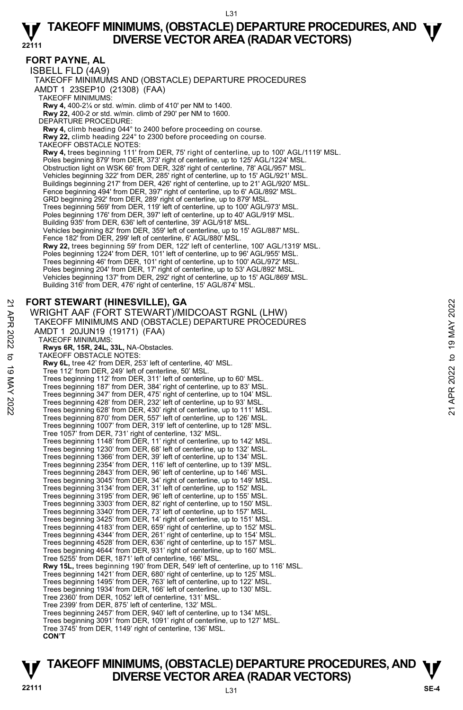### **FORT PAYNE, AL**

ISBELL FLD (4A9)

TAKEOFF MINIMUMS AND (OBSTACLE) DEPARTURE PROCEDURES

AMDT 1 23SEP10 (21308) (FAA)

TAKEOFF MINIMUMS:

**Rwy 4,** 400-2¼ or std. w/min. climb of 410' per NM to 1400. **Rwy 22,** 400-2 or std. w/min. climb of 290' per NM to 1600.

DEPARTURE PROCEDURE:

**Rwy 4,** climb heading 044° to 2400 before proceeding on course.

**Rwy 22,** climb heading 224° to 2300 before proceeding on course. TAKEOFF OBSTACLE NOTES:

**Rwy 4,** trees beginning 111' from DER, 75' right of centerline, up to 100' AGL/1119' MSL. Poles beginning 879' from DER, 373' right of centerline, up to 125' AGL/1224' MSL. Obstruction light on WSK 66' from DER, 328' right of centerline, 78' AGL/957' MSL. Vehicles beginning 322' from DER, 285' right of centerline, up to 15' AGL/921' MSL. Buildings beginning 217' from DER, 426' right of centerline, up to 21' AGL/920' MSL. Fence beginning 494' from DER, 397' right of centerline, up to 6' AGL/892' MSL. GRD beginning 292' from DER, 289' right of centerline, up to 879' MSL. Trees beginning 569' from DER, 119' left of centerline, up to 100' AGL/973' MSL. Poles beginning 176' from DER, 397' left of centerline, up to 40' AGL/919' MSL. Building 935' from DER, 636' left of centerline, 39' AGL/918' MSL. Vehicles beginning 82' from DER, 359' left of centerline, up to 15' AGL/887' MSL. Fence 182' from DER, 299' left of centerline, 6' AGL/880' MSL. **Rwy 22,** trees beginning 59' from DER, 122' left of centerline, 100' AGL/1319' MSL. Poles beginning 1224' from DER, 101' left of centerline, up to 96' AGL/955' MSL. Trees beginning 46' from DER, 101' right of centerline, up to 100' AGL/972' MSL. Poles beginning 204' from DER, 17' right of centerline, up to 53' AGL/892' MSL. Vehicles beginning 137' from DER, 292' right of centerline, up to 15' AGL/869' MSL. Building 316' from DER, 476' right of centerline, 15' AGL/874' MSL.

### **FORT STEWART (HINESVILLE), GA**

```
WRIGHT AAF (FORT STEWART)/MIDCOAST RGNL (LHW) 
          TAKEOFF MINIMUMS AND (OBSTACLE) DEPARTURE PROCEDURES 
          AMDT 1 20JUN19 (19171) (FAA) 
           TAKEOFF MINIMUMS: 
             Rwys 6R, 15R, 24L, 33L, NA-Obstacles. 
           TAKEOFF OBSTACLE NOTES: 
             Rwy 6L, tree 42' from DER, 253' left of centerline, 40' MSL. 
             Tree 112' from DER, 249' left of centerline, 50' MSL. 
              Trees beginning 112' from DER, 311' left of centerline, up to 60' MSL. 
Trees beginning 187' from DER, 384' right of centerline, up to 83' MSL. 
             Trees beginning 347' from DER, 475' right of centerline, up to 104' MSL. 
              Trees beginning 428' from DER, 232' left of centerline, up to 93' MSL. 
Trees beginning 628' from DER, 430' right of centerline, up to 111' MSL. 
             Trees beginning 870' from DER, 557' left of centerline, up to 126' MSL. 
              Trees beginning 1007' from DER, 319' left of centerline, up to 128' MSL. 
Tree 1057' from DER, 731' right of centerline, 132' MSL. 
             Trees beginning 1148' from DER, 11' right of centerline, up to 142' MSL. 
             Trees beginning 1230' from DER, 68' left of centerline, up to 132' MSL. 
             Trees beginning 1366' from DER, 39' left of centerline, up to 134' MSL. 
             Trees beginning 2354' from DER, 116' left of centerline, up to 139' MSL. 
             Trees beginning 2843' from DER, 96' left of centerline, up to 146' MSL. 
             Trees beginning 3045' from DER, 34' right of centerline, up to 149' MSL. 
Trees beginning 3134' from DER, 31' left of centerline, up to 152' MSL. 
             Trees beginning 3195' from DER, 96' left of centerline, up to 155' MSL. 
              Trees beginning 3303' from DER, 82' right of centerline, up to 150' MSL. 
Trees beginning 3340' from DER, 73' left of centerline, up to 157' MSL. 
             Trees beginning 3425' from DER, 14' right of centerline, up to 151' MSL. 
             Trees beginning 4183' from DER, 659' right of centerline, up to 152' MSL. 
              Trees beginning 4344' from DER, 261' right of centerline, up to 154' MSL. 
Trees beginning 4528' from DER, 636' right of centerline, up to 157' MSL. 
             Trees beginning 4644' from DER, 931' right of centerline, up to 160' MSL. 
             Tree 5255' from DER, 1871' left of centerline, 166' MSL. 
             Rwy 15L, trees beginning 190' from DER, 549' left of centerline, up to 116' MSL. 
             Trees beginning 1421' from DER, 680' right of centerline, up to 125' MSL. 
              Trees beginning 1495' from DER, 763' left of centerline, up to 122' MSL. 
Trees beginning 1934' from DER, 166' left of centerline, up to 130' MSL. 
             Tree 2360' from DER, 1052' left of centerline, 131' MSL. 
             Tree 2399' from DER, 875' left of centerline, 132' MSL. 
              Trees beginning 2457' from DER, 940' left of centerline, up to 134' MSL. 
Trees beginning 3091' from DER, 1091' right of centerline, up to 127' MSL. 
             Tree 3745' from DER, 1149' right of centerline, 136' MSL. 
             CON'T
FORT STEWART (HINESVILLE), GA<br>
WIRGHT AAF (FORT STEWART)/MIDCOAST RGNL (LHW)<br>
TAKEOFF MINIMUMS AND (OBSTACLE) DEPARTURE PROCEDURES<br>
ANDT 1 20JUN19 (19171) (FAA)<br>
TAKEOFF MINIMUMS:<br>
TAKEOFF MINIMUMS:<br>
TAKEOFF MINIMUMS:<br>
```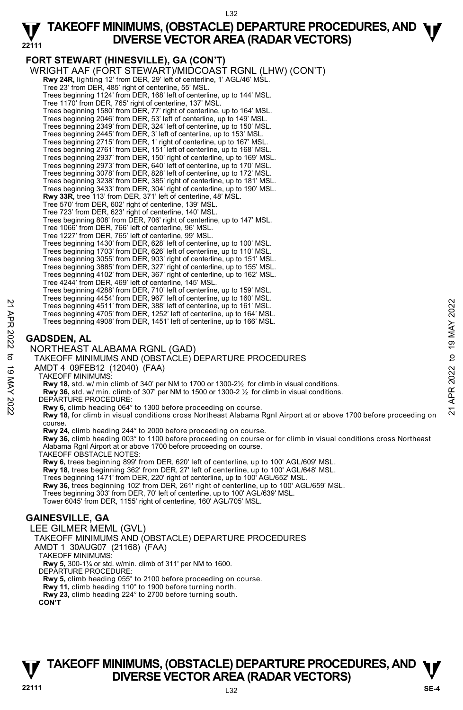L32

### **TAKEOFF MINIMUMS, (OBSTACLE) DEPARTURE PROCEDURES, AND**  $\Psi$ **<br>DIVERSE VECTOR AREA (RADAR VECTORS) DIVERSE VECTOR AREA (RADAR VECTORS)**

**22111 FORT STEWART (HINESVILLE), GA (CON'T)**  WRIGHT AAF (FORT STEWART)/MIDCOAST RGNL (LHW) (CON'T) **Rwy 24R,** lighting 12' from DER, 29' left of centerline, 1' AGL/46' MSL. Tree 23' from DER, 485' right of centerline, 55' MSL. Trees beginning 1124' from DER, 168' left of centerline, up to 144' MSL. Tree 1170' from DER, 765' right of centerline, 137' MSL. Trees beginning 1580' from DER, 77' right of centerline, up to 164' MSL. Trees beginning 2046' from DER, 53' left of centerline, up to 149' MSL. Trees beginning 2349' from DER, 324' left of centerline, up to 150' MSL. Trees beginning 2445' from DER, 3' left of centerline, up to 153' MSL. Trees beginning 2715' from DER, 1' right of centerline, up to 167' MSL. Trees beginning 2761' from DER, 151' left of centerline, up to 168' MSL.<br>Trees beginning 2937' from DER, 150' right of centerline, up to 169' MSL.<br>Trees beginning 2973' from DER, 640' left of centerline, up to 170' MSL. Trees beginning 3078' from DER, 828' left of centerline, up to 172' MSL. Trees beginning 3238' from DER, 385' right of centerline, up to 181' MSL. Trees beginning 3433' from DER, 304' right of centerline, up to 190' MSL.<br>**Rwy 33R,** tree 113' from DER, 371' left of centerline, 48' MSL. Tree 570' from DER, 602' right of centerline, 139' MSL. Tree 723' from DER, 623' right of centerline, 140' MSL. Trees beginning 808' from DER, 706' right of centerline, up to 147' MSL. Tree 1066' from DER, 766' left of centerline, 96' MSL. Tree 1227' from DER, 765' left of centerline, 99' MSL. Trees beginning 1430' from DER, 628' left of centerline, up to 100' MSL. Trees beginning 1703' from DER, 626' left of centerline, up to 110' MSL. Trees beginning 3055' from DER, 903' right of centerline, up to 151' MSL. Trees beginning 3885' from DER, 327' right of centerline, up to 155' MSL. Trees beginning 4102' from DER, 367' right of centerline, up to 162' MSL. Tree 4244' from DER, 469' left of centerline, 145' MSL. Trees beginning 4288' from DER, 710' left of centerline, up to 159' MSL. Trees beginning 4454' from DER, 967' left of centerline, up to 160' MSL. Trees beginning 4511' from DER, 388' left of centerline, up to 161' MSL. Trees beginning 4705' from DER, 1252' left of centerline, up to 164' MSL. Trees beginning 4908' from DER, 1451' left of centerline, up to 166' MSL. **GADSDEN, AL**  NORTHEAST ALABAMA RGNL (GAD) TAKEOFF MINIMUMS AND (OBSTACLE) DEPARTURE PROCEDURES AMDT 4 09FEB12 (12040) (FAA) TAKEOFF MINIMUMS: **Rwy 18,** std. w/ min climb of 340' per NM to 1700 or 1300-2½ for climb in visual conditions. **Rwy 36,** std. w/ min. climb of 307' per NM to 1500 or 1300-2 ½ for climb in visual conditions. DEPARTURE PROCEDURE: **Rwy 6,** climb heading 064° to 1300 before proceeding on course. **Rwy 18,** for climb in visual conditions cross Northeast Alabama Rgnl Airport at or above 1700 before proceeding on course. **Rwy 24,** climb heading 244° to 2000 before proceeding on course. **Rwy 36,** climb heading 003° to 1100 before proceeding on course or for climb in visual conditions cross Northeast Alabama Rgnl Airport at or above 1700 before proceeding on course. TAKEOFF OBSTACLE NOTES: **Rwy 6,** trees beginning 899' from DER, 620' left of centerline, up to 100' AGL/609' MSL. **Rwy 18,** trees beginning 362' from DER, 27' left of centerline, up to 100' AGL/648' MSL. Trees beginning 1471' from DER, 220' right of centerline, up to 100' AGL/652' MSL.<br>**Rwy 36,** trees beginning 102' from DER, 261' right of centerline, up to 100' AGL/659' MSL. Trees beginning 303' from DER, 70' left of centerline, up to 100' AGL/639' MSL. Tower 6045' from DER, 1155' right of centerline, 160' AGL/705' MSL. **GAINESVILLE, GA**  LEE GILMER MEML (GVL) TAKEOFF MINIMUMS AND (OBSTACLE) DEPARTURE PROCEDURES AMDT 1 30AUG07 (21168) (FAA) TAKEOFF MINIMUMS: **Rwy 5,** 300-1¼ or std. w/min. climb of 311' per NM to 1600. DEPARTURE PROCEDURE: **Rwy 5,** climb heading 055° to 2100 before proceeding on course. **Rwy 11,** climb heading 110° to 1900 before turning north. **Rwy 23,** climb heading 224° to 2700 before turning south. **CON'T**  Trees beginning 45011 from DER, 388 left of centerline, up to 161' MSL.<br>
Trees beginning 4705' from DER, 388' left of centerline, up to 164' MSL.<br>
Trees beginning 4705' from DER, 1252' left of centerline, up to 166' MSL.<br>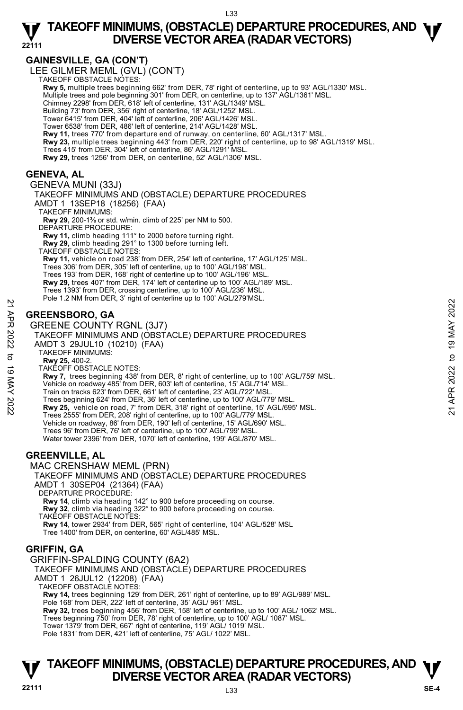### **GAINESVILLE, GA (CON'T)**

LEE GILMER MEML (GVL) (CON'T) TAKEOFF OBSTACLE NOTES:

**Rwy 5,** multiple trees beginning 662' from DER, 78' right of centerline, up to 93' AGL/1330' MSL. Multiple trees and pole beginning 301' from DER, on centerline, up to 137' AGL/1361' MSL. Chimney 2298' from DER, 618' left of centerline, 131' AGL/1349' MSL. Building 73' from DER, 356' right of centerline, 18' AGL/1252' MSL.

Tower 6415' from DER, 404' left of centerline, 206' AGL/1426' MSL.

- Tower 6538' from DER, 486' left of centerline, 214' AGL/1428' MSL.
- **Rwy 11,** trees 770' from departure end of runway, on centerline, 60' AGL/1317' MSL.<br>**Rwy 23,** multiple trees beginning 443' from DER, 220' right of centerline, up to 98' AGL/1319' MSL.

Trees 415' from DER, 304' left of centerline, 86' AGL/1291' MSL.

**Rwy 29,** trees 1256' from DER, on centerline, 52' AGL/1306' MSL.

### **GENEVA, AL**

GENEVA MUNI (33J) TAKEOFF MINIMUMS AND (OBSTACLE) DEPARTURE PROCEDURES AMDT 1 13SEP18 (18256) (FAA) TAKEOFF MINIMUMS: **Rwy 29,** 200-1⅜ or std. w/min. climb of 225' per NM to 500. DEPARTURE PROCEDURE: **Rwy 11,** climb heading 111° to 2000 before turning right. **Rwy 29,** climb heading 291° to 1300 before turning left. TAKEOFF OBSTACLE NOTES: **Rwy 11,** vehicle on road 238' from DER, 254' left of centerline, 17' AGL/125' MSL. Trees 306' from DER, 305' left of centerline, up to 100' AGL/198' MSL. Trees 193' from DER, 168' right of centerline up to 100' AGL/196' MSL. **Rwy 29,** trees 407' from DER, 174' left of centerline up to 100' AGL/189' MSL. Trees 1393' from DER, crossing centerline, up to 100' AGL/236' MSL. Pole 1.2 NM from DER, 3' right of centerline up to 100' AGL/279'MSL. **GREENSBORO, GA**  GREENE COUNTY RGNL (3J7) TAKEOFF MINIMUMS AND (OBSTACLE) DEPARTURE PROCEDURES AMDT 3 29JUL10 (10210) (FAA) TAKEOFF MINIMUMS: **Rwy 25,** 400-2. TAKEOFF OBSTACLE NOTES: **Rwy 7,** trees beginning 438' from DER, 8' right of centerline, up to 100' AGL/759' MSL. Vehicle on roadway 485' from DER, 603' left of centerline, 15' AGL/714' MSL. Train on tracks 623' from DER, 661' left of centerline, 23' AGL/722' MSL. Trees beginning 624' from DER, 36' left of centerline, up to 100' AGL/779' MSL. **Rwy 25,** vehicle on road, 7' from DER, 318' right of centerline, 15' AGL/695' MSL. Trees 2555' from DER, 208' right of centerline, up to 100' AGL/779' MSL. Vehicle on roadway, 86' from DER, 190' left of centerline, 15' AGL/690' MSL. Trees 96' from DER, 76' left of centerline, up to 100' AGL/799' MSL. Water tower 2396' from DER, 1070' left of centerline, 199' AGL/870' MSL. **GREENVILLE, AL**  MAC CRENSHAW MEML (PRN) **32**<br> **21** CREENSBORO, GA<br>
GREENS COUNTY RGNL (3J7)<br>
TAKEOFF MINIMUMS AND (OBSTACLE) DEPARTURE PROCEDURES<br>
AMDT 3 29JUL10 (10210) (FAA)<br>
AMDT 3 29JUL10 (10210) (FAA)<br>
TAKEOFF MINIMUMS:<br>
TAKEOFF MINIMUMS:<br>
TAKEOFF MINIMUMS

TAKEOFF MINIMUMS AND (OBSTACLE) DEPARTURE PROCEDURES AMDT 1 30SEP04 (21364) (FAA) DEPARTURE PROCEDURE: **Rwy 14**, climb via heading 142° to 900 before proceeding on course. **Rwy 32**, climb via heading 322° to 900 before proceeding on course. TAKEOFF OBSTACLE NOTES: **Rwy 14**, tower 2934' from DER, 565' right of centerline, 104' AGL/528' MSL Tree 1400' from DER, on centerline, 60' AGL/485' MSL.

### **GRIFFIN, GA**

GRIFFIN-SPALDING COUNTY (6A2) TAKEOFF MINIMUMS AND (OBSTACLE) DEPARTURE PROCEDURES AMDT 1 26JUL12 (12208) (FAA) TAKEOFF OBSTACLE NOTES: **Rwy 14,** trees beginning 129' from DER, 261' right of centerline, up to 89' AGL/989' MSL. Pole 168' from DER, 222' left of centerline, 35' AGL/ 961' MSL. **Rwy 32,** trees beginning 456' from DER, 158' left of centerline, up to 100' AGL/ 1062' MSL. Trees beginning 750' from DER, 78' right of centerline, up to 100' AGL/ 1087' MSL. Tower 1379' from DER, 667' right of centerline, 119' AGL/ 1019' MSL.

Pole 1831' from DER, 421' left of centerline, 75' AGL/ 1022' MSL.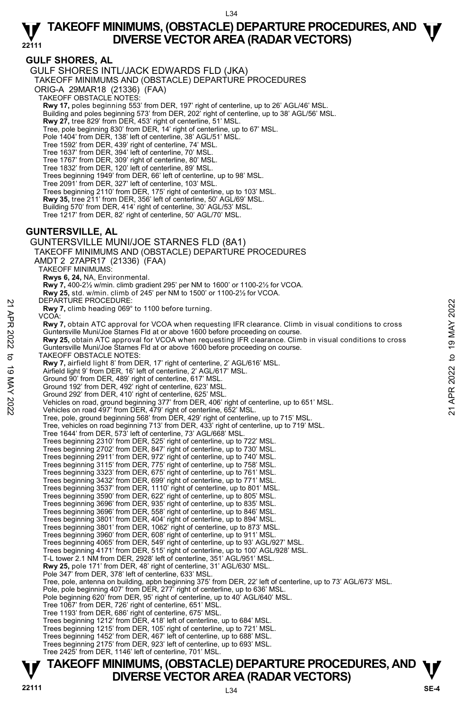### **GULF SHORES, AL**

GULF SHORES INTL/JACK EDWARDS FLD (JKA)

TAKEOFF MINIMUMS AND (OBSTACLE) DEPARTURE PROCEDURES

ORIG-A 29MAR18 (21336) (FAA)

TAKEOFF OBSTACLE NOTES:

**Rwy 17,** poles beginning 553' from DER, 197' right of centerline, up to 26' AGL/46' MSL.<br>Building and poles beginning 573' from DER, 202' right of centerline, up to 38' AGL/56' MSL.

**Rwy 27,** tree 829' from DER, 453' right of centerline, 51' MSL.

Tree, pole beginning 830' from DER, 14' right of centerline, up to 67' MSL.

Pole 1404' from DER, 138' left of centerline, 38' AGL/51' MSL. Tree 1592' from DER, 439' right of centerline, 74' MSL.

Tree 1637' from DER, 394' left of centerline, 70' MSL.

Tree 1767' from DER, 309' right of centerline, 80' MSL. Tree 1832' from DER, 120' left of centerline, 89' MSL.

Trees beginning 1949' from DER, 66' left of centerline, up to 98' MSL.

Tree 2091' from DER, 327' left of centerline, 103' MSL.

Trees beginning 2110' from DER, 175' right of centerline, up to 103' MSL.

**Rwy 35,** tree 211' from DER, 356' left of centerline, 50' AGL/69' MSL.

Building 570' from DER, 414' right of centerline, 30' AGL/53' MSL.

Tree 1217' from DER, 82' right of centerline, 50' AGL/70' MSL.

### **GUNTERSVILLE, AL**

GUNTERSVILLE MUNI/JOE STARNES FLD (8A1) TAKEOFF MINIMUMS AND (OBSTACLE) DEPARTURE PROCEDURES AMDT 2 27APR17 (21336) (FAA) TAKEOFF MINIMUMS: **Rwys 6, 24,** NA, Environmental. **Rwy 7,** 400-2½ w/min. climb gradient 295' per NM to 1600' or 1100-2½ for VCOA. **Rwy 25,** std. w/min. climb of 245' per NM to 1500' or 1100-2½ for VCOA. DEPARTURE PROCEDURE **Rwy 7,** climb heading 069° to 1100 before turning. VCOA: **Rwy 7,** obtain ATC approval for VCOA when requesting IFR clearance. Climb in visual conditions to cross Guntersville Muni/Joe Starnes Fld at or above 1600 before proceeding on course. **Rwy 25,** obtain ATC approval for VCOA when requesting IFR clearance. Climb in visual conditions to cross Guntersville Muni/Joe Starnes Fld at or above 1600 before proceeding on course. TAKEOFF OBSTACLE NOTES: **Rwy 7,** airfield light 8' from DER, 17' right of centerline, 2' AGL/616' MSL. Airfield light 9' from DER, 16' left of centerline, 2' AGL/617' MSL. Ground 90' from DER, 489' right of centerline, 617' MSL. Ground 192' from DER, 492' right of centerline, 623' MSL. Ground 292' from DER, 410' right of centerline, 625' MSL. Vehicles on road, ground beginning 377' from DER, 406' right of centerline, up to 651' MSL. Vehicles on road 497' from DER, 479' right of centerline, 652' MSL. Tree, pole, ground beginning 568' from DER, 429' right of centerline, up to 715' MSL. Tree, vehicles on road beginning 713' from DER, 433' right of centerline, up to 719' MSL. Tree 1644' from DER, 573' left of centerline, 73' AGL/668' MSL. Trees beginning 2310' from DER, 525' right of centerline, up to 722' MSL. Trees beginning 2702' from DER, 847' right of centerline, up to 730' MSL. Trees beginning 2911' from DER, 972' right of centerline, up to 740' MSL. Trees beginning 3115' from DER, 775' right of centerline, up to 758' MSL. Trees beginning 3323' from DER, 675' right of centerline, up to 761' MSL. Trees beginning 3432' from DER, 699' right of centerline, up to 771' MSL.<br>Trees beginning 3537' from DER, 1110' right of centerline, up to 801' MSL.<br>Trees beginning 3590' from DER, 622' right of centerline, up to 805' MSL. Trees beginning 3696' from DER, 935' right of centerline, up to 835' MSL. Trees beginning 3696' from DER, 558' right of centerline, up to 846' MSL. Trees beginning 3801' from DER, 404' right of centerline, up to 894' MSL. Trees beginning 3801' from DER, 1062' right of centerline, up to 873' MSL. Trees beginning 3960' from DER, 608' right of centerline, up to 911' MSL. Trees beginning 4065' from DER, 549' right of centerline, up to 93' AGL/927' MSL. Trees beginning 4171' from DER, 515' right of centerline, up to 100' AGL/928' MSL. T-L tower 2.1 NM from DER, 2928' left of centerline, 351' AGL/951' MSL. **Rwy 25,** pole 171' from DER, 48' right of centerline, 31' AGL/630' MSL. Pole 347' from DER, 378' left of centerline, 633' MSL. Tree, pole, antenna on building, apbn beginning 375' from DER, 22' left of centerline, up to 73' AGL/673' MSL.<br>Pole, pole beginning 407' from DER, 277' right of centerline, up to 636' MSL. Pole beginning 620' from DER, 95' right of centerline, up to 40' AGL/640' MSL. Tree 1067' from DER, 726' right of centerline, 651' MSL. Tree 1193' from DER, 686' right of centerline, 675' MSL.<br>Trees beginning 1212' from DER, 418' left of centerline, up to 684' MSL.<br>Trees beginning 1215' from DER, 105' right of centerline, up to 721' MSL. Trees beginning 1452' from DER, 467' left of centerline, up to 688' MSL. Trees beginning 2175' from DER, 923' left of centerline, up to 693' MSL. Tree 2425' from DER, 1146' left of centerline, 701' MSL. **EXERVIORE PROCEDURE:**<br> **21 EWY 7,** climb heading 069° to 1100 before turning.<br> **21 Rwy 7,** obtain ATC approval for VCOA when requesting IFR clearance. Climb in visual conditions to cross<br> **22 Contersville Muni/Joe Stam**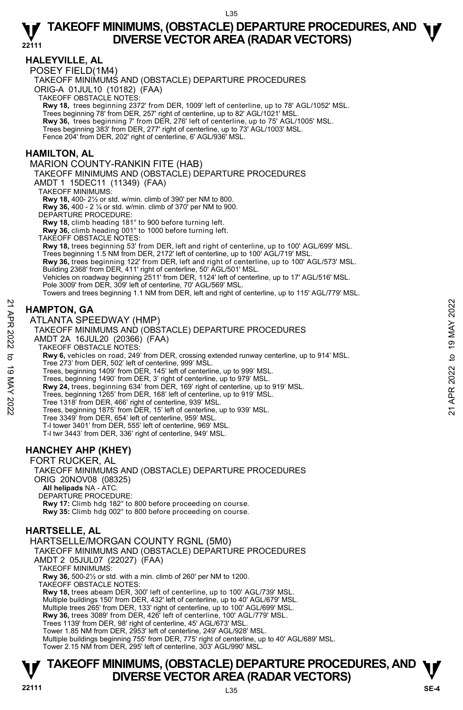**22111** 

### **HALEYVILLE, AL**

POSEY FIELD(1M4)

TAKEOFF MINIMUMS AND (OBSTACLE) DEPARTURE PROCEDURES

ORIG-A 01JUL10 (10182) (FAA) TAKEOFF OBSTACLE NOTES:

**Rwy 18,** trees beginning 2372' from DER, 1009' left of centerline, up to 78' AGL/1052' MSL.<br>Trees beginning 78' from DER, 257' right of centerline, up to 82' AGL/1021' MSL. **Rwy 36,** trees beginning 7' from DER, 276' left of centerline, up to 75' AGL/1005' MSL. Trees beginning 383' from DER, 277' right of centerline, up to 73' AGL/1003' MSL. Fence 204' from DER, 202' right of centerline, 6' AGL/936' MSL.

### **HAMILTON, AL**

MARION COUNTY-RANKIN FITE (HAB) TAKEOFF MINIMUMS AND (OBSTACLE) DEPARTURE PROCEDURES AMDT 1 15DEC11 (11349) (FAA) TAKEOFF MINIMUMS: **Rwy 18,** 400- 2½ or std. w/min. climb of 390' per NM to 800. **Rwy 36,** 400 - 2 ¼ or std. w/min. climb of 370' per NM to 900. DEPARTURE PROCEDURE **Rwy 18,** climb heading 181° to 900 before turning left. **Rwy 36,** climb heading 001° to 1000 before turning left. TAKEOFF OBSTACLE NOTES: **Rwy 18,** trees beginning 53' from DER, left and right of centerline, up to 100' AGL/699' MSL. Trees beginning 1.5 NM from DER, 2172' left of centerline, up to 100' AGL/719' MSL. **Rwy 36,** trees beginning 122' from DER, left and right of centerline, up to 100' AGL/573' MSL. Building 2368' from DER, 411' right of centerline, 50' AGL/501' MSL.<br>Vehicles on roadway beginning 2511' from DER, 1124' left of centerline, up to 17' AGL/516' MSL. Pole 3009' from DER, 309' left of centerline, 70' AGL/569' MSL. Towers and trees beginning 1.1 NM from DER, left and right of centerline, up to 115' AGL/779' MSL.

### **HAMPTON, GA**

ATLANTA SPEEDWAY (HMP) TAKEOFF MINIMUMS AND (OBSTACLE) DEPARTURE PROCEDURES AMDT 2A 16JUL20 (20366) (FAA) TAKEOFF OBSTACLE NOTES: **Rwy 6,** vehicles on road, 249' from DER, crossing extended runway centerline, up to 914' MSL. Tree 273' from DER, 502' left of centerline, 999' MSL. Trees, beginning 1409' from DER, 145' left of centerline, up to 999' MSL. Trees, beginning 1490' from DER, 3' right of centerline, up to 979' MSL. **Rwy 24,** trees, beginning 634' from DER, 169' right of centerline, up to 919' MSL. Trees, beginning 1265' from DER, 168' left of centerline, up to 919' MSL. Tree 1318' from DER, 466' right of centerline, 939' MSL. Trees, beginning 1875' from DER, 15' left of centerline, up to 939' MSL. Tree 3349' from DER, 654' left of centerline, 959' MSL. T-l tower 3401' from DER, 555' left of centerline, 969' MSL. T-l twr 3443' from DER, 336' right of centerline, 949' MSL. **HAMPTON, GA**<br> **21 ATLANTA SPEEDWAY (HMP)**<br>
TAKEOFF MINIMUMS AND (OBSTACLE) DEPARTURE PROCEDURES<br>
AMDT 2A 16JUL20 (20366) (FAA)<br>
TAKEOFF MINIMUMS AND (OBSTACLE) DEPARTURE PROCEDURES<br>
AMDT 2A 16JUL20 (20366) (FAA)<br>
TREE, b

### **HANCHEY AHP (KHEY)**

FORT RUCKER, AL TAKEOFF MINIMUMS AND (OBSTACLE) DEPARTURE PROCEDURES ORIG 20NOV08 (08325)  **All helipads** NA - ATC. DEPARTURE PROCEDURE:

**Rwy 17:** Climb hdg 182° to 800 before proceeding on course. **Rwy 35:** Climb hdg 002° to 800 before proceeding on course.

### **HARTSELLE, AL**

HARTSELLE/MORGAN COUNTY RGNL (5M0) TAKEOFF MINIMUMS AND (OBSTACLE) DEPARTURE PROCEDURES AMDT 2 05JUL07 (22027) (FAA) TAKEOFF MINIMUMS: **Rwy 36,** 500-2½ or std. with a min. climb of 260' per NM to 1200. TAKEOFF OBSTACLE NOTES: **Rwy 18,** trees abeam DER, 300' left of centerline, up to 100' AGL/739' MSL. Multiple buildings 150' from DER, 432' left of centerline, up to 40' AGL/679' MSL. Multiple trees 265' from DER, 133' right of centerline, up to 100' AGL/699' MSL. **Rwy 36,** trees 3089' from DER, 426' left of centerline, 100' AGL/779' MSL.

Trees 1139' from DER, 98' right of centerline, 45' AGL/673' MSL.

Tower 1.85 NM from DER, 2953' left of centerline, 249' AGL/928' MSL.

Multiple buildings beginning 755' from DER, 775' right of centerline, up to 40' AGL/689' MSL. Tower 2.15 NM from DER, 295' left of centerline, 303' AGL/990' MSL.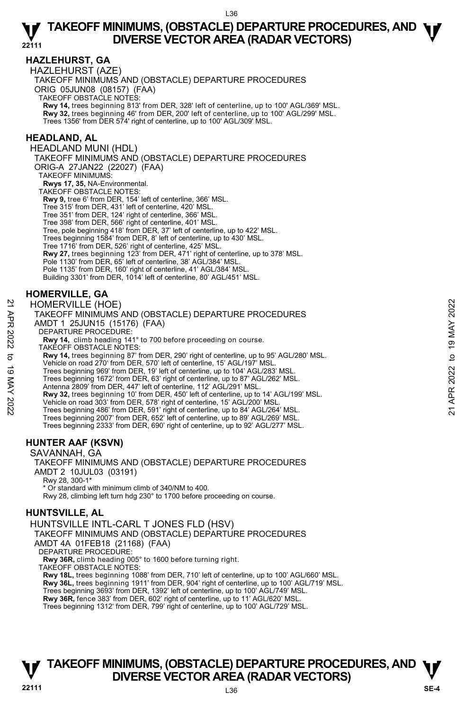### **HAZLEHURST, GA**

HAZLEHURST (AZE) TAKEOFF MINIMUMS AND (OBSTACLE) DEPARTURE PROCEDURES ORIG 05JUN08 (08157) (FAA) TAKEOFF OBSTACLE NOTES: **Rwy 14,** trees beginning 813' from DER, 328' left of centerline, up to 100' AGL/369' MSL. **Rwy 32,** trees beginning 46' from DER, 200' left of centerline, up to 100' AGL/299' MSL.

Trees 1356' from DER 574' right of centerline, up to 100' AGL/309' MSL.

### **HEADLAND, AL**

HEADLAND MUNI (HDL)

TAKEOFF MINIMUMS AND (OBSTACLE) DEPARTURE PROCEDURES

ORIG-A 27JAN22 (22027) (FAA)

TAKEOFF MINIMUMS:

 **Rwys 17, 35,** NA-Environmental. TAKEOFF OBSTACLE NOTES:

**Rwy 9,** tree 6' from DER, 154' left of centerline, 366' MSL.

Tree 315' from DER, 431' left of centerline, 420' MSL.

Tree 351' from DER, 124' right of centerline, 366' MSL.

Tree 398' from DER, 566' right of centerline, 401' MSL.

Tree, pole beginning 418' from DER, 37' left of centerline, up to 422' MSL.

Trees beginning 1584' from DER, 8' left of centerline, up to 430' MSL.

Tree 1716' from DER, 526' right of centerline, 425' MSL.

**Rwy 27,** trees beginning 123' from DER, 471' right of centerline, up to 378' MSL.

Pole 1130' from DER, 65' left of centerline, 38' AGL/384' MSL.

Pole 1135' from DER, 160' right of centerline, 41' AGL/384' MSL. Building 3301' from DER, 1014' left of centerline, 80' AGL/451' MSL.

### **HOMERVILLE, GA**

HOMERVILLE (HOE)

TAKEOFF MINIMUMS AND (OBSTACLE) DEPARTURE PROCEDURES AMDT 1 25JUN15 (15176) (FAA) DEPARTURE PROCEDURE: **Rwy 14,** climb heading 141° to 700 before proceeding on course. TAKEOFF OBSTACLE NOTES: HOMERVILLE (HOE)<br>
TAKEOFF MINIMUMS AND (OBSTACLE) DEPARTURE PROCEDURES<br>
AMDT 1 25JUNA15 (15176) (FAA)<br>
DEPARTURE PROCEDURE:<br>
RWY 14, climb heading 141° to 700 before proceeding on course.<br>
TAKEOFF OBSTACLE NOTES:<br>
TAWY 14

**Rwy 14,** trees beginning 87' from DER, 290' right of centerline, up to 95' AGL/280' MSL. Vehicle on road 270' from DER, 570' left of centerline, 15' AGL/197' MSL.

Trees beginning 969' from DER, 19' left of centerline, up to 104' AGL/283' MSL.

Trees beginning 1672' from DER, 63' right of centerline, up to 87' AGL/262' MSL.

Antenna 2809' from DER, 447' left of centerline, 112' AGL/291' MSL.

**Rwy 32,** trees beginning 10' from DER, 450' left of centerline, up to 14' AGL/199' MSL.

Vehicle on road 303' from DER, 578' right of centerline, 15' AGL/200' MSL. Trees beginning 486' from DER, 591' right of centerline, up to 84' AGL/264' MSL.

Trees beginning 2007' from DER, 652' left of centerline, up to 89' AGL/269' MSL.

Trees beginning 2333' from DER, 690' right of centerline, up to 92' AGL/277' MSL.

### **HUNTER AAF (KSVN)**

SAVANNAH, GA TAKEOFF MINIMUMS AND (OBSTACLE) DEPARTURE PROCEDURES AMDT 2 10JUL03 (03191) Rwy 28, 300-1\* Or standard with minimum climb of 340/NM to 400. Rwy 28, climbing left turn hdg 230° to 1700 before proceeding on course.

### **HUNTSVILLE, AL**

HUNTSVILLE INTL-CARL T JONES FLD (HSV) TAKEOFF MINIMUMS AND (OBSTACLE) DEPARTURE PROCEDURES AMDT 4A 01FEB18 (21168) (FAA) DEPARTURE PROCEDURE: **Rwy 36R,** climb heading 005° to 1600 before turning right. TAKEOFF OBSTACLE NOTES: **Rwy 18L,** trees beginning 1088' from DER, 710' left of centerline, up to 100' AGL/660' MSL. **Rwy 36L,** trees beginning 1911' from DER, 904' right of centerline, up to 100' AGL/719' MSL. Trees beginning 3693' from DER, 1392' left of centerline, up to 100' AGL/749' MSL. **Rwy 36R,** fence 383' from DER, 602' right of centerline, up to 11' AGL/620' MSL.

Trees beginning 1312' from DER, 799' right of centerline, up to 100' AGL/729' MSL.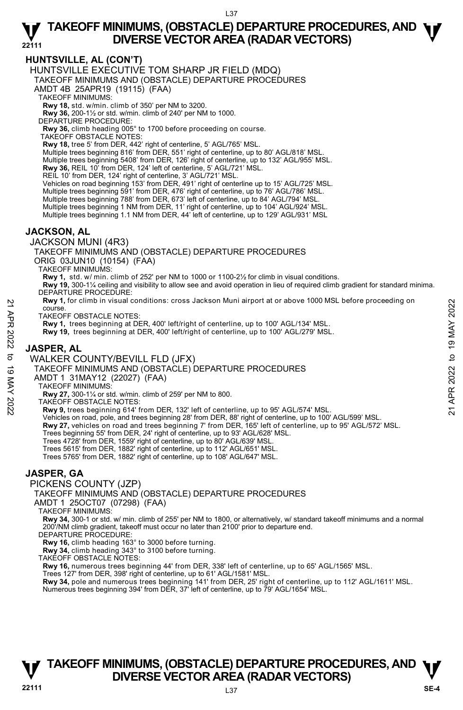### **HUNTSVILLE, AL (CON'T)**

HUNTSVILLE EXECUTIVE TOM SHARP JR FIELD (MDQ)

TAKEOFF MINIMUMS AND (OBSTACLE) DEPARTURE PROCEDURES

AMDT 4B 25APR19 (19115) (FAA)

TAKEOFF MINIMUMS:

**Rwy 18,** std. w/min. climb of 350' per NM to 3200.

**Rwy 36,** 200-1½ or std. w/min. climb of 240' per NM to 1000.

DEPARTURE PROCEDURE:

**Rwy 36,** climb heading 005° to 1700 before proceeding on course. TAKEOFF OBSTACLE NOTES:

**Rwy 18,** tree 5' from DER, 442' right of centerline, 5' AGL/765' MSL.

Multiple trees beginning 816' from DER, 551' right of centerline, up to 80' AGL/818' MSL.

Multiple trees beginning 5408' from DER, 126' right of centerline, up to 132' AGL/955' MSL.

**Rwy 36,** REIL 10' from DER, 124' left of centerline, 5' AGL/721' MSL.

REIL 10' from DER, 124' right of centerline, 3' AGL/721' MSL.

Vehicles on road beginning 153' from DER, 491' right of centerline up to 15' AGL/725' MSL.<br>Multiple trees beginning 591' from DER, 476' right of centerline, up to 76' AGL/786' MSL.

Multiple trees beginning 788' from DER, 673' left of centerline, up to 84' AGL/794' MSL.

Multiple trees beginning 1 NM from DER, 11' right of centerline, up to 104' AGL/924' MSL.<br>Multiple trees beginning 1.1 NM from DER, 44' left of centerline, up to 129' AGL/931' MSL

### **JACKSON, AL**

JACKSON MUNI (4R3)

TAKEOFF MINIMUMS AND (OBSTACLE) DEPARTURE PROCEDURES ORIG 03JUN10 (10154) (FAA)

TAKEOFF MINIMUMS:

**Rwy 1,** std. w/ min. climb of 252' per NM to 1000 or 1100-2½ for climb in visual conditions.

**Rwy 19,** 300-1¼ ceiling and visibility to allow see and avoid operation in lieu of required climb gradient for standard minima. DEPARTURE PROCEDURE:

**Rwy 1,** for climb in visual conditions: cross Jackson Muni airport at or above 1000 MSL before proceeding on course. 22 RW 1, for climb in visual conditions: cross Jackson Muni airport at or above 1000 MSL before proceeding on<br>
2022 TAKEOFF OBSTACLE NOTES:<br>
22 RW 1, trees beginning at DER, 400' left/right of centerline, up to 100' AGL/1

TAKEOFF OBSTACLE NOTES:

**Rwy 1,** trees beginning at DER, 400' left/right of centerline, up to 100' AGL/134' MSL.

**Rwy 19,** trees beginning at DER, 400' left/right of centerline, up to 100' AGL/279' MSL.

### **JASPER, AL**

WALKER COUNTY/BEVILL FLD (JFX)

TAKEOFF MINIMUMS AND (OBSTACLE) DEPARTURE PROCEDURES

AMDT 1 31MAY12 (22027) (FAA)

TAKEOFF MINIMUMS:

**Rwy 27,** 300-1¼ or std. w/min. climb of 259' per NM to 800. TAKEOFF OBSTACLE NOTES:

**Rwy 9,** trees beginning 614' from DER, 132' left of centerline, up to 95' AGL/574' MSL.

- Vehicles on road, pole, and trees beginning 28' from DER, 88' right of centerline, up to 100' AGL/599' MSL.<br>**Rwy 27,** vehicles on road and trees beginning 7' from DER, 165' left of centerline, up to 95' AGL/572' MSL.
- Trees beginning 55' from DER, 24' right of centerline, up to 93' AGL/628' MSL.
- Trees 4728' from DER, 1559' right of centerline, up to 80' AGL/639' MSL.

Trees 5615' from DER, 1882' right of centerline, up to 112' AGL/651' MSL.

Trees 5765' from DER, 1882' right of centerline, up to 108' AGL/647' MSL.

### **JASPER, GA**

PICKENS COUNTY (JZP)

TAKEOFF MINIMUMS AND (OBSTACLE) DEPARTURE PROCEDURES

AMDT 1 25OCT07 (07298) (FAA)

TAKEOFF MINIMUMS:

**Rwy 34,** 300-1 or std. w/ min. climb of 255' per NM to 1800, or alternatively, w/ standard takeoff minimums and a normal 200'/NM climb gradient, takeoff must occur no later than 2100' prior to departure end. DEPARTURE PROCEDURE:

**Rwy 16,** climb heading 163° to 3000 before turning.

**Rwy 34,** climb heading 343° to 3100 before turning. TAKEOFF OBSTACLE NOTES:

**Rwy 16,** numerous trees beginning 44' from DER, 338' left of centerline, up to 65' AGL/1565' MSL.

Trees 127' from DER, 398' right of centerline, up to 61' AGL/1581' MSL.

**Rwy 34,** pole and numerous trees beginning 141' from DER, 25' right of centerline, up to 112' AGL/1611' MSL.<br>Numerous trees beginning 394' from DER, 37' left of centerline, up to 79' AGL/1654' MSL.

### **TAKEOFF MINIMUMS, (OBSTACLE) DEPARTURE PROCEDURES, AND**  $\Psi$ **<br>DIVERSE VECTOR AREA (RADAR VECTORS) V** DIVERSE VECTOR AREA (RADAR VECTORS) V<br>22111 SE-4

L37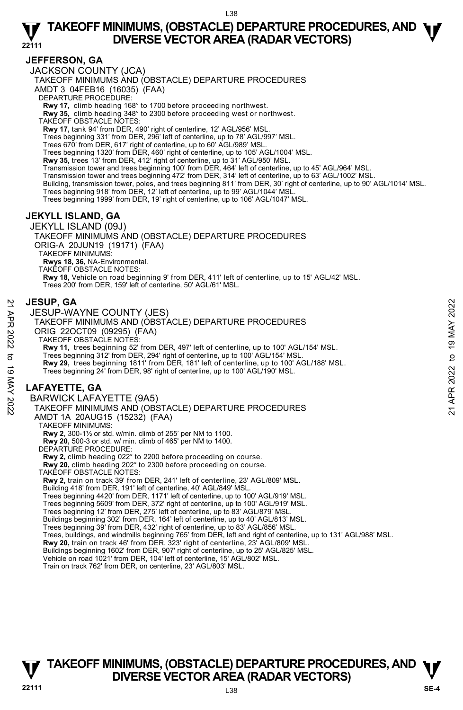### **JEFFERSON, GA**

JACKSON COUNTY (JCA)

TAKEOFF MINIMUMS AND (OBSTACLE) DEPARTURE PROCEDURES

AMDT 3 04FEB16 (16035) (FAA)

DEPARTURE PROCEDURE:

**Rwy 17,** climb heading 168° to 1700 before proceeding northwest. **Rwy 35,** climb heading 348° to 2300 before proceeding west or northwest.

TAKEOFF OBSTACLE NOTES:

**Rwy 17,** tank 94' from DER, 490' right of centerline, 12' AGL/956' MSL.

Trees beginning 331' from DER, 296' left of centerline, up to 78' AGL/997' MSL. Trees 670' from DER, 617' right of centerline, up to 60' AGL/989' MSL.

Trees beginning 1320' from DER, 460' right of centerline, up to 105' AGL/1004' MSL.

**Rwy 35,** trees 13' from DER, 412' right of centerline, up to 31' AGL/950' MSL.

Transmission tower and trees beginning 100' from DER, 464' left of centerline, up to 45' AGL/964' MSL.

Transmission tower and trees beginning 472' from DER, 314' left of centerline, up to 63' AGL/1002' MSL.

Building, transmission tower, poles, and trees beginning 811' from DER, 30' right of centerline, up to 90' AGL/1014' MSL.

Trees beginning 918' from DER, 12' left of centerline, up to 99' AGL/1044' MSI

Trees beginning 1999' from DER, 19' right of centerline, up to 106' AGL/1047' MSL.

### **JEKYLL ISLAND, GA**

JEKYLL ISLAND (09J) TAKEOFF MINIMUMS AND (OBSTACLE) DEPARTURE PROCEDURES ORIG-A 20JUN19 (19171) (FAA) TAKEOFF MINIMUMS: **Rwys 18, 36,** NA-Environmental. TAKEOFF OBSTACLE NOTES: **Rwy 18,** Vehicle on road beginning 9' from DER, 411' left of centerline, up to 15' AGL/42' MSL. Trees 200' from DER, 159' left of centerline, 50' AGL/61' MSL.

### **JESUP, GA**

JESUP-WAYNE COUNTY (JES) TAKEOFF MINIMUMS AND (OBSTACLE) DEPARTURE PROCEDURES ORIG 22OCT09 (09295) (FAA) TAKEOFF OBSTACLE NOTES: **Rwy 11,** trees beginning 52' from DER, 497' left of centerline, up to 100' AGL/154' MSL. Trees beginning 312' from DER, 294' right of centerline, up to 100' AGL/154' MSL. **Rwy 29,** trees beginning 1811' from DER, 181' left of centerline, up to 100' AGL/188' MSL. Trees beginning 24' from DER, 98' right of centerline, up to 100' AGL/190' MSL. **LAFAYETTE, GA**  BARWICK LAFAYETTE (9A5) TAKEOFF MINIMUMS AND (OBSTACLE) DEPARTURE PROCEDURES AMDT 1A 20AUG15 (15232) (FAA) TAKEOFF MINIMUMS: **Rwy 2**, 300-1½ or std. w/min. climb of 255' per NM to 1100. **Rwy 20,** 500-3 or std. w/ min. climb of 465' per NM to 1400. DEPARTURE PROCEDURE: **Rwy 2,** climb heading 022° to 2200 before proceeding on course. **Rwy 20,** climb heading 202° to 2300 before proceeding on course. TAKEOFF OBSTACLE NOTES: **Rwy 2,** train on track 39' from DER, 241' left of centerline, 23' AGL/809' MSL. Building 418' from DER, 191' left of centerline, 40' AGL/849' MSL. Trees beginning 4420' from DER, 1171' left of centerline, up to 100' AGL/919' MSL. Trees beginning 5609' from DER, 372' right of centerline, up to 100' AGL/919' MSL. Trees beginning 12' from DER, 275' left of centerline, up to 83' AGL/879' MSL. Buildings beginning 302' from DER, 164' left of centerline, up to 40' AGL/813' MSL. 22 JESUP, GA<br>
22 JESUP-WAYNE COUNTY (JES)<br>
TAKEOFF MINIMUMS AND (OBSTACLE) DEPARTURE PROCEDURES<br>
22 TAKEOFF OBSTACLE NOTES:<br>
22 TAKEOFF OBSTACLE NOTES:<br>
22 TAKEOFF OBSTACLE NOTES:<br>
22 THESE beginning 312 from DER, 294' ri

Trees beginning 39' from DER, 432' right of centerline, up to 83' AGL/856' MSL.

Trees, buildings, and windmills beginning 765' from DER, left and right of centerline, up to 131' AGL/988' MSL.<br>**Rwy 20,** train on track 46' from DER, 323' right of centerline, 23' AGL/809' MSL.

Buildings beginning 1602' from DER, 907' right of centerline, up to 25' AGL/825' MSL.

Vehicle on road 1021' from DER, 104' left of centerline, 15' AGL/802' MSL. Train on track 762' from DER, on centerline, 23' AGL/803' MSL.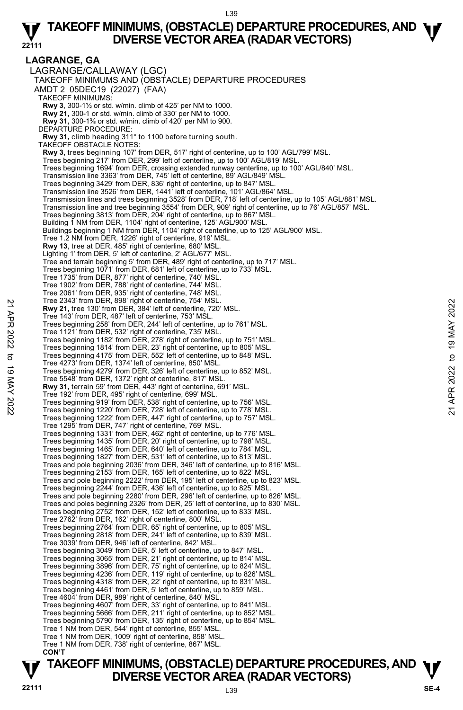#### **LAGRANGE, GA**  LAGRANGE/CALLAWAY (LGC) TAKEOFF MINIMUMS AND (OBSTACLE) DEPARTURE PROCEDURES AMDT 2 05DEC19 (22027) (FAA) TAKEOFF MINIMUMS: **Rwy 3**, 300-1½ or std. w/min. climb of 425' per NM to 1000. **Rwy 21,** 300-1 or std. w/min. climb of 330' per NM to 1000. **Rwy 31,** 300-1⅜ or std. w/min. climb of 420' per NM to 900. DEPARTURE PROCEDURE: **Rwy 31,** climb heading 311° to 1100 before turning south. TAKEOFF OBSTACLE NOTES: **Rwy 3,** trees beginning 107' from DER, 517' right of centerline, up to 100' AGL/799' MSL. Trees beginning 217' from DER, 299' left of centerline, up to 100' AGL/819' MSL. Trees beginning 1694' from DER, crossing extended runway centerline, up to 100' AGL/840' MSL. Transmission line 3363' from DER, 745' left of centerline, 89' AGL/849' MSL. Trees beginning 3429' from DER, 836' right of centerline, up to 847' MSL. Transmission line 3526' from DER, 1441' left of centerline, 101' AGL/864' MSL. Transmission lines and trees beginning 3528' from DER, 718' left of centerline, up to 105' AGL/881' MSL. Transmission line and tree beginning 3554' from DER, 909' right of centerline, up to 76' AGL/857' MSL. Trees beginning 3813' from DER, 204' right of centerline, up to 867' MSL. Building 1 NM from DER, 1104' right of centerline, 125' AGL/900' MSL. Buildings beginning 1 NM from DER, 1104' right of centerline, up to 125' AGL/900' MSL. Tree 1.2 NM from DER, 1226' right of centerline, 919' MSL. **Rwy 13**, tree at DER, 485' right of centerline, 680' MSL. Lighting 1' from DER, 5' left of centerline, 2' AGL/677' MSL. Tree and terrain beginning 5' from DER, 489' right of centerline, up to 717' MSL. Trees beginning 1071' from DER, 681' left of centerline, up to 733' MSL. Tree 1735' from DER, 877' right of centerline, 740' MSL. Tree 1902' from DER, 788' right of centerline, 744' MSL. Tree 2061' from DER, 935' right of centerline, 748' MSL. Tree 2343' from DER, 898' right of centerline, 754' MSL. **Rwy 21,** tree 130' from DER, 384' left of centerline, 720' MSL. Tree 143' from DER, 487' left of centerline, 753' MSL. Trees beginning 258' from DER, 244' left of centerline, up to 761' MSL. Tree 1121' from DER, 532' right of centerline, 735' MSL. Trees beginning 1182' from DER, 278' right of centerline, up to 751' MSL. Trees beginning 1814' from DER, 23' right of centerline, up to 805' MSL. Trees beginning 4175' from DER, 552' left of centerline, up to 848' MSL. Tree 4273' from DER, 1374' left of centerline, 850' MSL. Trees beginning 4279' from DER, 326' left of centerline, up to 852' MSL. Tree 5548' from DER, 1372' right of centerline, 817' MSL. **Rwy 31,** terrain 59' from DER, 443' right of centerline, 691' MSL. Tree 192' from DER, 495' right of centerline, 699' MSL. Trees beginning 919' from DER, 538' right of centerline, up to 756' MSL. Trees beginning 1220' from DER, 728' left of centerline, up to 778' MSL. Trees beginning 1222' from DER, 447' right of centerline, up to 757' MSL. Tree 1295' from DER, 747' right of centerline, 769' MSL. Trees beginning 1331' from DER, 462' right of centerline, up to 776' MSL. Trees beginning 1435' from DER, 20' right of centerline, up to 798' MSL. Trees beginning 1465' from DER, 640' left of centerline, up to 784' MSL. Trees beginning 1827' from DER, 531' left of centerline, up to 813' MSL. Trees and pole beginning 2036' from DER, 346' left of centerline, up to 816' MSL. Trees beginning 2153' from DER, 165' left of centerline, up to 822' MSL. Trees and pole beginning 2222' from DER, 195' left of centerline, up to 823' MSL. Trees beginning 2244' from DER, 436' left of centerline, up to 825' MSL. Trees and pole beginning 2280' from DER, 296' left of centerline, up to 826' MSL. Trees and poles beginning 2326' from DER, 25' left of centerline, up to 830' MSL. Trees beginning 2752' from DER, 152' left of centerline, up to 833' MSL. Tree 2762' from DER, 162' right of centerline, 800' MSL. Trees beginning 2764' from DER, 65' right of centerline, up to 805' MSL. Trees beginning 2818' from DER, 241' left of centerline, up to 839' MSL. Tree 3039' from DER, 946' left of centerline, 842' MSL. Trees beginning 3049' from DER, 5' left of centerline, up to 847' MSL. Trees beginning 3065' from DER, 21' right of centerline, up to 814' MSL. Trees beginning 3896' from DER, 75' right of centerline, up to 824' MSL. Trees beginning 4236' from DER, 119' right of centerline, up to 826' MSL. Trees beginning 4318' from DER, 22' right of centerline, up to 831' MSL. Trees beginning 4461' from DER, 5' left of centerline, up to 859' MSL. Tree 4604' from DER, 989' right of centerline, 840' MSL. Trees beginning 4607' from DER, 33' right of centerline, up to 841' MSL. Trees beginning 5666' from DER, 211' right of centerline, up to 852' MSL. Trees beginning 5790' from DER, 135' right of centerline, up to 854' MSL. Tree 1 NM from DER, 544' right of centerline, 855' MSL. Tree 1 NM from DER, 1009' right of centerline, 858' MSL. Tree 1 NM from DER, 738' right of centerline, 867' MSL.  **CON'T**  Tree 2343 from DER, 898 right of centerline, 7.92 MSL.<br> **Ewy 21**, tree 130 from DER, 384' left of centerline, 753' MSL.<br>
Tree haginning 268 from DER, 278' right of centerline, up to 761' MSL.<br>
Tree haginning 268 from DER,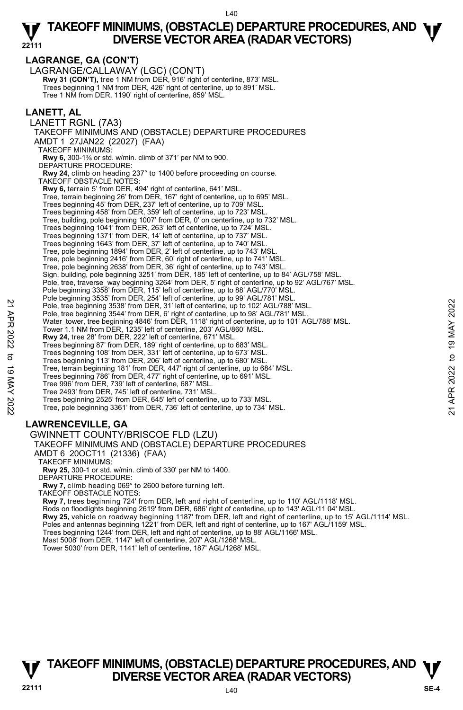**LAGRANGE, GA (CON'T)**  LAGRANGE/CALLAWAY (LGC) (CON'T) **Rwy 31 (CON'T), tree 1 NM from DER, 916' right of centerline, 873' MSL.** Trees beginning 1 NM from DER, 426' right of centerline, up to 891' MSL. Tree 1 NM from DER, 1190' right of centerline, 859' MSL. **LANETT, AL**  LANETT RGNL (7A3) TAKEOFF MINIMUMS AND (OBSTACLE) DEPARTURE PROCEDURES AMDT 1 27JAN22 (22027) (FAA) TAKEOFF MINIMUMS: **Rwy 6,** 300-1⅜ or std. w/min. climb of 371' per NM to 900. DEPARTURE PROCEDURE:  **Rwy 24,** climb on heading 237° to 1400 before proceeding on course. TAKEOFF OBSTACLE NOTES: **Rwy 6,** terrain 5' from DER, 494' right of centerline, 641' MSL.<br>Tree, terrain beginning 26' from DER, 167' right of centerline, up to 695' MSL. Trees beginning 45' from DER, 237' left of centerline, up to 709' MSL. Trees beginning 458' from DER, 359' left of centerline, up to 723' MSL. Tree, building, pole beginning 1007' from DER, 0' on centerline, up to 732' MSL. Trees beginning 1041' from DER, 263' left of centerline, up to 724' MSL. Trees beginning 1371' from DER, 14' left of centerline, up to 737' MSL. Trees beginning 1643' from DER, 37' left of centerline, up to 740' MSL. Tree, pole beginning 1894' from DER, 2' left of centerline, up to 743' MSL. Tree, pole beginning 2416' from DER, 60' right of centerline, up to 741' MSL. Tree, pole beginning 2638' from DER, 36' right of centerline, up to 743' MSL.<br>Sign, building, pole beginning 3251' from DER, 185' left of centerline, up to 84' AGL/758' MSL. Pole, tree, traverse\_way beginning 3264' from DER, 5' right of centerline, up to 92' AGL/767' MSL. Pole beginning 3358' from DER, 115' left of centerline, up to 88' AGL/770' MSL. Pole beginning 3535' from DER, 254' left of centerline, up to 99' AGL/781' MSL. Pole, tree beginning 3538' from DER, 31' left of centerline, up to 102' AGL/788' MSL. Pole, tree beginning 3544' from DER, 6' right of centerline, up to 98' AGL/781' MSL. Water\_tower, tree beginning 4846' from DER, 1118' right of centerline, up to 101' AGL/788' MSL.<br>Tower 1.1 NM from DER, 1235' left of centerline, 203' AGL/860' MSL. **Rwy 24,** tree 28' from DER, 222' left of centerline, 671' MSL. Trees beginning 87' from DER, 189' right of centerline, up to 683' MSL. Trees beginning 108' from DER, 331' left of centerline, up to 673' MSL. Trees beginning 113' from DER, 206' left of centerline, up to 680' MSL. Tree, terrain beginning 181' from DER, 447' right of centerline, up to 684' MSL. Trees beginning 786' from DER, 477' right of centerline, up to 691' MSL. Tree 996' from DER, 739' left of centerline, 687' MSL. Tree 2493' from DER, 745' left of centerline, 731' MSL. Trees beginning 2525' from DER, 645' left of centerline, up to 733' MSL. Tree, pole beginning 3361' from DER, 736' left of centerline, up to 734' MSL. **LAWRENCEVILLE, GA**  GWINNETT COUNTY/BRISCOE FLD (LZU) TAKEOFF MINIMUMS AND (OBSTACLE) DEPARTURE PROCEDURES AMDT 6 20OCT11 (21336) (FAA) 2022<br>
Pole, tree beginning 3538 from DER, 31' left of centerline, up to 102' AGL/788' MSL.<br>
Pole, tree beginning 3544' from DER, 6' right of centerline, up to 192' AGL/788' MSL.<br>
Water\_tower 1.1 NM from DER, 1235' left of

TAKEOFF MINIMUMS:

**Rwy 25,** 300-1 or std. w/min. climb of 330' per NM to 1400.

DEPARTURE PROCEDURE

**Rwy 7,** climb heading 069° to 2600 before turning left.

TAKEOFF OBSTACLE NOTES:

**Rwy 7,** trees beginning 724' from DER, left and right of centerline, up to 110' AGL/1118' MSL. Rods on floodlights beginning 2619' from DER, 686' right of centerline, up to 143' AGL/11 04' MSL.<br>**Rwy 25,** vehicle on roadway beginning 1187' from DER, left and right of centerline, up to 15' AGL/1114' MSL. Poles and antennas beginning 1221' from DER, left and right of centerline, up to 167' AGL/1159' MSL. Trees beginning 1244' from DER, left and right of centerline, up to 88' AGL/1166' MSL. Mast 5008' from DER, 1147' left of centerline, 207' AGL/1268' MSL. Tower 5030' from DER, 1141' left of centerline, 187' AGL/1268' MSL.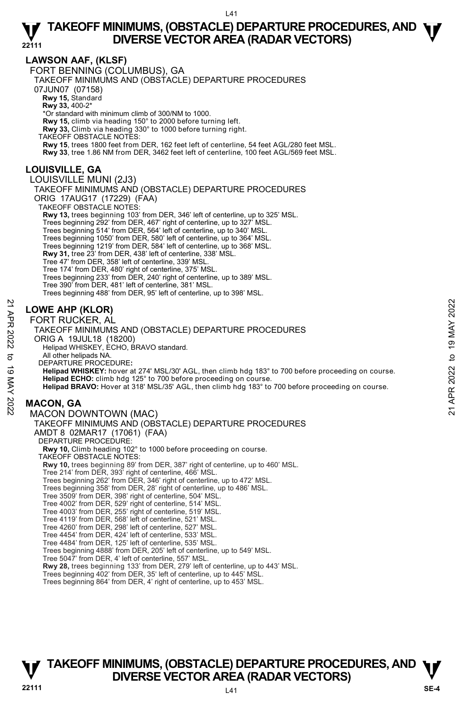### **LAWSON AAF, (KLSF)**

FORT BENNING (COLUMBUS), GA

TAKEOFF MINIMUMS AND (OBSTACLE) DEPARTURE PROCEDURES

07JUN07 (07158)

**Rwy 15,** Standard

**Rwy 33,** 400-2\*

\*Or standard with minimum climb of 300/NM to 1000.

**Rwy 15,** climb via heading 150° to 2000 before turning left.

**Rwy 33,** Climb via heading 330° to 1000 before turning right.

TAKEOFF OBSTACLE NOTES:

**Rwy 15**, trees 1800 feet from DER, 162 feet left of centerline, 54 feet AGL/280 feet MSL.

**Rwy 33**, tree 1.86 NM from DER, 3462 feet left of centerline, 100 feet AGL/569 feet MSL.

### **LOUISVILLE, GA**

### LOUISVILLE MUNI (2J3)

TAKEOFF MINIMUMS AND (OBSTACLE) DEPARTURE PROCEDURES

ORIG 17AUG17 (17229) (FAA) TAKEOFF OBSTACLE NOTES:

**Rwy 13,** trees beginning 103' from DER, 346' left of centerline, up to 325' MSL.<br>Trees beginning 292' from DER, 467' right of centerline, up to 327' MSL.<br>Trees beginning 514' from DER, 564' left of centerline, up to 340' Trees beginning 1050' from DER, 580' left of centerline, up to 364' MSL. Trees beginning 1219' from DER, 584' left of centerline, up to 368' MSL. **Rwy 31,** tree 23' from DER, 438' left of centerline, 338' MSL. Tree 47' from DER, 358' left of centerline, 339' MSL. Tree 174' from DER, 480' right of centerline, 375' MSL. Trees beginning 233' from DER, 240' right of centerline, up to 389' MSL. Tree 390' from DER, 481' left of centerline, 381' MSL. Trees beginning 488' from DER, 95' left of centerline, up to 398' MSL.

### **LOWE AHP (KLOR)**

FORT RUCKER, AL

### TAKEOFF MINIMUMS AND (OBSTACLE) DEPARTURE PROCEDURES ORIG A 19JUL18 (18200) Helipad WHISKEY, ECHO, BRAVO standard. All other helipads NA. DEPARTURE PROCEDURE**: Helipad WHISKEY:** hover at 274' MSL/30' AGL, then climb hdg 183° to 700 before proceeding on course. **Helipad ECHO:** climb hdg 125° to 700 before proceeding on course. **Helipad BRAVO:** Hover at 318' MSL/35' AGL, then climb hdg 183° to 700 before proceeding on course. **MACON, GA**  MACON DOWNTOWN (MAC) TAKEOFF MINIMUMS AND (OBSTACLE) DEPARTURE PROCEDURES AMDT 8 02MAR17 (17061) (FAA) **LOWE AHP (KLOR)**<br>
FORT RUCKER, AL<br>
TAKEOFF MINIMUMS AND (OBSTACLE) DEPARTURE PROCEDURES<br>
ORIG A 19JUL18 (18200)<br>
Helipad WHSKEY, ECHO, BRAVO standard.<br>
All other helipads NA.<br>
All other helipads NA.<br>
All other helipads N

DEPARTURE PROCEDURE **Rwy 10,** Climb heading 102° to 1000 before proceeding on course. TAKEOFF OBSTACLE NOTES: **Rwy 10,** trees beginning 89' from DER, 387' right of centerline, up to 460' MSL. Tree 214' from DER, 393' right of centerline, 466' MSL. Trees beginning 262' from DER, 346' right of centerline, up to 472' MSL. Trees beginning 358' from DER, 28' right of centerline, up to 486' MSL. Tree 3509' from DER, 398' right of centerline, 504' MSL. Tree 4002' from DER, 529' right of centerline, 514' MSL. Tree 4003' from DER, 255' right of centerline, 519' MSL. Tree 4119' from DER, 568' left of centerline, 521' MSL. Tree 4260' from DER, 298' left of centerline, 527' MSL. Tree 4454' from DER, 424' left of centerline, 533' MSL. Tree 4484' from DER, 125' left of centerline, 535' MSL. Trees beginning 4888' from DER, 205' left of centerline, up to 549' MSL. Tree 5047' from DER, 4' left of centerline, 557' MSL. **Rwy 28,** trees beginning 133' from DER, 279' left of centerline, up to 443' MSL. Trees beginning 402' from DER, 35' left of centerline, up to 445' MSL. Trees beginning 864' from DER, 4' right of centerline, up to 453' MSL.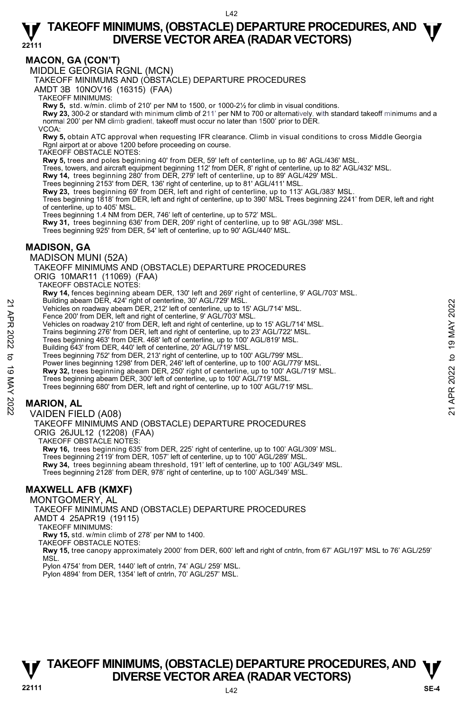### **MACON, GA (CON'T)**

MIDDLE GEORGIA RGNL (MCN)

TAKEOFF MINIMUMS AND (OBSTACLE) DEPARTURE PROCEDURES

AMDT 3B 10NOV16 (16315) (FAA)

TAKEOFF MINIMUMS:

**Rwy 5,** std. w/min. climb of 210' per NM to 1500, or 1000-2½ for climb in visual conditions.

**Rwy 23,** 300-2 or standard with minimum climb of 211' per NM to 700 or alternatively, with standard takeoff minimums and a normal 200' per NM climb gradient, takeoff must occur no later than 1500' prior to DER.

VCOA:

**Rwy 5,** obtain ATC approval when requesting IFR clearance. Climb in visual conditions to cross Middle Georgia Rgnl airport at or above 1200 before proceeding on course.

TAKEOFF OBSTACLE NOTES:

**Rwy 5,** trees and poles beginning 40' from DER, 59' left of centerline, up to 86' AGL/436' MSL.

Trees, towers, and aircraft equipment beginning 112' from DER, 8' right of centerline, up to 82' AGL/432' MSL.

**Rwy 14,** trees beginning 280' from DER, 279' left of centerline, up to 89' AGL/429' MSL.

Trees beginning 2153' from DER, 136' right of centerline, up to 81' AGL/411' MSL.<br>**Rwy 23,** trees beginning 69' from DER, left and right of centerline, up to 113' AGL/383' MSL.

Trees beginning 1818' from DER, left and right of centerline, up to 390' MSL Trees beginning 2241' from DER, left and right of centerline, up to 405' MSL.

Trees beginning 1.4 NM from DER, 746' left of centerline, up to 572' MSL.

**Rwy 31,** trees beginning 636' from DER, 209' right of centerline, up to 98' AGL/398' MSL. Trees beginning 925' from DER, 54' left of centerline, up to 90' AGL/440' MSL.

### **MADISON, GA**

MADISON MUNI (52A)

TAKEOFF MINIMUMS AND (OBSTACLE) DEPARTURE PROCEDURES ORIG 10MAR11 (11069) (FAA) TAKEOFF OBSTACLE NOTES: **Rwy 14,** fences beginning abeam DER, 130' left and 269' right of centerline, 9' AGL/703' MSL.<br>Building abeam DER, 424' right of centerline, 30' AGL/729' MSL. Vehicles on roadway abeam DER, 212' left of centerline, up to 15' AGL/714' MSL. Fence 200' from DER, left and right of centerline, 9' AGL/703' MSL. Vehicles on roadway 210' from DER, left and right of centerline, up to 15' AGL/714' MSL. Bullding abeam DER, 424<sup>2</sup> right of center ine, 30' AGL/729' MSL.<br>
Vehicles on roadway abeam DER, 212' left of centerline, up to 15' AGL/714' MSL.<br>
Tence 200' from DER, left and right of centerline, up to 15' AGL/714' MSL

Trains beginning 276' from DER, left and right of centerline, up to 23' AGL/722' MSL.

Trees beginning 463' from DER. 468' left of centerline, up to 100' AGL/819' MSL.

Building 643' from DER, 440' left of centerline, 20' AGL/719' MSL.

Trees beginning 752' from DER, 213' right of centerline, up to 100' AGL/799' MSL.

Power lines beginning 1298' from DER, 246' left of centerline, up to 100' AGL/779' MSL.

- **Rwy 32,** trees beginning abeam DER, 250' right of centerline, up to 100' AGL/719' MSL.<br>Trees beginning abeam DER, 300' left of centerline, up to 100' AGL/719' MSL.
- 

Trees beginning 680' from DER, left and right of centerline, up to 100' AGL/719' MSL.

### **MARION, AL**

VAIDEN FIELD (A08) TAKEOFF MINIMUMS AND (OBSTACLE) DEPARTURE PROCEDURES

ORIG 26JUL12 (12208) (FAA) TAKEOFF OBSTACLE NOTES:

**Rwy 16,** trees beginning 635' from DER, 225' right of centerline, up to 100' AGL/309' MSL. Trees beginning 2119' from DER, 1057' left of centerline, up to 100' AGL/289' MSL. **Rwy 34,** trees beginning abeam threshold, 191' left of centerline, up to 100' AGL/349' MSL. Trees beginning 2128' from DER, 978' right of centerline, up to 100' AGL/349' MSL.

### **MAXWELL AFB (KMXF)**

MONTGOMERY, AL

TAKEOFF MINIMUMS AND (OBSTACLE) DEPARTURE PROCEDURES

AMDT 4 25APR19 (19115)

TAKEOFF MINIMUMS:

**Rwy 15,** std. w/min climb of 278' per NM to 1400. TAKEOFF OBSTACLE NOTES:

**Rwy 15,** tree canopy approximately 2000' from DER, 600' left and right of cntrln, from 67' AGL/197' MSL to 76' AGL/259' MSL.

Pylon 4754' from DER, 1440' left of cntrln, 74' AGL/ 259' MSL.

Pylon 4894' from DER, 1354' left of cntrln, 70' AGL/257' MSL.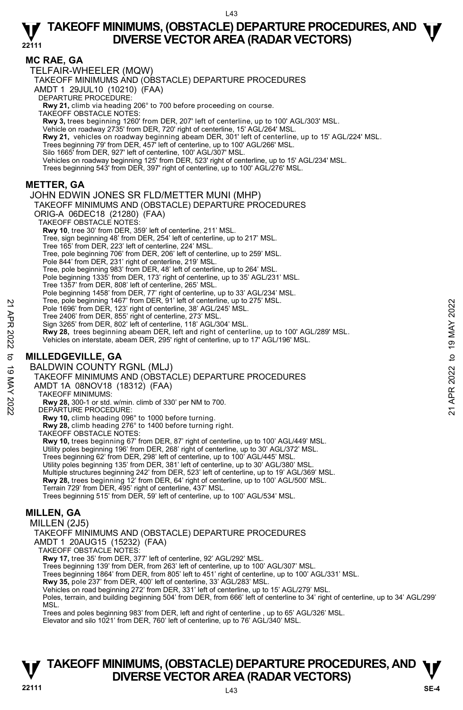### **MC RAE, GA**

TELFAIR-WHEELER (MQW)

TAKEOFF MINIMUMS AND (OBSTACLE) DEPARTURE PROCEDURES

AMDT 1 29JUL10 (10210) (FAA)

DEPARTURE PROCEDURE:

**Rwy 21,** climb via heading 206° to 700 before proceeding on course. TAKEOFF OBSTACLE NOTES:

**Rwy 3,** trees beginning 1260' from DER, 207' left of centerline, up to 100' AGL/303' MSL.

Vehicle on roadway 2735' from DER, 720' right of centerline, 15' AGL/264' MSL.

**Rwy 21,** vehicles on roadway beginning abeam DER, 301' left of centerline, up to 15' AGL/224' MSL.<br>Trees beginning 79' from DER, 457' left of centerline, up to 100' AGL/266' MSL.

Silo 1665' from DER, 927' left of centerline, 100' AGL/307' MSL.

Vehicles on roadway beginning 125' from DER, 523' right of centerline, up to 15' AGL/234' MSL.<br>Trees beginning 543' from DER, 397' right of centerline, up to 100' AGL/276' MSL.

### **METTER, GA**

JOHN EDWIN JONES SR FLD/METTER MUNI (MHP)

TAKEOFF MINIMUMS AND (OBSTACLE) DEPARTURE PROCEDURES ORIG-A 06DEC18 (21280) (FAA) TAKEOFF OBSTACLE NOTES: **Rwy 10**, tree 30' from DER, 359' left of centerline, 211' MSL.

Tree, sign beginning 48' from DER, 254' left of centerline, up to 217' MSL. Tree 165' from DER, 223' left of centerline, 224' MSL.

Tree, pole beginning 706' from DER, 206' left of centerline, up to 259' MSL.

Pole 844' from DER, 231' right of centerline, 219' MSL.

Tree, pole beginning 983' from DER, 48' left of centerline, up to 264' MSL. Pole beginning 1335' from DER, 173' right of centerline, up to 35' AGL/231' MSL.

Tree 1357' from DER, 808' left of centerline, 265' MSL.

Pole beginning 1458' from DER, 77' right of centerline, up to 33' AGL/234' MSL.

Tree, pole beginning 1467' from DER, 91' left of centerline, up to 275' MSL.

Pole 1696' from DER, 123' right of centerline, 38' AGL/245' MSL.

Tree 2406' from DER, 855' right of centerline, 273' MSL.

Sign 3265' from DER, 802' left of centerline, 118' AGL/304' MSL.

**Rwy 28,** trees beginning abeam DER, left and right of centerline, up to 100' AGL/289' MSL. Pole 1986 inom DER, 123' right of centerline, 36' AGL/245' MSL.<br>
Pole 1696' from DER, 825' right of centerline, 373' MSL.<br>
Tree 2406' from DER, 822' left of centerline, 173' MSL.<br>
Sign 3265' from DER, 822' left of centerl

Vehicles on interstate, abeam DER, 295' right of centerline, up to 17' AGL/196' MSL.

### **MILLEDGEVILLE, GA**

BALDWIN COUNTY RGNL (MLJ)

TAKEOFF MINIMUMS AND (OBSTACLE) DEPARTURE PROCEDURES

AMDT 1A 08NOV18 (18312) (FAA)

TAKEOFF MINIMUMS:

**Rwy 28,** 300-1 or std. w/min. climb of 330' per NM to 700. DEPARTURE PROCEDURE:

**Rwy 10,** climb heading 096° to 1000 before turning.

**Rwy 28,** climb heading 276° to 1400 before turning right. TAKEOFF OBSTACLE NOTES:

**Rwy 10,** trees beginning 67' from DER, 87' right of centerline, up to 100' AGL/449' MSL. Utility poles beginning 196' from DER, 268' right of centerline, up to 30' AGL/372' MSL. Trees beginning 62' from DER, 298' left of centerline, up to 100' AGL/445' MSL. Utility poles beginning 135' from DER, 381' left of centerline, up to 30' AGL/380' MSL. Multiple structures beginning 242' from DER, 523' left of centerline, up to 19' AGL/369' MSL. **Rwy 28,** trees beginning 12' from DER, 64' right of centerline, up to 100' AGL/500' MSL.<br>Terrain 729' from DER, 495' right of centerline, 437' MSL. Trees beginning 515' from DER, 59' left of centerline, up to 100' AGL/534' MSL.

### **MILLEN, GA**

MILLEN (2J5)

TAKEOFF MINIMUMS AND (OBSTACLE) DEPARTURE PROCEDURES

AMDT 1 20AUG15 (15232) (FAA)

TAKEOFF OBSTACLE NOTES:

**Rwy 17,** tree 35' from DER, 377' left of centerline, 92' AGL/292' MSL.

Trees beginning 139' from DER, from 263' left of centerline, up to 100' AGL/307' MSL.

Trees beginning 1864' from DER, from 805' left to 451' right of centerline, up to 100' AGL/331' MSL.

**Rwy 35,** pole 237' from DER, 400' left of centerline, 33' AGL/283' MSL.

Vehicles on road beginning 272' from DER, 331' left of centerline, up to 15' AGL/279' MSL.

Poles, terrain, and building beginning 504' from DER, from 666' left of centerline to 34' right of centerline, up to 34' AGL/299' **MSL** 

Trees and poles beginning 983' from DER, left and right of centerline , up to 65' AGL/326' MSL.

Elevator and silo 1021' from DER, 760' left of centerline, up to 76' AGL/340' MSL.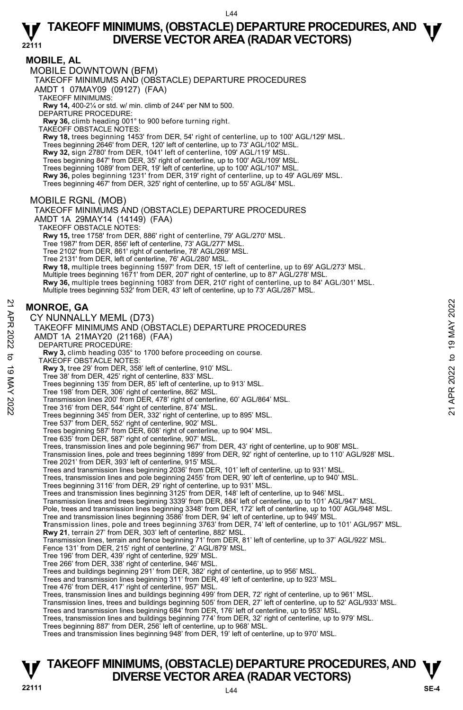### **MOBILE, AL**

MOBILE DOWNTOWN (BFM)

TAKEOFF MINIMUMS AND (OBSTACLE) DEPARTURE PROCEDURES

AMDT 1 07MAY09 (09127) (FAA)

TAKEOFF MINIMUMS:

**Rwy 14,** 400-2¼ or std. w/ min. climb of 244' per NM to 500. DEPARTURE PROCEDURE:

**Rwy 36,** climb heading 001° to 900 before turning right.

TAKEOFF OBSTACLE NOTES:

**Rwy 18,** trees beginning 1453' from DER, 54' right of centerline, up to 100' AGL/129' MSL.

Trees beginning 2646' from DER, 120' left of centerline, up to 73' AGL/102' MSL.

**Rwy 32,** sign 2780' from DER, 1041' left of centerline, 109' AGL/119' MSL.

Trees beginning 847' from DER, 35' right of centerline, up to 100' AGL/109' MSL. Trees beginning 1089' from DER, 19' left of centerline, up to 100' AGL/107' MSL.

**Rwy 36,** poles beginning 1231' from DER, 319' right of centerline, up to 49' AGL/69' MSL.

Trees beginning 467' from DER, 325' right of centerline, up to 55' AGL/84' MSL.

### MOBILE RGNL (MOB)

TAKEOFF MINIMUMS AND (OBSTACLE) DEPARTURE PROCEDURES AMDT 1A 29MAY14 (14149) (FAA) TAKEOFF OBSTACLE NOTES:

**Rwy 15,** tree 1758' from DER, 886' right of centerline, 79' AGL/270' MSL.

Tree 1987' from DER, 856' left of centerline, 73' AGL/277' MSL.

Tree 2102' from DER, 861' right of centerline, 78' AGL/269' MSL.

Tree 2131' from DER, left of centerline, 76' AGL/280' MSL.

**Rwy 18,** multiple trees beginning 1597' from DER, 15' left of centerline, up to 69' AGL/273' MSL.<br>Multiple trees beginning 1671' from DER, 207' right of centerline, up to 87' AGL/278' MSL.

**Rwy 36,** multiple trees beginning 1083' from DER, 210' right of centerline, up to 84' AGL/301' MSL.

Multiple trees beginning 532' from DER, 43' left of centerline, up to 73' AGL/287' MSL.

### **MONROE, GA**

CY NUNNALLY MEML (D73)

TAKEOFF MINIMUMS AND (OBSTACLE) DEPARTURE PROCEDURES AMDT 1A 21MAY20 (21168) (FAA) DEPARTURE PROCEDURE: **Rwy 3,** climb heading 035° to 1700 before proceeding on course. TAKEOFF OBSTACLE NOTES: **Rwy 3,** tree 29' from DER, 358' left of centerline, 910' MSL. Tree 38' from DER, 425' right of centerline, 833' MSL. Trees beginning 135' from DER, 85' left of centerline, up to 913' MSL. Tree 198' from DER, 306' right of centerline, 862' MSL. Transmission lines 200' from DER, 478' right of centerline, 60' AGL/864' MSL. Tree 316' from DER, 544' right of centerline, 874' MSL. Trees beginning 345' from DER, 332' right of centerline, up to 895' MSL. Tree 537' from DER, 552' right of centerline, 902' MSL. Trees beginning 587' from DER, 608' right of centerline, up to 904' MSL. Tree 635' from DER, 587' right of centerline, 907' MSL. Trees, transmission lines and pole beginning 967' from DER, 43' right of centerline, up to 908' MSL. Transmission lines, pole and trees beginning 1899' from DER, 92' right of centerline, up to 110' AGL/928' MSL.<br>Tree 2021' from DER, 393' left of centerline, 915' MSL. Trees and transmission lines beginning 2036' from DER, 101' left of centerline, up to 931' MSL. Trees, transmission lines and pole beginning 2455' from DER, 90' left of centerline, up to 940' MSL. Trees beginning 3116' from DER, 29' right of centerline, up to 931' MSL. Trees and transmission lines beginning 3125' from DER, 148' left of centerline, up to 946' MSL. Transmission lines and trees beginning 3339' from DER, 884' left of centerline, up to 101' AGL/947' MSL. Pole, trees and transmission lines beginning 3348' from DER, 172' left of centerline, up to 100' AGL/948' MSL.<br>Tree and transmission lines beginning 3586' from DER, 94' left of centerline, up to 949' MSL. **T**ransmission lines, pole and trees beginning 3763' from DER, 74' left of centerline, up to 101' AGL/957' MSL. **Rwy 21**, terrain 27' from DER, 303' left of centerline, 882' MSL. Transmission lines, terrain and fence beginning 71' from DER, 81' left of centerline, up to 37' AGL/922' MSL. Fence 131' from DER, 215' right of centerline, 2' AGL/879' MSL. Tree 196' from DER, 439' right of centerline, 929' MSL. Tree 266' from DER, 338' right of centerline, 946' MSL. Trees and buildings beginning 291' from DER, 382' right of centerline, up to 956' MSL. Trees and transmission lines beginning 311' from DER, 49' left of centerline, up to 923' MSL. Tree 476' from DER, 417' right of centerline, 957' MSL. MONROE, GA<br>
CY NUNNALLY MEML (D73)<br>
TAKEOFF MINIMUMS AND (OBSTACLE) DEPARTURE PROCEDURES<br>
AMDT 1A 21MAY20 (21168) (FAA)<br>
DEPARTURE PROCEDURES<br>
AMDT 1A 21MAY20 (21168) (FAA)<br>
THE 19 MAY 3, timb heading 035° to 1700 before

Trees, transmission lines and buildings beginning 499' from DER, 72' right of centerline, up to 961' MSL.

Transmission lines, trees and buildings beginning 505' from DER, 27' left of centerline, up to 52' AGL/933' MSL.

Trees and transmission lines beginning 684' from DER, 176' left of centerline, up to 953' MSL. Trees, transmission lines and buildings beginning 774' from DER, 32' right of centerline, up to 979' MSL.

Trees beginning 887' from DER, 256' left of centerline, up to 968' MSL.

Trees and transmission lines beginning 948' from DER, 19' left of centerline, up to 970' MSL.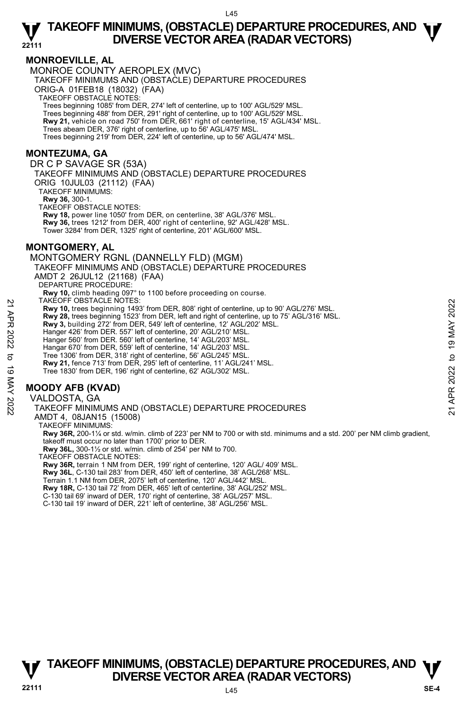### **MONROEVILLE, AL**

MONROE COUNTY AEROPLEX (MVC)

TAKEOFF MINIMUMS AND (OBSTACLE) DEPARTURE PROCEDURES

ORIG-A 01FEB18 (18032) (FAA)

TAKEOFF OBSTACLE NOTES:

Trees beginning 1085' from DER, 274' left of centerline, up to 100' AGL/529' MSL.

Trees beginning 488' from DER, 291' right of centerline, up to 100' AGL/529' MSL. **Rwy 21,** vehicle on road 750' from DER, 661' right of centerline, 15' AGL/434' MSL.

Trees abeam DER, 376' right of centerline, up to 56' AGL/475' MSL.

Trees beginning 219' from DER, 224' left of centerline, up to 56' AGL/474' MSL.

### **MONTEZUMA, GA**

DR C P SAVAGE SR (53A)

TAKEOFF MINIMUMS AND (OBSTACLE) DEPARTURE PROCEDURES ORIG 10JUL03 (21112) (FAA)

TAKEOFF MINIMUMS:

**Rwy 36,** 300-1.

TAKEOFF OBSTACLE NOTES:

**Rwy 18,** power line 1050' from DER, on centerline, 38' AGL/376' MSL. **Rwy 36,** trees 1212' from DER, 400' right of centerline, 92' AGL/428' MSL. Tower 3284' from DER, 1325' right of centerline, 201' AGL/600' MSL.

### **MONTGOMERY, AL**

MONTGOMERY RGNL (DANNELLY FLD) (MGM) TAKEOFF MINIMUMS AND (OBSTACLE) DEPARTURE PROCEDURES AMDT 2 26JUL12 (21168) (FAA) DEPARTURE PROCEDURE: **Rwy 10,** climb heading 097° to 1100 before proceeding on course. TAKEOFF OBSTACLE NOTES: **Rwy 10,** trees beginning 1493' from DER, 808' right of centerline, up to 90' AGL/276' MSL. **Rwy 28,** trees beginning 1523' from DER, left and right of centerline, up to 75' AGL/316' MSL. **Rwy 3,** building 272' from DER, 549' left of centerline, 12' AGL/202' MSL. Hanger 426' from DER. 557' left of centerline, 20' AGL/210' MSL. Hanger 560' from DER. 560' left of centerline, 14' AGL/203' MSL. Hangar 670' from DER, 559' left of centerline, 14' AGL/203' MSL. Tree 1306' from DER, 318' right of centerline, 56' AGL/245' MSL. **Rwy 21,** fence 713' from DER, 295' left of centerline, 11' AGL/241' MSL. Tree 1830' from DER, 196' right of centerline, 62' AGL/302' MSL. 1 AKEOFF MINIMUMS AND (OBSTACLE) DEPARTURE PROCEDURES<br>
22 Rwy 10, trees beginning 1493' from DER, 808' right of centerline, up to 90' AGL/276' MSL.<br>
22 Rwy 38, trees beginning 1523' from DER, 619' left of centerline, 12'

### **MOODY AFB (KVAD)**

VALDOSTA, GA TAKEOFF MINIMUMS AND (OBSTACLE) DEPARTURE PROCEDURES AMDT 4, 08JAN15 (15008) TAKEOFF MINIMUMS: **Rwy 36R,** 200-1¼ or std. w/min. climb of 223' per NM to 700 or with std. minimums and a std. 200' per NM climb gradient, takeoff must occur no later than 1700' prior to DER. **Rwy 36L,** 300-1½ or std. w/min. climb of 254' per NM to 700. TAKEOFF OBSTACLE NOTES: **Rwy 36R,** terrain 1 NM from DER, 199' right of centerline, 120' AGL/ 409' MSL. **Rwy 36L**, C-130 tail 283' from DER, 450' left of centerline, 38' AGL/268' MSL.

Terrain 1.1 NM from DER, 2075' left of centerline, 120' AGL/442' MSL. **Rwy 18R,** C-130 tail 72' from DER, 465' left of centerline, 38' AGL/252' MSL. C-130 tail 69' inward of DER, 170' right of centerline, 38' AGL/257' MSL. C-130 tail 19' inward of DER, 221' left of centerline, 38' AGL/256' MSL.

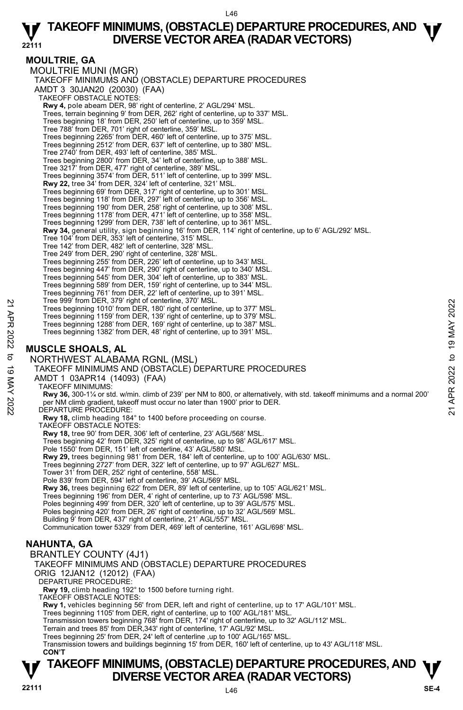### **MOULTRIE, GA**

MOULTRIE MUNI (MGR) TAKEOFF MINIMUMS AND (OBSTACLE) DEPARTURE PROCEDURES AMDT 3 30JAN20 (20030) (FAA) TAKEOFF OBSTACLE NOTES: **Rwy 4,** pole abeam DER, 98' right of centerline, 2' AGL/294' MSL.<br>Trees, terrain beginning 9' from DER, 262' right of centerline, up to 337' MSL. Trees beginning 18' from DER, 250' left of centerline, up to 359' MSL. Tree 788' from DER, 701' right of centerline, 359' MSL. Trees beginning 2265' from DER, 460' left of centerline, up to 375' MSL. Trees beginning 2512' from DER, 637' left of centerline, up to 380' MSL. Tree 2740' from DER, 493' left of centerline, 385' MSL. Trees beginning 2800' from DER, 34' left of centerline, up to 388' MSL. Tree 3217' from DER, 477' right of centerline, 389' MSL. Trees beginning 3574' from DER, 511' left of centerline, up to 399' MSL. **Rwy 22,** tree 34' from DER, 324' left of centerline, 321' MSL. Trees beginning 69' from DER, 317' right of centerline, up to 301' MSL. Trees beginning 118' from DER, 297' left of centerline, up to 356' MSL. Trees beginning 190' from DER, 258' right of centerline, up to 308' MSL. Trees beginning 1178' from DER, 471' left of centerline, up to 358' MSL. Trees beginning 1299' from DER, 738' left of centerline, up to 361' MSL. **Rwy 34,** general utility, sign beginning 16' from DER, 114' right of centerline, up to 6' AGL/292' MSL. Tree 104' from DER, 353' left of centerline, 315' MSL. Tree 142' from DER, 482' left of centerline, 328' MSL. Tree 249' from DER, 290' right of centerline, 328' MSL. Trees beginning 255' from DER, 226' left of centerline, up to 343' MSL. Trees beginning 447' from DER, 290' right of centerline, up to 340' MSL. Trees beginning 545' from DER, 304' left of centerline, up to 383' MSL. Trees beginning 589' from DER, 159' right of centerline, up to 344' MSL. Trees beginning 761' from DER, 22' left of centerline, up to 391' MSL. Tree 999' from DER, 379' right of centerline, 370' MSL. Trees beginning 1010' from DER, 180' right of centerline, up to 377' MSL. Trees beginning 1159' from DER, 139' right of centerline, up to 379' MSL. Trees beginning 1288' from DER, 169' right of centerline, up to 387' MSL. Trees beginning 1382' from DER, 48' right of centerline, up to 391' MSL. **MUSCLE SHOALS, AL**  NORTHWEST ALABAMA RGNL (MSL) TAKEOFF MINIMUMS AND (OBSTACLE) DEPARTURE PROCEDURES AMDT 1 03APR14 (14093) (FAA) TAKEOFF MINIMUMS: **Rwy 36,** 300-1¼ or std. w/min. climb of 239' per NM to 800, or alternatively, with std. takeoff minimums and a normal 200' per NM climb gradient, takeoff must occur no later than 1900' prior to DER. DEPARTURE PROCEDURE: **Rwy 18,** climb heading 184° to 1400 before proceeding on course. TAKEOFF OBSTACLE NOTES: **Rwy 18,** tree 90' from DER, 306' left of centerline, 23' AGL/568' MSL. Trees beginning 42' from DER, 325' right of centerline, up to 98' AGL/617' MSL. Pole 1550' from DER, 151' left of centerline, 43' AGL/580' MSL. **Rwy 29,** trees beginning 981' from DER, 184' left of centerline, up to 100' AGL/630' MSL. Trees beginning 2727' from DER, 322' left of centerline, up to 97' AGL/627' MSL. Tower 31' from DER, 252' right of centerline, 558' MSL. Pole 839' from DER, 594' left of centerline, 39' AGL/569' MSL. **Rwy 36,** trees beginning 622' from DER, 89' left of centerline, up to 105' AGL/621' MSL. Trees beginning 196' from DER, 4' right of centerline, up to 73' AGL/598' MSL. Poles beginning 499' from DER, 320' left of centerline, up to 39' AGL/575' MSL. Poles beginning 420' from DER, 26' right of centerline, up to 32' AGL/569' MSL. Building 9' from DER, 437' right of centerline, 21' AGL/557' MSL. Communication tower 5329' from DER, 469' left of centerline, 161' AGL/698' MSL. **NAHUNTA, GA**  BRANTLEY COUNTY (4J1) TAKEOFF MINIMUMS AND (OBSTACLE) DEPARTURE PROCEDURES ORIG 12JAN12 (12012) (FAA) DEPARTURE PROCEDURE: **Rwy 19,** climb heading 192° to 1500 before turning right. TAKEOFF OBSTACLE NOTES: **Rwy 1,** vehicles beginning 56' from DER, left and right of centerline, up to 17' AGL/101' MSL. Trees beginning 1105' from DER, right of centerline, up to 100' AGL/181' MSL.<br>Transmission towers beginning 768' from DER, 174' right of centerline, up to 32' AGL/112' MSL. Terrain and trees 85' from DER,343' right of centerline, 17' AGL/92' MSL. Tree 9991 Ton DER, 39' nght of centerline, up to 377' MSL.<br>
Trees beginning 1010' from DER, 180' right of centerline, up to 377' MSL.<br>
Trees beginning 1159' from DER, 189' right of centerline, up to 379' MSL.<br>
Trees beginn

### **TAKEOFF MINIMUMS, (OBSTACLE) DEPARTURE PROCEDURES, AND**  $\Psi$ **<br>DIVERSE VECTOR AREA (RADAR VECTORS) P DIVERSE VECTOR AREA (RADAR VECTORS) P P V**<br> $\frac{1}{22111}$  **DIVERSE VECTOR AREA** (AS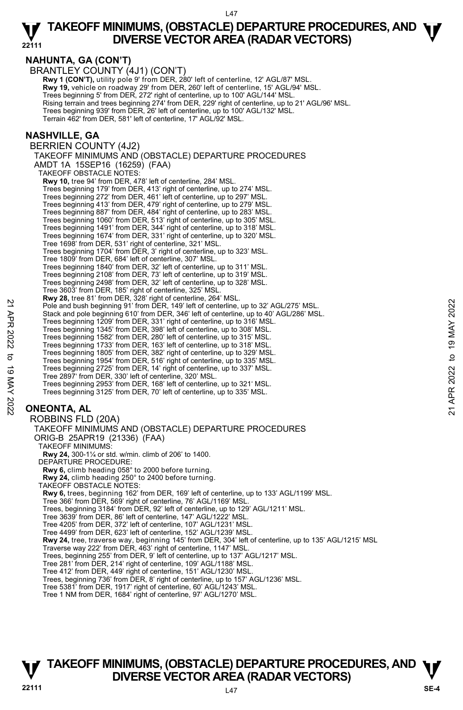#### L47

#### **22111 TAKEOFF MINIMUMS, (OBSTACLE) DEPARTURE PROCEDURES, AND**  $\Psi$ **<br>DIVERSE VECTOR AREA (RADAR VECTORS) DIVERSE VECTOR AREA (RADAR VECTORS)**

**NAHUNTA, GA (CON'T)** 

BRANTLEY COUNTY (4J1) (CON'T) **Rwy 1 (CON'T),** utility pole 9' from DER, 280' left of centerline, 12' AGL/87' MSL.  **Rwy 19,** vehicle on roadway 29' from DER, 260' left of centerline, 15' AGL/94' MSL.

Trees beginning 5' from DER, 272' right of centerline, up to 100' AGL/144' MSL. Rising terrain and trees beginning 274' from DER, 229' right of centerline, up to 21' AGL/96' MSL.<br>Trees beginning 939' from DER, 26' left of centerline, up to 100' AGL/132' MSL. Terrain 462' from DER, 581' left of centerline, 17' AGL/92' MSL.

### **NASHVILLE, GA**

BERRIEN COUNTY (4J2) TAKEOFF MINIMUMS AND (OBSTACLE) DEPARTURE PROCEDURES AMDT 1A 15SEP16 (16259) (FAA) TAKEOFF OBSTACLE NOTES: **Rwy 10,** tree 94' from DER, 478' left of centerline, 284' MSL. Trees beginning 179' from DER, 413' right of centerline, up to 274' MSL. Trees beginning 272' from DER, 461' left of centerline, up to 297' MSL. Trees beginning 413' from DER, 479' right of centerline, up to 279' MSL. Trees beginning 887' from DER, 484' right of centerline, up to 283' MSL. Trees beginning 1060' from DER, 513' right of centerline, up to 305' MSL. Trees beginning 1491' from DER, 344' right of centerline, up to 318' MSL. Trees beginning 1674' from DER, 331' right of centerline, up to 320' MSL. Tree 1698' from DER, 531' right of centerline, 321' MSL. Trees beginning 1704' from DER, 3' right of centerline, up to 323' MSL. Tree 1809' from DER, 684' left of centerline, 307' MSL. Trees beginning 1840' from DER, 32' left of centerline, up to 311' MSL. Trees beginning 2108' from DER, 73' left of centerline, up to 319' MSL. Trees beginning 2498' from DER, 32' left of centerline, up to 328' MSL. Tree 3603' from DER, 185' right of centerline, 325' MSL. **Rwy 28,** tree 81' from DER, 328' right of centerline, 264' MSL.<br>Pole and bush beginning 91' from DER, 149' left of centerline, up to 32' AGL/275' MSL. Stack and pole beginning 610' from DER, 346' left of centerline, up to 40' AGL/286' MSL. Trees beginning 1209' from DER, 331' right of centerline, up to 316' MSL. Trees beginning 1345' from DER, 398' left of centerline, up to 308' MSL. Trees beginning 1582' from DER, 280' left of centerline, up to 315' MSL. Trees beginning 1733' from DER, 163' left of centerline, up to 318' MSL. Trees beginning 1805' from DER, 382' right of centerline, up to 329' MSL. Trees beginning 1954' from DER, 516' right of centerline, up to 335' MSL. Trees beginning 2725' from DER, 14' right of centerline, up to 337' MSL. Tree 2897' from DER, 330' left of centerline, 320' MSL. Trees beginning 2953' from DER, 168' left of centerline, up to 321' MSL. Trees beginning 3125' from DER, 70' left of centerline, up to 335' MSL. **ONEONTA, AL**  ROBBINS FLD (20A) TAKEOFF MINIMUMS AND (OBSTACLE) DEPARTURE PROCEDURES ORIG-B 25APR19 (21336) (FAA) TAKEOFF MINIMUMS: 22 AGL/275' MSL.<br>
Pole and bush beginning 91 from DER, 149 left of centerline, up to 32' AGL/275' MSL.<br>
Stack and pole beginning 910' from DER, 346' left of centerline, up to 316' MSL.<br>
Trees beginning 1209' from DER, 331'

**Rwy 24,** 300-1¼ or std. w/min. climb of 206' to 1400. DEPARTURE PROCEDURE: **Rwy 6,** climb heading 058° to 2000 before turning. **Rwy 24,** climb heading 250° to 2400 before turning. TAKEOFF OBSTACLE NOTES: **Rwy 6,** trees, beginning 162' from DER, 169' left of centerline, up to 133' AGL/1199' MSL. Tree 366' from DER, 569' right of centerline, 76' AGL/1169' MSL. Trees, beginning 3184' from DER, 92' left of centerline, up to 129' AGL/1211' MSL. Tree 3639' from DER, 86' left of centerline, 147' AGL/1222' MSL. Tree 4205' from DER, 372' left of centerline, 107' AGL/1231' MSL. Tree 4499' from DER, 623' left of centerline, 152' AGL/1239' MSL. **Rwy 24,** tree, traverse way, beginning 145' from DER, 304' left of centerline, up to 135' AGL/1215' MSL.<br>Traverse way 222' from DER, 463' right of centerline, 1147' MSL. Trees, beginning 255' from DER, 9' left of centerline, up to 137' AGL/1217' MSL. Tree 281' from DER, 214' right of centerline, 109' AGL/1188' MSL. Tree 412' from DER, 449' right of centerline, 151' AGL/1230' MSL. Trees, beginning 736' from DER, 8' right of centerline, up to 157' AGL/1236' MSL.

Tree 5381' from DER, 1917' right of centerline, 60' AGL/1243' MSL. Tree 1 NM from DER, 1684' right of centerline, 97' AGL/1270' MSL.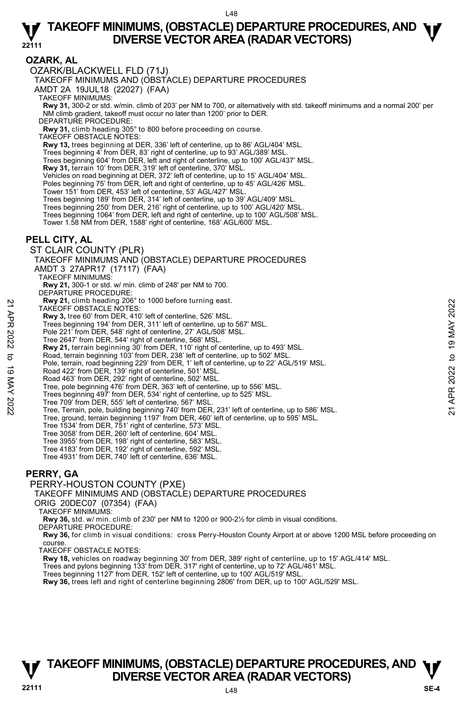### **OZARK, AL**

OZARK/BLACKWELL FLD (71J)

TAKEOFF MINIMUMS AND (OBSTACLE) DEPARTURE PROCEDURES

AMDT 2A 19JUL18 (22027) (FAA)

TAKEOFF MINIMUMS:

**Rwy 31,** 300-2 or std. w/min. climb of 203' per NM to 700, or alternatively with std. takeoff minimums and a normal 200' per NM climb gradient, takeoff must occur no later than 1200' prior to DER.

DEPARTURE PROCEDURE:

**Rwy 31,** climb heading 305° to 800 before proceeding on course.

TAKEOFF OBSTACLE NOTES:

**Rwy 13,** trees beginning at DER, 336' left of centerline, up to 86' AGL/404' MSL.

Trees beginning 4' from DER, 83' right of centerline, up to 93' AGL/389' MSL.

Trees beginning 604' from DER, left and right of centerline, up to 100' AGL/437' MSL.

**Rwy 31,** terrain 10' from DER, 319' left of centerline, 370' MSL.

Vehicles on road beginning at DER, 372' left of centerline, up to 15' AGL/404' MSL.

Poles beginning 75' from DER, left and right of centerline, up to 45' AGL/426' MSL.

Tower 151' from DER, 453' left of centerline, 53' AGL/427' MSL

Trees beginning 189' from DER, 314' left of centerline, up to 39' AGL/409' MSL.

Trees beginning 250' from DER, 216' right of centerline, up to 100' AGL/420' MSL.

Trees beginning 1064' from DER, left and right of centerline, up to 100' AGL/508' MSL.

Tower 1.58 NM from DER, 1588' right of centerline, 168' AGL/600' MSL.

### **PELL CITY, AL**

ST CLAIR COUNTY (PLR) TAKEOFF MINIMUMS AND (OBSTACLE) DEPARTURE PROCEDURES

AMDT 3 27APR17 (17117) (FAA)

TAKEOFF MINIMUMS:

**Rwy 21,** 300-1 or std. w/ min. climb of 248' per NM to 700.

DEPARTURE PROCEDURE:

**Rwy 21,** climb heading 206° to 1000 before turning east.

TAKEOFF OBSTACLE NOTES:

**Rwy 3,** tree 60' from DER, 410' left of centerline, 526' MSL.

Trees beginning 194' from DER, 311' left of centerline, up to 567' MSL.

Pole 221' from DER, 548' right of centerline, 27' AGL/508' MSL.

Tree 2647' from DER, 544' right of centerline, 568' MSL.

**Rwy 21,** terrain beginning 30' from DER, 110' right of centerline, up to 493' MSL. Road, terrain beginning 103' from DER, 238' left of centerline, up to 502' MSL.

Pole, terrain, road beginning 229' from DER, 1' left of centerline, up to 22' AGL/519' MSL.

Road 422' from DER, 139' right of centerline, 501' MSL. Road 463' from DER, 292' right of centerline, 502' MSL.

Tree, pole beginning 476' from DER, 363' left of centerline, up to 556' MSL.

Trees beginning 497' from DER, 534' right of centerline, up to 525' MSL.

Tree 709' from DER, 555' left of centerline, 567' MSL. Tree, Terrain, pole, building beginning 740' from DER, 231' left of centerline, up to 586' MSL. New 21, climn heading 200° to 1000 before turning east.<br>
21 TAKEOFF OBSTACLE NOTES:<br>
Trees beginning 194' from DER, 31'l left of centerline, 526' MSL.<br>
22 Trees beginning 194' from DER, 31'l left of centerline, up to 567'

Tree, ground, terrain beginning 1197' from DER, 460' left of centerline, up to 595' MSL.

Tree 1534' from DER, 751' right of centerline, 573' MSL. Tree 3058' from DER, 260' left of centerline, 604' MSL.

Tree 3955' from DER, 198' right of centerline, 583' MSL.

Tree 4183' from DER, 192' right of centerline, 592' MSL.

Tree 4931' from DER, 740' left of centerline, 636' MSL.

### **PERRY, GA**

#### PERRY-HOUSTON COUNTY (PXE)

TAKEOFF MINIMUMS AND (OBSTACLE) DEPARTURE PROCEDURES

ORIG 20DEC07 (07354) (FAA)

TAKEOFF MINIMUMS:

**Rwy 36,** std. w/ min. climb of 230' per NM to 1200 or 900-2½ for climb in visual conditions.

DEPARTURE PROCEDURE:

**Rwy 36,** for climb in visual conditions: cross Perry-Houston County Airport at or above 1200 MSL before proceeding on course.

TAKEOFF OBSTACLE NOTES:

**Rwy 18,** vehicles on roadway beginning 30' from DER, 389' right of centerline, up to 15' AGL/414' MSL.<br>Trees and pylons beginning 133' from DER, 317' right of centerline, up to 72' AGL/461' MSL.

Trees beginning 1127' from DER, 152' left of centerline, up to 100' AGL/519' MSL.

**Rwy 36,** trees left and right of centerline beginning 2806' from DER, up to 100' AGL/529' MSL.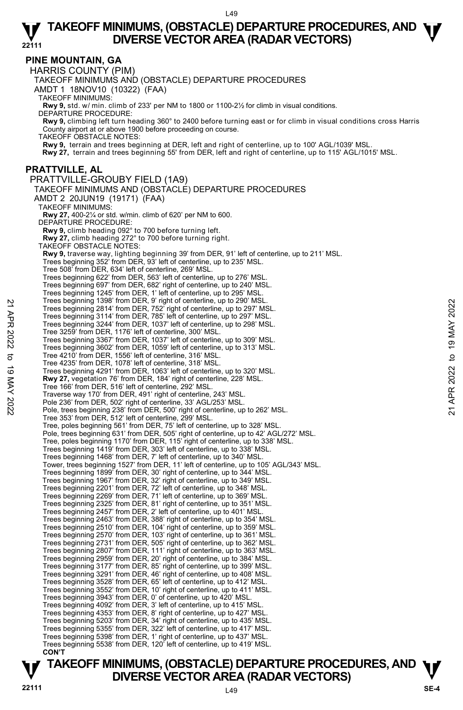### **PINE MOUNTAIN, GA**

HARRIS COUNTY (PIM) TAKEOFF MINIMUMS AND (OBSTACLE) DEPARTURE PROCEDURES AMDT 1 18NOV10 (10322) (FAA) TAKEOFF MINIMUMS: **Rwy 9,** std. w/ min. climb of 233' per NM to 1800 or 1100-2½ for climb in visual conditions. DEPARTURE PROCEDURE: **Rwy 9,** climbing left turn heading 360° to 2400 before turning east or for climb in visual conditions cross Harris County airport at or above 1900 before proceeding on course. TAKEOFF OBSTACLE NOTES: **Rwy 9,** terrain and trees beginning at DER, left and right of centerline, up to 100' AGL/1039' MSL. **Rwy 27,** terrain and trees beginning 55' from DER, left and right of centerline, up to 115' AGL/1015' MSL. **PRATTVILLE, AL**  PRATTVILLE-GROUBY FIELD (1A9) TAKEOFF MINIMUMS AND (OBSTACLE) DEPARTURE PROCEDURES AMDT 2 20JUN19 (19171) (FAA) TAKEOFF MINIMUMS: **Rwy 27,** 400-2¼ or std. w/min. climb of 620' per NM to 600. DEPARTURE PROCEDURE: **Rwy 9,** climb heading 092° to 700 before turning left. **Rwy 27,** climb heading 272° to 700 before turning right. TAKEOFF OBSTACLE NOTES: **Rwy 9,** traverse way, lighting beginning 39' from DER, 91' left of centerline, up to 211' MSL. Trees beginning 352' from DER, 93' left of centerline, up to 235' MSL. Tree 508' from DER, 634' left of centerline, 269' MSL. Trees beginning 622' from DER, 563' left of centerline, up to 276' MSL. Trees beginning 697' from DER, 682' right of centerline, up to 240' MSL. Trees beginning 1245' from DER, 1' left of centerline, up to 295' MSL. Trees beginning 1398' from DER, 9' right of centerline, up to 290' MSL. Trees beginning 2814' from DER, 752' right of centerline, up to 297' MSL. Trees beginning 3114' from DER, 785' left of centerline, up to 297' MSL. Trees beginning 3244' from DER, 1037' left of centerline, up to 298' MSL. Tree 3259' from DER, 1176' left of centerline, 300' MSL. Trees beginning 3367' from DER, 1037' left of centerline, up to 309' MSL. Trees beginning 3602' from DER, 1059' left of centerline, up to 313' MSL. Tree 4210' from DER, 1556' left of centerline, 316' MSL. Tree 4235' from DER, 1078' left of centerline, 318' MSL. Trees beginning 4291' from DER, 1063' left of centerline, up to 320' MSL. **Rwy 27,** vegetation 76' from DER, 184' right of centerline, 228' MSL. Tree 166' from DER, 516' left of centerline, 292' MSL. Traverse way 170' from DER, 491' right of centerline, 243' MSL. Pole 236' from DER, 502' right of centerline, 33' AGL/253' MSL. Pole, trees beginning 238' from DER, 500' right of centerline, up to 262' MSL. Tree 353' from DER, 512' left of centerline, 299' MSL. Tree, poles beginning 561' from DER, 75' left of centerline, up to 328' MSL. Pole, trees beginning 631' from DER, 505' right of centerline, up to 42' AGL/272' MSL. Tree, poles beginning 1170' from DER, 115' right of centerline, up to 338' MSL. Trees beginning 1419' from DER, 303' left of centerline, up to 338' MSL. Trees beginning 1468' from DER, 7' left of centerline, up to 340' MSL. Tower, trees beginning 1527' from DER, 11' left of centerline, up to 105' AGL/343' MSL. Trees beginning 1899' from DER, 30' right of centerline, up to 344' MSL.<br>Trees beginning 1967' from DER, 32' right of centerline, up to 349' MSL.<br>Trees beginning 2201' from DER, 72' left of centerline, up to 349' MSL.<br>Tree Trees beginning 2325' from DER, 81' right of centerline, up to 351' MSL.<br>Trees beginning 2457' from DER, 2' left of centerline, up to 401' MSL.<br>Trees beginning 2463' from DER, 388' right of centerline, up to 354' MSL. Trees beginning 2510' from DER, 104' right of centerline, up to 359' MSL. Trees beginning 2570' from DER, 103' right of centerline, up to 361' MSL. Trees beginning 2731' from DER, 505' right of centerline, up to 362' MSL. Trees beginning 2807' from DER, 111' right of centerline, up to 363' MSL. Trees beginning 2959' from DER, 20' right of centerline, up to 384' MSL. Trees beginning 3177' from DER, 85' right of centerline, up to 399' MSL. Trees beginning 3291' from DER, 46' right of centerline, up to 408' MSL. Trees beginning 3528' from DER, 65' left of centerline, up to 412' MSL. Trees beginning 3552' from DER, 10' right of centerline, up to 411' MSL. Trees beginning 3943' from DER, 0' of centerline, up to 420' MSL. Trees beginning 4092' from DER, 3' left of centerline, up to 415' MSL. Trees beginning 4353' from DER, 8' right of centerline, up to 427' MSL. Trees beginning 5203' from DER, 34' right of centerline, up to 435' MSL. Trees beginning 5355' from DER, 322' left of centerline, up to 417' MSL. Trees beginning 5398' from DER, 1' right of centerline, up to 437' MSL. Trees beginning 5538' from DER, 120' left of centerline, up to 419' MSL. **CON'T**  Trees beginning 1398' from DER, 9' right of centerline, up to 297' MSL.<br>
Trees beginning 3144' from DER, 752' right of centerline, up to 297' MSL.<br>
Trees beginning 3144' from DER, 752' right of centerline, up to 297' MSL.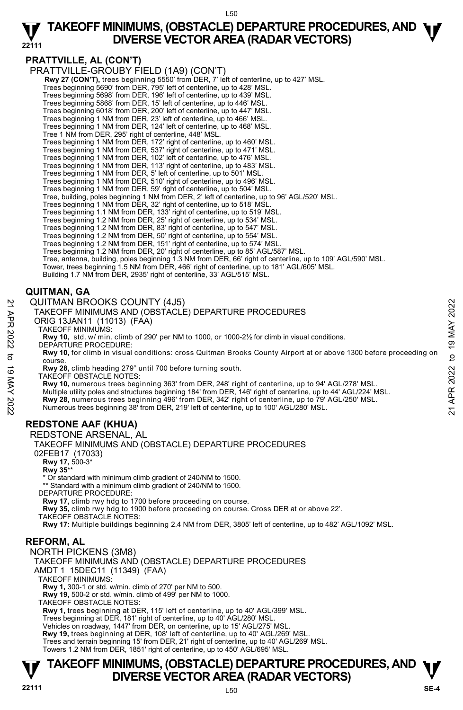#### L50

#### **22111 TAKEOFF MINIMUMS, (OBSTACLE) DEPARTURE PROCEDURES, AND**  $\Psi$ **<br>DIVERSE VECTOR AREA (RADAR VECTORS) DIVERSE VECTOR AREA (RADAR VECTORS)**

### **PRATTVILLE, AL (CON'T)**

PRATTVILLE-GROUBY FIELD (1A9) (CON'T)

**Rwy 27 (CON'T),** trees beginning 5550' from DER, 7' left of centerline, up to 427' MSL. Trees beginning 5690' from DER, 795' left of centerline, up to 428' MSL.

Trees beginning 5698' from DER, 196' left of centerline, up to 439' MSL.

Trees beginning 5868' from DER, 15' left of centerline, up to 446' MSL. Trees beginning 6018' from DER, 200' left of centerline, up to 447' MSL.

Trees beginning 1 NM from DER, 23' left of centerline, up to 466' MSL.

Trees beginning 1 NM from DER, 124' left of centerline, up to 468' MSL.

Tree 1 NM from DER, 295' right of centerline, 448' MSL.

Trees beginning 1 NM from DER, 172' right of centerline, up to 460' MSL.

Trees beginning 1 NM from DER, 537' right of centerline, up to 471' MSL.

Trees beginning 1 NM from DER, 102' left of centerline, up to 476' MSL.

Trees beginning 1 NM from DER, 113' right of centerline, up to 483' MSL.

Trees beginning 1 NM from DER, 5' left of centerline, up to 501' MSL.

Trees beginning 1 NM from DER, 510' right of centerline, up to 496' MSL.

Trees beginning 1 NM from DER, 59' right of centerline, up to 504' MSL.

Tree, building, poles beginning 1 NM from DER, 2' left of centerline, up to 96' AGL/520' MSL.

Trees beginning 1 NM from DER, 32' right of centerline, up to 518' MSL.

Trees beginning 1.1 NM from DER, 133' right of centerline, up to 519' MSL. Trees beginning 1.2 NM from DER, 25' right of centerline, up to 534' MSL.

Trees beginning 1.2 NM from DER, 83' right of centerline, up to 547' MSL.

Trees beginning 1.2 NM from DER, 50' right of centerline, up to 554' MSL.

Trees beginning 1.2 NM from DER, 151' right of centerline, up to 574' MSL.

Trees beginning 1.2 NM from DER, 20' right of centerline, up to 85' AGL/587' MSL.

Tree, antenna, building, poles beginning 1.3 NM from DER, 66' right of centerline, up to 109' AGL/590' MSL.

Tower, trees beginning 1.5 NM from DER, 466' right of centerline, up to 181' AGL/605' MSL.<br>Building 1.7 NM from DER, 2935' right of centerline, 33' AGL/515' MSL.

### **QUITMAN, GA**

QUITMAN BROOKS COUNTY (4J5)

TAKEOFF MINIMUMS AND (OBSTACLE) DEPARTURE PROCEDURES

ORIG 13JAN11 (11013) (FAA)

TAKEOFF MINIMUMS:

**Rwy 10,** std. w/ min. climb of 290' per NM to 1000, or 1000-2½ for climb in visual conditions. DEPARTURE PROCEDURE:

**Rwy 10,** for climb in visual conditions: cross Quitman Brooks County Airport at or above 1300 before proceeding on course.

**Rwy 28,** climb heading 279° until 700 before turning south.

TAKEOFF OBSTACLE NOTES:

**Rwy 10,** numerous trees beginning 363' from DER, 248' right of centerline, up to 94' AGL/278' MSL. Multiple utility poles and structures beginning 184' from DER, 146' right of centerline, up to 44' AGL/224' MSL. QUITMAN BROOKS COUNTY (4J5)<br>
TAKEOFF MINIMUMS AND (OBSTACLE) DEPARTURE PROCEDURES<br>
ORIG 13JAN11 (11013) (FAA)<br>
NORIG 13JAN11 (11013) (FAA)<br>
NORIG 13JAN11 (11013) (FAA)<br>
NORIG 13JAN11 (11013) (FAA)<br>
NORIG 13JAN11 (11013) (

### **REDSTONE AAF (KHUA)**

REDSTONE ARSENAL, AL

TAKEOFF MINIMUMS AND (OBSTACLE) DEPARTURE PROCEDURES 02FEB17 (17033)  **Rwy 17,** 500-3\*  **Rwy 35**\*\* Or standard with minimum climb gradient of 240/NM to 1500. \*\* Standard with a minimum climb gradient of 240/NM to 1500.

DEPARTURE PROCEDURE:

**Rwy 17,** climb rwy hdg to 1700 before proceeding on course. **Rwy 35,** climb rwy hdg to 1900 before proceeding on course. Cross DER at or above 22'. TAKEOFF OBSTACLE NOTES:

**Rwy 17:** Multiple buildings beginning 2.4 NM from DER, 3805' left of centerline, up to 482' AGL/1092' MSL.

### **REFORM, AL**

NORTH PICKENS (3M8)

TAKEOFF MINIMUMS AND (OBSTACLE) DEPARTURE PROCEDURES

AMDT 1 15DEC11 (11349) (FAA)

TAKEOFF MINIMUMS:

**Rwy 1,** 300-1 or std. w/min. climb of 270' per NM to 500. **Rwy 19,** 500-2 or std. w/min. climb of 499' per NM to 1000.

TAKEOFF OBSTACLE NOTES:

**Rwy 1,** trees beginning at DER, 115' left of centerline, up to 40' AGL/399' MSL.<br>Trees beginning at DER, 181' right of centerline, up to 40' AGL/280' MSL.

Vehicles on roadway, 1447' from DER, on centerline, up to 15' AGL/275' MSL.

**Rwy 19,** trees beginning at DER, 108' left of centerline, up to 40' AGL/269' MSL.

Trees and terrain beginning 15' from DER, 21' right of centerline, up to 40' AGL/269' MSL. Towers 1.2 NM from DER, 1851' right of centerline, up to 450' AGL/695' MSL.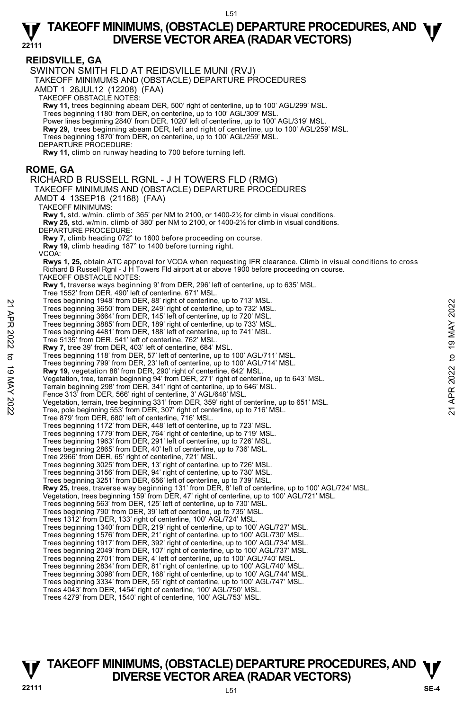#### **REIDSVILLE, GA**  SWINTON SMITH FLD AT REIDSVILLE MUNI (RVJ) TAKEOFF MINIMUMS AND (OBSTACLE) DEPARTURE PROCEDURES AMDT 1 26JUL12 (12208) (FAA) TAKEOFF OBSTACLE NOTES: **Rwy 11,** trees beginning abeam DER, 500' right of centerline, up to 100' AGL/299' MSL. Trees beginning 1180' from DER, on centerline, up to 100' AGL/309' MSL. Power lines beginning 2840' from DER, 1020' left of centerline, up to 100' AGL/319' MSL. **Rwy 29,** trees beginning abeam DER, left and right of centerline, up to 100' AGL/259' MSL. Trees beginning 1870' from DER, on centerline, up to 100' AGL/259' MSL. DEPARTURE PROCEDURE: **Rwy 11,** climb on runway heading to 700 before turning left. **ROME, GA**  RICHARD B RUSSELL RGNL - J H TOWERS FLD (RMG) TAKEOFF MINIMUMS AND (OBSTACLE) DEPARTURE PROCEDURES AMDT 4 13SEP18 (21168) (FAA) TAKEOFF MINIMUMS: **Rwy 1,** std. w/min. climb of 365' per NM to 2100, or 1400-2½ for climb in visual conditions. **Rwy 25,** std. w/min. climb of 380' per NM to 2100, or 1400-2½ for climb in visual conditions. DEPARTURE PROCEDURE: **Rwy 7,** climb heading 072° to 1600 before proceeding on course. **Rwy 19,** climb heading 187° to 1400 before turning right. VCOA: **Rwys 1, 25,** obtain ATC approval for VCOA when requesting IFR clearance. Climb in visual conditions to cross Richard B Russell Rgnl - J H Towers Fld airport at or above 1900 before proceeding on course. TAKEOFF OBSTACLE NOTES: **Rwy 1,** traverse ways beginning 9' from DER, 296' left of centerline, up to 635' MSL. Tree 1552' from DER, 490' left of centerline, 671' MSL. Trees beginning 1948' from DER, 88' right of centerline, up to 713' MSL. Trees beginning 3650' from DER, 249' right of centerline, up to 732' MSL. Trees beginning 3664' from DER, 145' left of centerline, up to 720' MSL. Trees beginning 3885' from DER, 189' right of centerline, up to 733' MSL. Trees beginning 4481' from DER, 188' left of centerline, up to 741' MSL. Tree 5135' from DER, 541' left of centerline, 762' MSL. **Rwy 7,** tree 39' from DER, 403' left of centerline, 684' MSL. Trees beginning 118' from DER, 57' left of centerline, up to 100' AGL/711' MSL. Trees beginning 799' from DER, 23' left of centerline, up to 100' AGL/714' MSL. **Rwy 19,** vegetation 88' from DER, 290' right of centerline, 642' MSL. Vegetation, tree, terrain beginning 94' from DER, 271' right of centerline, up to 643' MSL. Terrain beginning 298' from DER, 341' right of centerline, up to 646' MSL. Fence 313' from DER, 566' right of centerline, 3' AGL/648' MSL. Vegetation, terrain, tree beginning 331' from DER, 359' right of centerline, up to 651' MSL. Tree, pole beginning 553' from DER, 307' right of centerline, up to 716' MSL. Tree 879' from DER, 680' left of centerline, 716' MSL. Trees beginning 1172' from DER, 448' left of centerline, up to 723' MSL. Trees beginning 1779' from DER, 764' right of centerline, up to 719' MSL. Trees beginning 1963' from DER, 291' left of centerline, up to 726' MSL. Trees beginning 2865' from DER, 40' left of centerline, up to 736' MSL. Tree 2966' from DER, 65' right of centerline, 721' MSL. Trees beginning 3025' from DER, 13' right of centerline, up to 726' MSL. Trees beginning 3156' from DER, 94' right of centerline, up to 730' MSL. Trees beginning 3251' from DER, 656' left of centerline, up to 739' MSL. **Rwy 25,** trees, traverse way beginning 131' from DER, 8' left of centerline, up to 100' AGL/724' MSL. Vegetation, trees beginning 159' from DER, 47' right of centerline, up to 100' AGL/721' MSL. Trees beginning 563' from DER, 125' left of centerline, up to 730' MSL. Trees beginning 790' from DER, 39' left of centerline, up to 735' MSL. Trees 1312' from DER, 133' right of centerline, 100' AGL/724' MSL. Trees beginning 1340' from DER, 219' right of centerline, up to 100' AGL/727' MSL. Trees beginning 1576' from DER, 21' right of centerline, up to 100' AGL/730' MSL. Trees beginning 1917' from DER, 392' right of centerline, up to 100' AGL/734' MSL. Trees beginning 2049' from DER, 107' right of centerline, up to 100' AGL/737' MSL. Trees beginning 2701' from DER, 4' left of centerline, up to 100' AGL/740' MSL. Trees beginning 2834' from DER, 81' right of centerline, up to 100' AGL/740' MSL. Trees beginning 3098' from DER, 168' right of centerline, up to 100' AGL/744' MSL. Trees beginning 3334' from DER, 55' right of centerline, up to 100' AGL/747' MSL. Trees 4043' from DER, 1454' right of centerline, 100' AGL/750' MSL. Trees 4279' from DER, 1540' right of centerline, 100' AGL/753' MSL. Trees beginning 1948' from DER, 38' right of centerline, up to 713' MSL.<br>
Trees beginning 3660' from DER, 145' left of centerline, up to 732' MSL.<br>
Trees beginning 3865' from DER, 145' left of centerline, up to 730' MSL.<br>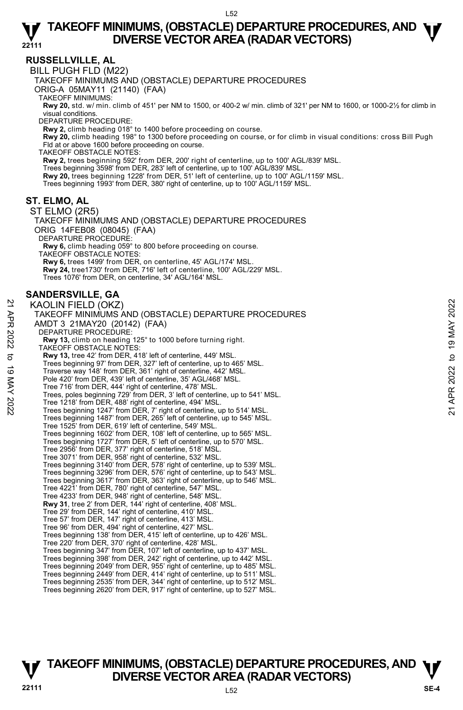### **RUSSELLVILLE, AL**

BILL PUGH FLD (M22)

TAKEOFF MINIMUMS AND (OBSTACLE) DEPARTURE PROCEDURES

ORIG-A 05MAY11 (21140) (FAA)

TAKEOFF MINIMUMS:

**Rwy 20,** std. w/ min. climb of 451' per NM to 1500, or 400-2 w/ min. climb of 321' per NM to 1600, or 1000-2½ for climb in visual conditions.

DEPARTURE PROCEDURE:

**Rwy 2,** climb heading 018° to 1400 before proceeding on course.

**Rwy 20,** climb heading 198° to 1300 before proceeding on course, or for climb in visual conditions: cross Bill Pugh<br>Fld at or above 1600 before proceeding on course.

TAKEOFF OBSTACLE NOTES:

**Rwy 2,** trees beginning 592' from DER, 200' right of centerline, up to 100' AGL/839' MSL.

Trees beginning 3598' from DER, 283' left of centerline, up to 100' AGL/839' MSL.<br>**Rwy 20,** trees beginning 1228' from DER, 51' left of centerline, up to 100' AGL/1159' MSL.

Trees beginning 1993' from DER, 380' right of centerline, up to 100' AGL/1159' MSL.

### **ST. ELMO, AL**

ST ELMO (2R5) TAKEOFF MINIMUMS AND (OBSTACLE) DEPARTURE PROCEDURES ORIG 14FEB08 (08045) (FAA) DEPARTURE PROCEDURE: **Rwy 6,** climb heading 059° to 800 before proceeding on course. TAKEOFF OBSTACLE NOTES: **Rwy 6,** trees 1499' from DER, on centerline, 45' AGL/174' MSL. **Rwy 24,** tree1730' from DER, 716' left of centerline, 100' AGL/229' MSL. Trees 1076' from DER, on centerline, 34' AGL/164' MSL.

### **SANDERSVILLE, GA**

KAOLIN FIELD (OKZ) TAKEOFF MINIMUMS AND (OBSTACLE) DEPARTURE PROCEDURES AMDT 3 21MAY20 (20142) (FAA) DEPARTURE PROCEDURE: **Rwy 13,** climb on heading 125° to 1000 before turning right. TAKEOFF OBSTACLE NOTES: **Rwy 13,** tree 42' from DER, 418' left of centerline, 449' MSL.<br>Trees beginning 97' from DER, 327' left of centerline, up to 465' MSL. Traverse way 148' from DER, 361' right of centerline, 442' MSL. Pole 420' from DER, 439' left of centerline, 35' AGL/468' MSL. Tree 716' from DER, 444' right of centerline, 478' MSL. Trees, poles beginning 729' from DER, 3' left of centerline, up to 541' MSL. Tree 1218' from DER, 488' right of centerline, 494' MSL. Trees beginning 1247' from DER, 7' right of centerline, up to 514' MSL. Trees beginning 1487' from DER, 265' left of centerline, up to 545' MSL. Tree 1525' from DER, 619' left of centerline, 549' MSL. Trees beginning 1602' from DER, 108' left of centerline, up to 565' MSL. Trees beginning 1727' from DER, 5' left of centerline, up to 570' MSL. Tree 2956' from DER, 377' right of centerline, 518' MSL. Tree 3071' from DER, 958' right of centerline, 532' MSL. Trees beginning 3140' from DER, 578' right of centerline, up to 539' MSL. Trees beginning 3296' from DER, 576' right of centerline, up to 543' MSL. Trees beginning 3617' from DER, 363' right of centerline, up to 546' MSL. Tree 4221' from DER, 780' right of centerline, 547' MSL. Tree 4233' from DER, 948' right of centerline, 548' MSL. **Rwy 31**, tree 2' from DER, 144' right of centerline, 408' MSL. Tree 29' from DER, 144' right of centerline, 410' MSL. Tree 57' from DER, 147' right of centerline, 413' MSL. Tree 96' from DER, 494' right of centerline, 427' MSL. Trees beginning 138' from DER, 415' left of centerline, up to 426' MSL. Tree 220' from DER, 370' right of centerline, 428' MSL. Trees beginning 347' from DER, 107' left of centerline, up to 437' MSL. Trees beginning 398' from DER, 242' right of centerline, up to 442' MSL. Trees beginning 2049' from DER, 955' right of centerline, up to 485' MSL. Trees beginning 2449' from DER, 414' right of centerline, up to 511' MSL. Trees beginning 2535' from DER, 344' right of centerline, up to 512' MSL. Trees beginning 2620' from DER, 917' right of centerline, up to 527' MSL. XAOLIN FIELD (OKZ)<br>
TAKEOFF MINIMUMS AND (OBSTACLE) DEPARTURE PROCEDURES<br>
21 AMDT 3 21 MAY20 (20142)<br>
22 DEPARTURE PROCEDURE:<br>
22 DEPARTURE PROCEDURE:<br>
23 MAY 13, climb on heading 125° to 1000 before turning right.<br>
23 TA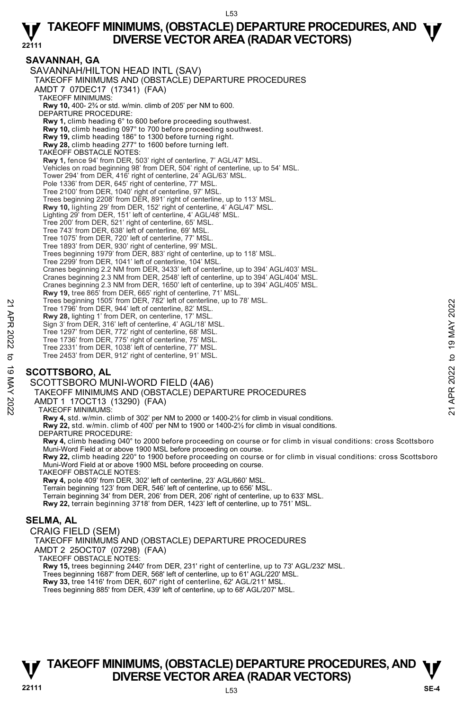### **22111 SAVANNAH, GA**  SAVANNAH/HILTON HEAD INTL (SAV) TAKEOFF MINIMUMS AND (OBSTACLE) DEPARTURE PROCEDURES AMDT 7 07DEC17 (17341) (FAA) TAKEOFF MINIMUMS: **Rwy 10,** 400- 2¾ or std. w/min. climb of 205' per NM to 600. DEPARTURE PROCEDURE: **Rwy 1,** climb heading 6° to 600 before proceeding southwest. **Rwy 10,** climb heading 097° to 700 before proceeding southwest. **Rwy 19,** climb heading 186° to 1300 before turning right. **Rwy 28,** climb heading 277° to 1600 before turning left. TAKEOFF OBSTACLE NOTES: **Rwy 1,** fence 94' from DER, 503' right of centerline, 7' AGL/47' MSL. Vehicles on road beginning 98' from DER, 504' right of centerline, up to 54' MSL. Tower 294' from DER, 416' right of centerline, 24' AGL/63' MSL. Pole 1336' from DER, 645' right of centerline, 77' MSL Tree 2100' from DER, 1040' right of centerline, 97' MSL. Trees beginning 2208' from DER, 891' right of centerline, up to 113' MSL. **Rwy 10,** lighting 29' from DER, 152' right of centerline, 4' AGL/47' MSL. Lighting 29' from DER, 151' left of centerline, 4' AGL/48' MSL. Tree 200' from DER, 521' right of centerline, 65' MSL. Tree 743' from DER, 638' left of centerline, 69' MSL. Tree 1075' from DER, 720' left of centerline, 77' MSL. Tree 1893' from DER, 930' right of centerline, 99' MSL. Trees beginning 1979' from DER, 883' right of centerline, up to 118' MSL. Tree 2299' from DER, 1041' left of centerline, 104' MSL. Cranes beginning 2.2 NM from DER, 3433' left of centerline, up to 394' AGL/403' MSL. Cranes beginning 2.3 NM from DER, 2548' left of centerline, up to 394' AGL/404' MSL. Cranes beginning 2.3 NM from DER, 1650' left of centerline, up to 394' AGL/405' MSL. **Rwy 19,** tree 865' from DER, 665' right of centerline, 71' MSL. Trees beginning 1505' from DER, 782' left of centerline, up to 78' MSL. Tree 1796' from DER, 944' left of centerline, 82' MSL. **Rwy 28,** lighting 1' from DER, on centerline, 17' MSL. Sign 3' from DER, 316' left of centerline, 4' AGL/18' MSL. Tree 1297' from DER, 772' right of centerline, 68' MSL. Tree 1736' from DER, 775' right of centerline, 75' MSL. Tree 2331' from DER, 1038' left of centerline, 77' MSL. Tree 2453' from DER, 912' right of centerline, 91' MSL. Tree 1996 if on DER, 942 Field Contentine, appto 78 MSL.<br>
The 1796 from DER, 944 Felt of centerline, and MSL.<br>
Sign 3 from DER, 316 Felt of centerline, 47 MSL.<br>
Sign 3 from DER, 316 Felt of centerline, 47 MSL.<br>
Tree 1736

### **SCOTTSBORO, AL**

SCOTTSBORO MUNI-WORD FIELD (4A6)

TAKEOFF MINIMUMS AND (OBSTACLE) DEPARTURE PROCEDURES

AMDT 1 17OCT13 (13290) (FAA)

TAKEOFF MINIMUMS:

**Rwy 4,** std. w/min. climb of 302' per NM to 2000 or 1400-2½ for climb in visual conditions.

**Rwy 22,** std. w/min. climb of 400' per NM to 1900 or 1400-2½ for climb in visual conditions.

DEPARTURE PROCEDURE

**Rwy 4,** climb heading 040° to 2000 before proceeding on course or for climb in visual conditions: cross Scottsboro Muni-Word Field at or above 1900 MSL before proceeding on course.

**Rwy 22,** climb heading 220° to 1900 before proceeding on course or for climb in visual conditions: cross Scottsboro Muni-Word Field at or above 1900 MSL before proceeding on course.

TAKEOFF OBSTACLE NOTES:

**Rwy 4,** pole 409' from DER, 302' left of centerline, 23' AGL/660' MSL. Terrain beginning 123' from DER, 546' left of centerline, up to 656' MSL. Terrain beginning 34' from DER, 206' from DER, 206' right of centerline, up to 633' MSL. **Rwy 22,** terrain beginning 3718' from DER, 1423' left of centerline, up to 751' MSL.

### **SELMA, AL**

CRAIG FIELD (SEM)

TAKEOFF MINIMUMS AND (OBSTACLE) DEPARTURE PROCEDURES AMDT 2 25OCT07 (07298) (FAA) TAKEOFF OBSTACLE NOTES: **Rwy 15,** trees beginning 2440' from DER, 231' right of centerline, up to 73' AGL/232' MSL. Trees beginning 1687' from DER, 568' left of centerline, up to 61' AGL/220' MSL. **Rwy 33,** tree 1416' from DER, 607' right of centerline, 62' AGL/211' MSL.

#### Trees beginning 885' from DER, 439' left of centerline, up to 68' AGL/207' MSL.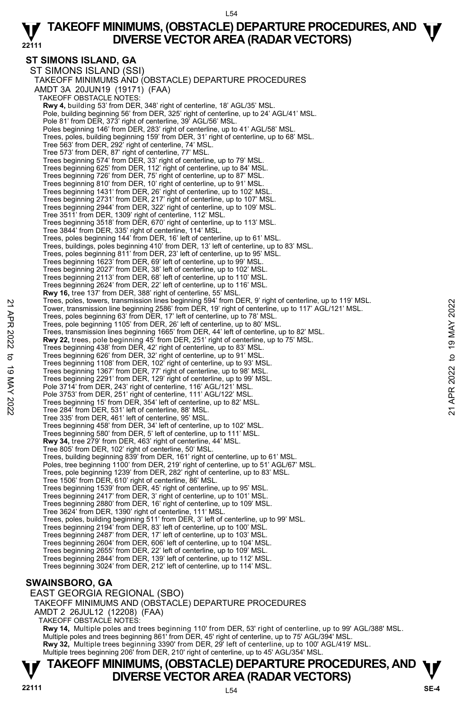### **ST SIMONS ISLAND, GA**

ST SIMONS ISLAND (SSI) TAKEOFF MINIMUMS AND (OBSTACLE) DEPARTURE PROCEDURES AMDT 3A 20JUN19 (19171) (FAA) TAKEOFF OBSTACLE NOTES: **Rwy 4,** building 53' from DER, 348' right of centerline, 18' AGL/35' MSL.<br>Pole, building beginning 56' from DER, 325' right of centerline, up to 24' AGL/41' MSL. Pole 81' from DER, 373' right of centerline, 39' AGL/56' MSL. Poles beginning 146' from DER, 283' right of centerline, up to 41' AGL/58' MSL. Trees, poles, building beginning 159' from DER, 31' right of centerline, up to 68' MSL. Tree 563' from DER, 292' right of centerline, 74' MSL. Tree 573' from DER, 87' right of centerline, 77' MSL. Trees beginning 574' from DER, 33' right of centerline, up to 79' MSL. Trees beginning 625' from DER, 112' right of centerline, up to 84' MSL. Trees beginning 726' from DER, 75' right of centerline, up to 87' MSL. Trees beginning 810' from DER, 10' right of centerline, up to 91' MSL. Trees beginning 1431' from DER, 26' right of centerline, up to 102' MSL. Trees beginning 2731' from DER, 217' right of centerline, up to 107' MSL. Trees beginning 2944' from DER, 322' right of centerline, up to 109' MSL. Tree 3511' from DER, 1309' right of centerline, 112' MSL. Trees beginning 3518' from DER, 670' right of centerline, up to 113' MSL. Tree 3844' from DER, 335' right of centerline, 114' MSL. Trees, poles beginning 144' from DER, 16' left of centerline, up to 61' MSL. Trees, buildings, poles beginning 410' from DER, 13' left of centerline, up to 83' MSL. Trees, poles beginning 811' from DER, 23' left of centerline, up to 95' MSL. Trees beginning 1623' from DER, 69' left of centerline, up to 99' MSL. Trees beginning 2027' from DER, 38' left of centerline, up to 102' MSL. Trees beginning 2113' from DER, 68' left of centerline, up to 110' MSL. Trees beginning 2624' from DER, 22' left of centerline, up to 116' MSL. **Rwy 16,** tree 137' from DER, 388' right of centerline, 55' MSL. Trees, poles, towers, transmission lines beginning 594' from DER, 9' right of centerline, up to 119' MSL. Tower, transmission line beginning 2586' from DER, 19' right of centerline, up to 117' AGL/121' MSL. Trees, poles beginning 63' from DER, 17' left of centerline, up to 78' MSL. Trees, pole beginning 1105' from DER, 26' left of centerline, up to 80' MSL. Trees, transmission lines beginning 1665' from DER, 44' left of centerline, up to 82' MSL.<br>**Rwy 22,** trees, pole beginning 45' from DER, 251' right of centerline, up to 75' MSL. Trees beginning 438' from DER, 42' right of centerline, up to 83' MSL. Trees beginning 626' from DER, 32' right of centerline, up to 91' MSL. Trees beginning 1108' from DER, 102' right of centerline, up to 93' MSL. Trees beginning 1367' from DER, 77' right of centerline, up to 98' MSL. Trees beginning 2291' from DER, 129' right of centerline, up to 99' MSL. Pole 3714' from DER, 243' right of centerline, 116' AGL/121' MSL. Pole 3753' from DER, 251' right of centerline, 111' AGL/122' MSL. Trees beginning 15' from DER, 354' left of centerline, up to 82' MSL. Tree 284' from DER, 531' left of centerline, 88' MSL. Tree 335' from DER, 461' left of centerline, 95' MSL. Trees beginning 458' from DER, 34' left of centerline, up to 102' MSL. Trees beginning 580' from DER, 5' left of centerline, up to 111' MSL. **Rwy 34,** tree 279' from DER, 463' right of centerline, 44' MSL. Tree 805' from DER, 102' right of centerline, 50' MSL. Trees, building beginning 839' from DER, 161' right of centerline, up to 61' MSL. Poles, tree beginning 1100' from DER, 219' right of centerline, up to 51' AGL/67' MSL. Trees, pole beginning 1239' from DER, 282' right of centerline, up to 83' MSL. Tree 1506' from DER, 610' right of centerline, 86' MSL.<br>Trees beginning 1539' from DER, 45' right of centerline, up to 95' MSL.<br>Trees beginning 2417' from DER, 3' right of centerline, up to 101' MSL. Trees beginning 2880' from DER, 16' right of centerline, up to 109' MSL. Tree 3624' from DER, 1390' right of centerline, 111' MSL. Trees, poles, building beginning 511' from DER, 3' left of centerline, up to 99' MSL. Trees beginning 2194' from DER, 83' left of centerline, up to 100' MSL. Trees beginning 2487' from DER, 17' left of centerline, up to 103' MSL. Trees beginning 2604' from DER, 606' left of centerline, up to 104' MSL. Trees beginning 2655' from DER, 22' left of centerline, up to 109' MSL. Trees beginning 2844' from DER, 139' left of centerline, up to 112' MSL. Trees beginning 3024' from DER, 212' left of centerline, up to 114' MSL. Trees, poles, towers, transmission line beginning 34 from DER, 9 right of centerline, up to 117 AGL/121' MSL.<br>
Tower, transmission line beginning 3586' from DER, 19' right of centerline, up to 117' AGL/121' MSL.<br>
Trees, po

### **SWAINSBORO, GA**

EAST GEORGIA REGIONAL (SBO) TAKEOFF MINIMUMS AND (OBSTACLE) DEPARTURE PROCEDURES AMDT 2 26JUL12 (12208) (FAA) TAKEOFF OBSTACLE NOTES: **Rwy 14,** Multiple poles and trees beginning 110' from DER, 53' right of centerline, up to 99' AGL/388' MSL. Multiple poles and trees beginning 861' from DER, 45' right of centerline, up to 75' AGL/394' MSL. **Rwy 32,** Multiple trees beginning 3390' from DER, 29' left of centerline, up to 100' AGL/419' MSL.<br>Multiple trees beginning 206' from DER, 210' right of centerline, up to 45' AGL/354' MSL.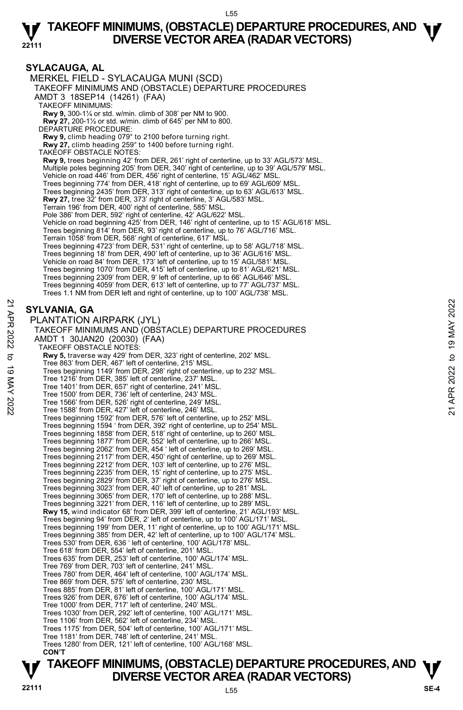#### **SYLACAUGA, AL**  MERKEL FIELD - SYLACAUGA MUNI (SCD) TAKEOFF MINIMUMS AND (OBSTACLE) DEPARTURE PROCEDURES AMDT 3 18SEP14 (14261) (FAA) TAKEOFF MINIMUMS: **Rwy 9,** 300-1¼ or std. w/min. climb of 308' per NM to 900. **Rwy 27,** 200-1½ or std. w/min. climb of 645' per NM to 800. DEPARTURE PROCEDURE: **Rwy 9,** climb heading 079° to 2100 before turning right. **Rwy 27,** climb heading 259° to 1400 before turning right. TAKEOFF OBSTACLE NOTES: **Rwy 9,** trees beginning 42' from DER, 261' right of centerline, up to 33' AGL/573' MSL. Multiple poles beginning 205' from DER, 340' right of centerline, up to 39' AGL/579' MSL. Vehicle on road 446' from DER, 456' right of centerline, 15' AGL/462' MSL. Trees beginning 774' from DER, 418' right of centerline, up to 69' AGL/609' MSL. Trees beginning 2435' from DER, 313' right of centerline, up to 63' AGL/613' MSL. **Rwy 27,** tree 32' from DER, 373' right of centerline, 3' AGL/583' MSL. Terrain 196' from DER, 400' right of centerline, 585' MSL. Pole 386' from DER, 592' right of centerline, 42' AGL/622' MSL. Vehicle on road beginning 425' from DER, 146' right of centerline, up to 15' AGL/618' MSL. Trees beginning 814' from DER, 93' right of centerline, up to 76' AGL/716' MSL. Terrain 1058' from DER, 568' right of centerline, 617' MSL. Trees beginning 4723' from DER, 531' right of centerline, up to 58' AGL/718' MSL. Trees beginning 18' from DER, 490' left of centerline, up to 36' AGL/616' MSL. Vehicle on road 84' from DER, 173' left of centerline, up to 15' AGL/581' MSL. Trees beginning 1070' from DER, 415' left of centerline, up to 81' AGL/621' MSL. Trees beginning 2309' from DER, 9' left of centerline, up to 66' AGL/646' MSL. Trees beginning 4059' from DER, 613' left of centerline, up to 77' AGL/737' MSL. Trees 1.1 NM from DER left and right of centerline, up to 100' AGL/738' MSL. **SYLVANIA, GA**  PLANTATION AIRPARK (JYL) TAKEOFF MINIMUMS AND (OBSTACLE) DEPARTURE PROCEDURES AMDT 1 30JAN20 (20030) (FAA) TAKEOFF OBSTACLE NOTES: **Rwy 5,** traverse way 429' from DER, 323' right of centerline, 202' MSL. Tree 863' from DER, 467' left of centerline, 215' MSL. Trees beginning 1149' from DER, 298' right of centerline, up to 232' MSL. Tree 1216' from DER, 385' left of centerline, 237' MSL. Tree 1401' from DER, 657' right of centerline, 241' MSL. Tree 1500' from DER, 736' left of centerline, 243' MSL. Tree 1566' from DER, 526' right of centerline, 249' MSL. Tree 1588' from DER, 427' left of centerline, 246' MSL. Trees beginning 1592' from DER, 576' left of centerline, up to 252' MSL. Trees beginning 1594 ' from DER, 392' right of centerline, up to 254' MSL. Trees beginning 1858' from DER, 518' right of centerline, up to 260' MSL. Trees beginning 1877' from DER, 552' left of centerline, up to 266' MSL. Trees beginning 2062' from DER, 454 ' left of centerline, up to 269' MSL. Trees beginning 2117' from DER, 450' right of centerline, up to 269' MSL. Trees beginning 2212' from DER, 103' left of centerline, up to 276' MSL. Trees beginning 2235' from DER, 15' right of centerline, up to 275' MSL. Trees beginning 2829' from DER, 37' right of centerline, up to 276' MSL.<br>Trees beginning 3023' from DER, 40' left of centerline, up to 281' MSL.<br>Trees beginning 3065' from DER, 170' left of centerline, up to 288' MSL. Trees beginning 3221' from DER, 116' left of centerline, up to 289' MSL.  **Rwy 15,** wind indicator 68' from DER, 399' left of centerline, 21' AGL/193' MSL. Trees beginning 94' from DER, 2' left of centerline, up to 100' AGL/171' MSL. Trees beginning 199' from DER, 11' right of centerline, up to 100' AGL/171' MSL. Trees beginning 385' from DER, 42' left of centerline, up to 100' AGL/174' MSL. Trees 530' from DER, 636 ' left of centerline, 100' AGL/178' MSL. Tree 618' from DER, 554' left of centerline, 201' MSL. Trees 635' from DER, 253' left of centerline, 100' AGL/174' MSL. Tree 769' from DER, 703' left of centerline, 241' MSL. Trees 780' from DER, 464' left of centerline, 100' AGL/174' MSL. Tree 869' from DER, 575' left of centerline, 230' MSL. Trees 885' from DER, 81' left of centerline, 100' AGL/171' MSL. Trees 926' from DER, 676' left of centerline, 100' AGL/174' MSL. Tree 1000' from DER, 717' left of centerline, 240' MSL. Trees 1030' from DER, 292' left of centerline, 100' AGL/171' MSL. Tree 1106' from DER, 562' left of centerline, 234' MSL. Trees 1175' from DER, 504' left of centerline, 100' AGL/171' MSL. Tree 1181' from DER, 748' left of centerline, 241' MSL. Trees 1280' from DER, 121' left of centerline, 100' AGL/168' MSL.  **CON'T SYLVANIA, GA**<br> **PLANTATION AIRPARK (JYL)**<br>
TAKEOFF MINIMUMS AND (OBSTACLE) DEPARTURE PROCEDURES<br>
AMDT 1 30JAN20 (20030) (FAA)<br>
TAKEOFF MINIMUMS AND (OBSTACLE) DEPARTURE PROCEDURES<br>
AMDT 1 30JAN20 (20030) (FAA)<br>
TRES begi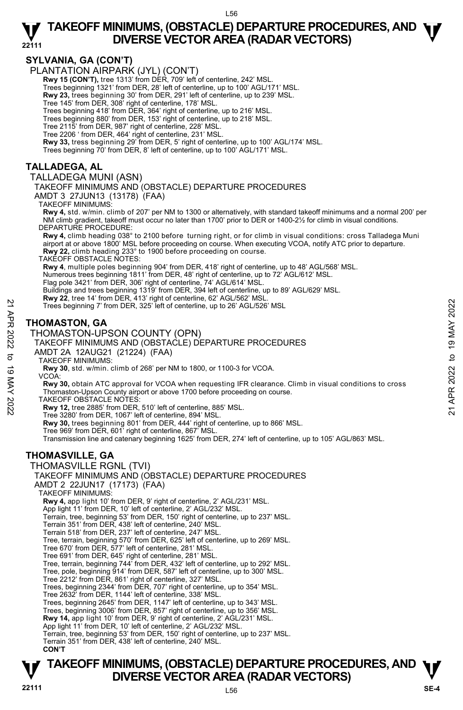**SYLVANIA, GA (CON'T)**  PLANTATION AIRPARK (JYL) (CON'T)

**Rwy 15 (CON'T),** tree 1313' from DÉR, 709' left of centerline, 242' MSL

Trees beginning 1321' from DER, 28' left of centerline, up to 100' AGL/171' MSL.

**Rwy 23,** trees beginning 30' from DER, 291' left of centerline, up to 239' MSL.

Tree 145' from DER, 308' right of centerline, 178' MSL.

Trees beginning 418' from DER, 364' right of centerline, up to 216' MSL.

Trees beginning 880' from DER, 153' right of centerline, up to 218' MSL.

Tree 2115' from DER, 987' right of centerline, 228' MSL.

Tree 2206 ' from DER, 464' right of centerline, 231' MSL. **Rwy 33,** tress beginning 29' from DER, 5' right of centerline, up to 100' AGL/174' MSL.

Trees beginning 70' from DER, 8' left of centerline, up to 100' AGL/171' MSL.

### **TALLADEGA, AL**

TALLADEGA MUNI (ASN)

TAKEOFF MINIMUMS AND (OBSTACLE) DEPARTURE PROCEDURES

AMDT 3 27JUN13 (13178) (FAA)

TAKEOFF MINIMUMS:

**Rwy 4,** std. w/min. climb of 207' per NM to 1300 or alternatively, with standard takeoff minimums and a normal 200' per NM climb gradient, takeoff must occur no later than 1700' prior to DER or 1400-2½ for climb in visual conditions. DEPARTURE PROCEDURE:

**Rwy 4,** climb heading 038° to 2100 before turning right, or for climb in visual conditions: cross Talladega Muni airport at or above 1800' MSL before proceeding on course. When executing VCOA, notify ATC prior to departure.<br>**Rwy 22,** climb heading 233° to 1900 before proceeding on course.

TAKEOFF OBSTACLE NOTES:

**Rwy 4**, multiple poles beginning 904' from DER, 418' right of centerline, up to 48' AGL/568' MSL.<br>Numerous trees beginning 1811' from DER, 48' right of centerline, up to 72' AGL/612' MSL.<br>Flag pole 3421' from DER, 306' ri

Buildings and trees beginning 1319' from DER, 394 left of centerline, up to 89' AGL/629' MSL.

**Rwy 22**, tree 14' from DER, 413' right of centerline, 62' AGL/562' MSL.<br>Trees beginning 7' from DER, 325' left of centerline, up to 26' AGL/526' MSL

### **THOMASTON, GA**

THOMASTON-UPSON COUNTY (OPN)

#### TAKEOFF MINIMUMS AND (OBSTACLE) DEPARTURE PROCEDURES AMDT 2A 12AUG21 (21224) (FAA)

TAKEOFF MINIMUMS:

**Rwy 30**, std. w/min. climb of 268' per NM to 1800, or 1100-3 for VCOA. VCOA:

**Rwy 30,** obtain ATC approval for VCOA when requesting IFR clearance. Climb in visual conditions to cross Thomaston-Upson County airport or above 1700 before proceeding on course. Trees beginning 7 from DER, 325' left of centerline, up to 26' AGL/526' MSL<br>
Trees beginning 7 from DER, 325' left of centerline, up to 26' AGL/526' MSL<br>
THOMASTON-UPSON COUNTY (OPN)<br>
TAKEOFF MINIMUMS AND (OBSTACLE) DEPART

TAKEOFF OBSTACLE NOTES:

**Rwy 12,** tree 2885' from DER, 510' left of centerline, 885' MSL.

Tree 3280' from DER, 1067' left of centerline, 894' MSL.

**Rwy 30,** trees beginning 801' from DER, 444' right of centerline, up to 866' MSL.

Tree 969' from DER, 601' right of centerline, 867' MSL. Transmission line and catenary beginning 1625' from DER, 274' left of centerline, up to 105' AGL/863' MSL.

### **THOMASVILLE, GA**

THOMASVILLE RGNL (TVI)

TAKEOFF MINIMUMS AND (OBSTACLE) DEPARTURE PROCEDURES

AMDT 2 22JUN17 (17173) (FAA)

TAKEOFF MINIMUMS:

**Rwy 4,** app light 10' from DER, 9' right of centerline, 2' AGL/231' MSL.

App light 11' from DER, 10' left of centerline, 2' AGL/232' MSL. Terrain, tree, beginning 53' from DER, 150' right of centerline, up to 237' MSL.

Terrain 351' from DER, 438' left of centerline, 240' MSL.

Terrain 518' from DER, 237' left of centerline, 247' MSL.

Tree, terrain, beginning 570' from DER, 625' left of centerline, up to 269' MSL.

Tree 670' from DER, 577' left of centerline, 281' MSL.

Tree 691' from DER, 645' right of centerline, 281' MSL.

Tree, terrain, beginning 744' from DER, 432' left of centerline, up to 292' MSL. Tree, pole, beginning 914' from DER, 587' left of centerline, up to 300' MSL.

Tree 2212' from DER, 861' right of centerline, 327' MSL.

Trees, beginning 2344' from DER, 707' right of centerline, up to 354' MSL. Tree 2632' from DER, 1144' left of centerline, 338' MSL.

Trees, beginning 2645' from DER, 1147' left of centerline, up to 343' MSL.

Trees, beginning 3006' from DER, 857' right of centerline, up to 356' MSL. **Rwy 14,** app light 10' from DER, 9' right of centerline, 2' AGL/231' MSL.

App light 11' from DER, 10' left of centerline, 2' AGL/232' MSL.

Terrain, tree, beginning 53' from DER, 150' right of centerline, up to 237' MSL.

Terrain 351' from DER, 438' left of centerline, 240' MSL.

 **CON'T**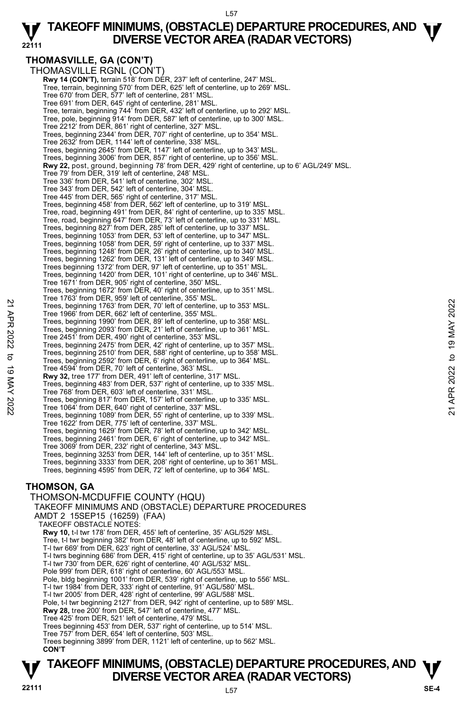#### L57

#### **22111 TAKEOFF MINIMUMS, (OBSTACLE) DEPARTURE PROCEDURES, AND**  $\Psi$ **<br>DIVERSE VECTOR AREA (RADAR VECTORS) DIVERSE VECTOR AREA (RADAR VECTORS)**

### **THOMASVILLE, GA (CON'T)**

THOMASVILLE RGNL (CON'T) **Rwy 14 (CON'T),** terrain 518' from DÉR, 237' left of centerline, 247' MSL Tree, terrain, beginning 570' from DER, 625' left of centerline, up to 269' MSL. Tree 670' from DER, 577' left of centerline, 281' MSL. Tree 691' from DER, 645' right of centerline, 281' MSL. Tree, terrain, beginning 744' from DER, 432' left of centerline, up to 292' MSL. Tree, pole, beginning 914' from DER, 587' left of centerline, up to 300' MSL. Tree 2212' from DER, 861' right of centerline, 327' MSL. Trees, beginning 2344' from DER, 707' right of centerline, up to 354' MSL. Tree 2632' from DER, 1144' left of centerline, 338' MSL. Trees, beginning 2645' from DER, 1147' left of centerline, up to 343' MSL. Trees, beginning 3006' from DER, 857' right of centerline, up to 356' MSL. **Rwy 22,** post, ground, beginning 78' from DER, 429' right of centerline, up to 6' AGL/249' MSL. Tree 79' from DER, 319' left of centerline, 248' MSL. Tree 336' from DER, 541' left of centerline, 302' MSL. Tree 343' from DER, 542' left of centerline, 304' MSL. Tree 445' from DER, 565' right of centerline, 317' MSL. Trees, beginning 458' from DER, 562' left of centerline, up to 319' MSL. Tree, road, beginning 491' from DER, 84' right of centerline, up to 335' MSL. Tree, road, beginning 647' from DER, 73' left of centerline, up to 331' MSL. Trees, beginning 827' from DER, 285' left of centerline, up to 337' MSL. Trees, beginning 1053' from DER, 53' left of centerline, up to 347' MSL. Trees, beginning 1058' from DER, 59' right of centerline, up to 337' MSL. Trees, beginning 1248' from DER, 26' right of centerline, up to 340' MSL. Trees, beginning 1262' from DER, 131' left of centerline, up to 349' MSL. Trees beginning 1372' from DER, 97' left of centerline, up to 351' MSL. Trees, beginning 1420' from DER, 101' right of centerline, up to 346' MSL. Tree 1671' from DER, 905' right of centerline, 350' MSL. Trees, beginning 1672' from DER, 40' right of centerline, up to 351' MSL. Tree 1763' from DER, 959' left of centerline, 355' MSL. Trees, beginning 1763' from DER, 70' left of centerline, up to 353' MSL. Tree 1966' from DER, 662' left of centerline, 355' MSL. Trees, beginning 1990' from DER, 89' left of centerline, up to 358' MSL. Trees, beginning 2093' from DER, 21' left of centerline, up to 361' MSL. Tree 2451' from DER, 490' right of centerline, 353' MSL. Trees, beginning 2475' from DER, 42' right of centerline, up to 357' MSL. Trees, beginning 2510' from DER, 588' right of centerline, up to 358' MSL. Trees, beginning 2592' from DER, 6' right of centerline, up to 364' MSL. Tree 4594' from DER, 70' left of centerline, 363' MSL. **Rwy 32,** tree 177' from DER, 491' left of centerline, 317' MSL. Trees, beginning 483' from DER, 537' right of centerline, up to 335' MSL. Tree 768' from DER, 603' left of centerline, 331' MSL. Trees, beginning 817' from DER, 157' left of centerline, up to 335' MSL. Tree 1064' from DER, 640' right of centerline, 337' MSL. Trees, beginning 1089' from DER, 55' right of centerline, up to 339' MSL. Tree 1622' from DER, 775' left of centerline, 337' MSL. Trees, beginning 1629' from DER, 78' left of centerline, up to 342' MSL. Trees, beginning 2461' from DER, 6' right of centerline, up to 342' MSL. Tree 3069' from DER, 232' right of centerline, 343' MSL. Trees, beginning 3253' from DER, 144' left of centerline, up to 351' MSL. Trees, beginning 3333' from DER, 208' right of centerline, up to 361' MSL. Trees, beginning 4595' from DER, 72' left of centerline, up to 364' MSL. **THOMSON, GA**  THOMSON-MCDUFFIE COUNTY (HQU) TAKEOFF MINIMUMS AND (OBSTACLE) DEPARTURE PROCEDURES AMDT 2 15SEP15 (16259) (FAA) TAKEOFF OBSTACLE NOTES: **Rwy 10,** t-l twr 178' from DER, 455' left of centerline, 35' AGL/529' MSL. Tree, t-l twr beginning 382' from DER, 48' left of centerline, up to 592' MSL. T-l twr 669' from DER, 623' right of centerline, 33' AGL/524' MSL. 22 Trees, beginning 1763' from DER, 70' left of centerline, up to 353' MSL.<br>
Trees, beginning 1763' from DER, 70' left of centerline, up to 358' MSL.<br>
Trees, beginning 1990' from DER, 89' left of centerline, up to 358' MSL

- T-l twrs beginning 686' from DER, 415' right of centerline, up to 35' AGL/531' MSL.
- T-l twr 730' from DER, 626' right of centerline, 40' AGL/532' MSL.
- Pole 999' from DER, 618' right of centerline, 60' AGL/553' MSL.
- Pole, bldg beginning 1001' from DER, 539' right of centerline, up to 556' MSL.
- T-l twr 1984' from DER, 333' right of centerline, 91' AGL/580' MSL. T-l twr 2005' from DER, 428' right of centerline, 99' AGL/588' MSL.
- Pole, t-l twr beginning 2127' from DER, 942' right of centerline, up to 589' MSL.
- **Rwy 28,** tree 200' from DER, 547' left of centerline, 477' MSL.
- Tree 425' from DER, 521' left of centerline, 479' MSL.
- Trees beginning 453' from DER, 537' right of centerline, up to 514' MSL.
- Tree 757' from DER, 654' left of centerline, 503' MSL.
- Trees beginning 3899' from DER, 1121' left of centerline, up to 562' MSL. **CON'T**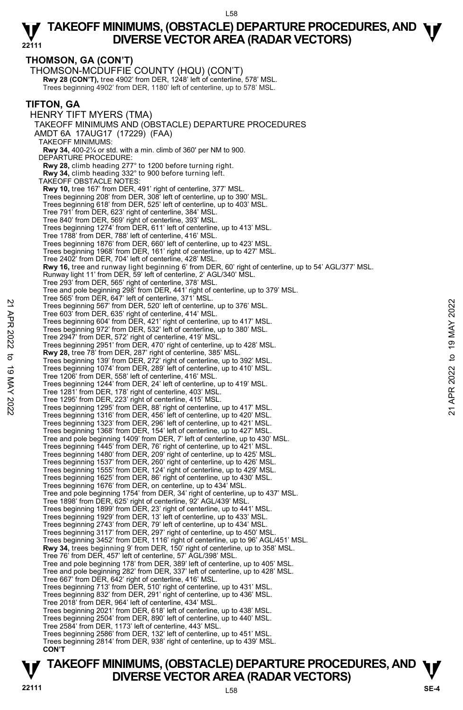**THOMSON, GA (CON'T)**  THOMSON-MCDUFFIE COUNTY (HQU) (CON'T) **Rwy 28 (CON'T),** tree 4902' from DER, 1248' left of centerline, 578' MSL. Trees beginning 4902' from DER, 1180' left of centerline, up to 578' MSL. **TIFTON, GA**  HENRY TIFT MYERS (TMA) TAKEOFF MINIMUMS AND (OBSTACLE) DEPARTURE PROCEDURES AMDT 6A 17AUG17 (17229) (FAA) TAKEOFF MINIMUMS: **Rwy 34,** 400-2¼ or std. with a min. climb of 360' per NM to 900. DEPARTURE PROCEDURE: **Rwy 28,** climb heading 277° to 1200 before turning right. **Rwy 34,** climb heading 332° to 900 before turning left. TAKEOFF OBSTACLE NOTES: **Rwy 10,** tree 167' from DER, 491' right of centerline, 377' MSL. Trees beginning 208' from DER, 308' left of centerline, up to 390' MSL. Trees beginning 618' from DER, 525' left of centerline, up to 403' MSL. Tree 791' from DER, 623' right of centerline, 384' MSL. Tree 840' from DER, 569' right of centerline, 393' MSL. Trees beginning 1274' from DER, 611' left of centerline, up to 413' MSL. Tree 1788' from DER, 788' left of centerline, 416' MSL. Trees beginning 1876' from DER, 660' left of centerline, up to 423' MSL. Trees beginning 1968' from DER, 161' right of centerline, up to 427' MSL. Tree 2402' from DER, 704' left of centerline, 428' MSL. **Rwy 16,** tree and runway light beginning 6' from DER, 60' right of centerline, up to 54' AGL/377' MSL.<br>Runway light 11' from DER, 59' left of centerline, 2' AGL/340' MSL. Tree 293' from DER, 565' right of centerline, 378' MSL. Tree and pole beginning 298' from DER, 441' right of centerline, up to 379' MSL. Tree 565' from DER, 647' left of centerline, 371' MSL. Trees beginning 567' from DER, 520' left of centerline, up to 376' MSL. Tree 603' from DER, 635' right of centerline, 414' MSL. Trees beginning 604' from DER, 421' right of centerline, up to 417' MSL. Trees beginning 972' from DER, 532' left of centerline, up to 380' MSL. Tree 2947' from DER, 572' right of centerline, 419' MSL. Trees beginning 2951' from DER, 470' right of centerline, up to 428' MSL. **Rwy 28,** tree 78' from DER, 287' right of centerline, 385' MSL. Trees beginning 139' from DER, 272' right of centerline, up to 392' MSL. Trees beginning 1074' from DER, 289' left of centerline, up to 410' MSL. Tree 1206' from DER, 558' left of centerline, 416' MSL. Trees beginning 1244' from DER, 24' left of centerline, up to 419' MSL. Tree 1281' from DER, 178' right of centerline, 403' MSL. Tree 1295' from DER, 223' right of centerline, 415' MSL. Trees beginning 1295' from DER, 88' right of centerline, up to 417' MSL. Trees beginning 1316' from DER, 456' left of centerline, up to 420' MSL. Trees beginning 1323' from DER, 296' left of centerline, up to 421' MSL. Trees beginning 1368' from DER, 154' left of centerline, up to 427' MSL. Tree and pole beginning 1409' from DER, 7' left of centerline, up to 430' MSL. Trees beginning 1445' from DER, 76' right of centerline, up to 421' MSL. Trees beginning 1480' from DER, 209' right of centerline, up to 425' MSL. Trees beginning 1537' from DER, 260' right of centerline, up to 426' MSL. Trees beginning 1555' from DER, 124' right of centerline, up to 429' MSL. Trees beginning 1625' from DER, 86' right of centerline, up to 430' MSL. Trees beginning 1676' from DER, on centerline, up to 434' MSL. Tree and pole beginning 1754' from DER, 34' right of centerline, up to 437' MSL. Tree 1898' from DER, 625' right of centerline, 92' AGL/439' MSL. Trees beginning 1899' from DER, 23' right of centerline, up to 441' MSL. Trees beginning 1929' from DER, 13' left of centerline, up to 433' MSL. Trees beginning 2743' from DER, 79' left of centerline, up to 434' MSL. Trees beginning 3117' from DER, 297' right of centerline, up to 450' MSL. Trees beginning 3452' from DER, 1116' right of centerline, up to 96' AGL/451' MSL. **Rwy 34,** trees beginning 9' from DER, 150' right of centerline, up to 358' MSL. Tree 76' from DER, 457' left of centerline, 57' AGL/398' MSL. Tree and pole beginning 178' from DER, 389' left of centerline, up to 405' MSL. Tree and pole beginning 282' from DER, 337' left of centerline, up to 428' MSL. Tree 667' from DER, 642' right of centerline, 416' MSL. Trees beginning 713' from DER, 510' right of centerline, up to 431' MSL. Trees beginning 832' from DER, 291' right of centerline, up to 436' MSL. Tree 2018' from DER, 964' left of centerline, 434' MSL. Trees beginning 2021' from DER, 618' left of centerline, up to 438' MSL. Trees beginning 2504' from DER, 890' left of centerline, up to 440' MSL. Tree 2584' from DER, 1173' left of centerline, 443' MSL. Trees beginning 2586' from DER, 132' left of centerline, up to 451' MSL. Trees beginning 2814' from DER, 938' right of centerline, up to 439' MSL. **CON'T** Trees beginning 567' from DER, 520' left of centerline, up to 376' MSL.<br>
Trees beginning 567' from DER, 520' left of centerline, up to 376' MSL.<br>
Trees beginning 697' from DER, 421' right of centerline, up to 417' MSL.<br>
T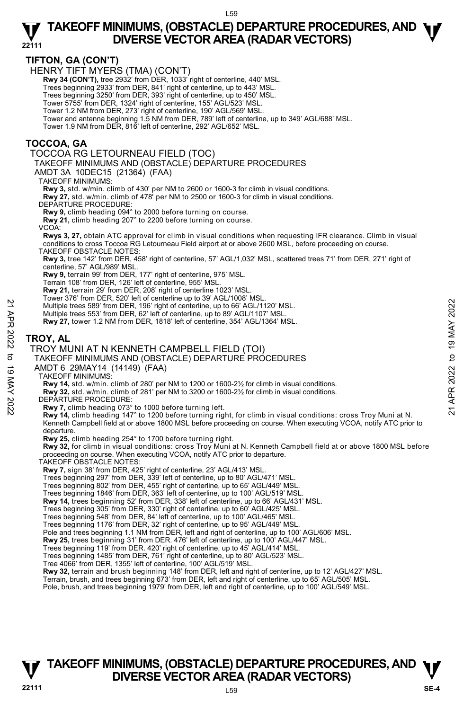### **TIFTON, GA (CON'T)**

HENRY TIFT MYERS (TMA) (CON'T)

 **Rwy 34 (CON'T),** tree 2932' from DER, 1033' right of centerline, 440' MSL.

Trees beginning 2933' from DER, 841' right of centerline, up to 443' MSL.

Trees beginning 3250' from DER, 393' right of centerline, up to 450' MSL.

Tower 5755' from DER, 1324' right of centerline, 155' AGL/523' MSL.

Tower 1.2 NM from DER, 273' right of centerline, 190' AGL/569' MSL.

Tower and antenna beginning 1.5 NM from DER, 789' left of centerline, up to 349' AGL/688' MSL.

Tower 1.9 NM from DER, 816' left of centerline, 292' AGL/652' MSL.

### **TOCCOA, GA**

TOCCOA RG LETOURNEAU FIELD (TOC)

TAKEOFF MINIMUMS AND (OBSTACLE) DEPARTURE PROCEDURES

AMDT 3A 10DEC15 (21364) (FAA)

TAKEOFF MINIMUMS:

**Rwy 3,** std. w/min. climb of 430' per NM to 2600 or 1600-3 for climb in visual conditions. **Rwy 27,** std. w/min. climb of 478' per NM to 2500 or 1600-3 for climb in visual conditions.

DEPARTURE PROCEDURE:

**Rwy 9,** climb heading 094° to 2000 before turning on course.

**Rwy 21,** climb heading 207° to 2200 before turning on course.

VCOA:

**Rwys 3, 27,** obtain ATC approval for climb in visual conditions when requesting IFR clearance. Climb in visual conditions to cross Toccoa RG Letourneau Field airport at or above 2600 MSL, before proceeding on course. TAKEOFF OBSTACLE NOTES:

**Rwy 3,** tree 142' from DER, 458' right of centerline, 57' AGL/1,032' MSL, scattered trees 71' from DER, 271' right of centerline, 57' AGL/989' MSL.

**Rwy 9,** terrain 99' from DER, 177' right of centerline, 975' MSL.

Terrain 108' from DER, 126' left of centerline, 955' MSL.

**Rwy 21,** terrain 29' from DER, 208' right of centerline 1023' MSL.

Tower 376' from DER, 520' left of centerline up to 39' AGL/1008' MSL.

Multiple trees 589' from DER, 196' right of centerline, up to 66' AGL/1120' MSL.

Multiple trees 553' from DER, 62' left of centerline, up to 89' AGL/1107' MSL.

**Rwy 27,** tower 1.2 NM from DER, 1818' left of centerline, 354' AGL/1364' MSL.

### **TROY, AL**

### TROY MUNI AT N KENNETH CAMPBELL FIELD (TOI)

# TAKEOFF MINIMUMS AND (OBSTACLE) DEPARTURE PROCEDURES Multiple trees 589' from DER, 196' right of centerline, up to 86' AGL/1120' MSL.<br>
Multiple trees 589' from DER, 196' right of centerline, up to 89' AGL/1107' MSL.<br>
Multiple trees 589' from DER, 196' right of centerline, u

AMDT 6 29MAY14 (14149) (FAA)

TAKEOFF MINIMUMS:

**Rwy 14,** std. w/min. climb of 280' per NM to 1200 or 1600-2½ for climb in visual conditions.

**Rwy 32,** std. w/min. climb of 281' per NM to 3200 or 1600-2½ for climb in visual conditions.

DEPARTURE PROCEDURE:

**Rwy 7,** climb heading 073° to 1000 before turning left.

**Rwy 14,** climb heading 147° to 1200 before turning right, for climb in visual conditions: cross Troy Muni at N. Kenneth Campbell field at or above 1800 MSL before proceeding on course. When executing VCOA, notify ATC prior to departure.

**Rwy 25,** climb heading 254° to 1700 before turning right.

**Rwy 32,** for climb in visual conditions: cross Troy Muni at N. Kenneth Campbell field at or above 1800 MSL before proceeding on course. When executing VCOA, notify ATC prior to departure. TAKEOFF OBSTACLE NOTES:

**Rwy 7,** sign 38' from DER, 425' right of centerline, 23' AGL/413' MSL.

Trees beginning 297' from DER, 339' left of centerline, up to 80' AGL/471' MSL. Trees beginning 802' from DER, 455' right of centerline, up to 65' AGL/449' MSL.

Trees beginning 1846' from DER, 363' left of centerline, up to 100' AGL/519' MSL.

**Rwy 14,** trees beginning 52' from DER, 338' left of centerline, up to 66' AGL/431' MSL.

Trees beginning 305' from DER, 330' right of centerline, up to 60' AGL/425' MSL. Trees beginning 548' from DER, 84' left of centerline, up to 100' AGL/465' MSL.

Trees beginning 1176' from DER, 32' right of centerline, up to 95' AGL/449' MSL.

Pole and trees beginning 1.1 NM from DER, left and right of centerline, up to 100' AGL/606' MSL.<br>**Rwy 25,** trees beginning 31' from DER. 476' left of centerline, up to 100' AGL/447' MSL.

Trees beginning 119' from DER. 420' right of centerline, up to 45' AGL/414' MSL.

Trees beginning 1485' from DER, 761' right of centerline, up to 80' AGL/523' MSL.

Tree 4066' from DER, 1355' left of centerline, 100' AGL/519' MSL.

**Rwy 32,** terrain and brush beginning 148' from DER, left and right of centerline, up to 12' AGL/427' MSL.

Terrain, brush, and trees beginning 673' from DER, left and right of centerline, up to 65' AGL/505' MSL. Pole, brush, and trees beginning 1979' from DER, left and right of centerline, up to 100' AGL/549' MSL.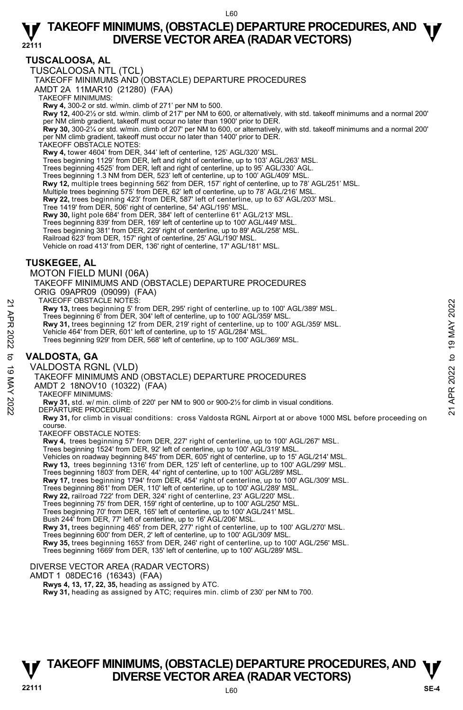### **TUSCALOOSA, AL**

TUSCALOOSA NTL (TCL)

TAKEOFF MINIMUMS AND (OBSTACLE) DEPARTURE PROCEDURES

AMDT 2A 11MAR10 (21280) (FAA)

TAKEOFF MINIMUMS:

**Rwy 4,** 300-2 or std. w/min. climb of 271' per NM to 500. **Rwy 12,** 400-2½ or std. w/min. climb of 217' per NM to 600, or alternatively, with std. takeoff minimums and a normal 200' per NM climb gradient, takeoff must occur no later than 1900' prior to DER.

**Rwy 30,** 300-2¼ or std. w/min. climb of 207' per NM to 600, or alternatively, with std. takeoff minimums and a normal 200' per NM climb gradient, takeoff must occur no later than 1400' prior to DER. TAKEOFF OBSTACLE NOTES:

**Rwy 4,** tower 4604' from DER, 344' left of centerline, 125' AGL/320' MSL.

Trees beginning 1129' from DER, left and right of centerline, up to 103' AGL/263' MSL. Trees beginning 4525' from DER, left and right of centerline, up to 95' AGL/330' AGL.

Trees beginning 1.3 NM from DER, 523' left of centerline, up to 100' AGL/409' MSL.

**Rwy 12,** multiple trees beginning 562' from DER, 157' right of centerline, up to 78' AGL/251' MSL.<br>Multiple trees beginning 575' from DER, 62' left of centerline, up to 78' AGL/216' MSL.

**Rwy 22,** trees beginning 423' from DER, 587' left of centerline, up to 63' AGL/203' MSL.

Tree 1419' from DER, 506' right of centerline, 54' AGL/195' MSL.

**Rwy 30,** light pole 684' from DER, 384' left of centerline 61' AGL/213' MSL.

Trees beginning 839' from DER, 169' left of centerline up to 100' AGL/449' MSL. Trees beginning 381' from DER, 229' right of centerline, up to 89' AGL/258' MSL.

Railroad 623' from DER, 157' right of centerline, 25' AGL/190' MSL. Vehicle on road 413' from DER, 136' right of centerline, 17' AGL/181' MSL.

### **TUSKEGEE, AL**

MOTON FIELD MUNI (06A)

TAKEOFF MINIMUMS AND (OBSTACLE) DEPARTURE PROCEDURES ORIG 09APR09 (09099) (FAA)

TAKEOFF OBSTACLE NOTES:

**Rwy 13,** trees beginning 5' from DER, 295' right of centerline, up to 100' AGL/389' MSL.

Trees beginning 6' from DER, 304' left of centerline, up to 100' AGL/359' MSL.<br>**Rwy 31,** trees beginning 12' from DER, 219' right of centerline, up to 100' AGL/359' MSL.

Vehicle 464' from DER, 601' left of centerline, up to 15' AGL/284' MSL.

Trees beginning 929' from DER, 568' left of centerline, up to 100' AGL/369' MSL.

### **VALDOSTA, GA**

VALDOSTA RGNL (VLD)

TAKEOFF MINIMUMS AND (OBSTACLE) DEPARTURE PROCEDURES

AMDT 2 18NOV10 (10322) (FAA)

TAKEOFF MINIMUMS:

**Rwy 31,** std. w/ min. climb of 220' per NM to 900 or 900-2½ for climb in visual conditions. DEPARTURE PROCEDURE: 21 ARCOFF OBSTACLE NOTES. 295' right of centerline, up to 100' AGL/389' MSL.<br>
22 Trees beginning 6' from DER, 304' left of centerline, up to 100' AGL/359' MSL.<br>
22 Trees beginning 122 from DER, 2019 right of centerline, u

**Rwy 31,** for climb in visual conditions: cross Valdosta RGNL Airport at or above 1000 MSL before proceeding on course.

TAKEOFF OBSTACLE NOTES:

**Rwy 4,** trees beginning 57' from DER, 227' right of centerline, up to 100' AGL/267' MSL. Trees beginning 1524' from DER, 92' left of centerline, up to 100' AGL/319' MSL. Vehicles on roadway beginning 845' from DER, 605' right of centerline, up to 15' AGL/214' MSL. **Rwy 13,** trees beginning 1316' from DER, 125' left of centerline, up to 100' AGL/299' MSL. Trees beginning 1803' from DER, 44' right of centerline, up to 100' AGL/289' MSL. **Rwy 17,** trees beginning 1794' from DER, 454' right of centerline, up to 100' AGL/309' MSL. Trees beginning 861' from DER, 110' left of centerline, up to 100' AGL/289' MSL. **Rwy 22,** railroad 722' from DER, 324' right of centerline, 23' AGL/220' MSL. Trees beginning 75' from DER, 159' right of centerline, up to 100' AGL/250' MSL. Trees beginning 70' from DER, 165' left of centerline, up to 100' AGL/241' MSL. Bush 244' from DER, 77' left of centerline, up to 16' AGL/206' MSL. **Rwy 31,** trees beginning 465' from DER, 277' right of centerline, up to 100' AGL/270' MSL. Trees beginning 600' from DER, 2' left of centerline, up to 100' AGL/309' MSL. **Rwy 35,** trees beginning 1653' from DER, 246' right of centerline, up to 100' AGL/256' MSL. Trees beginning 1669' from DER, 135' left of centerline, up to 100' AGL/289' MSL. DIVERSE VECTOR AREA (RADAR VECTORS)

AMDT 1 08DEC16 (16343) (FAA)

 **Rwys 4, 13, 17, 22, 35,** heading as assigned by ATC.  **Rwy 31,** heading as assigned by ATC; requires min. climb of 230' per NM to 700.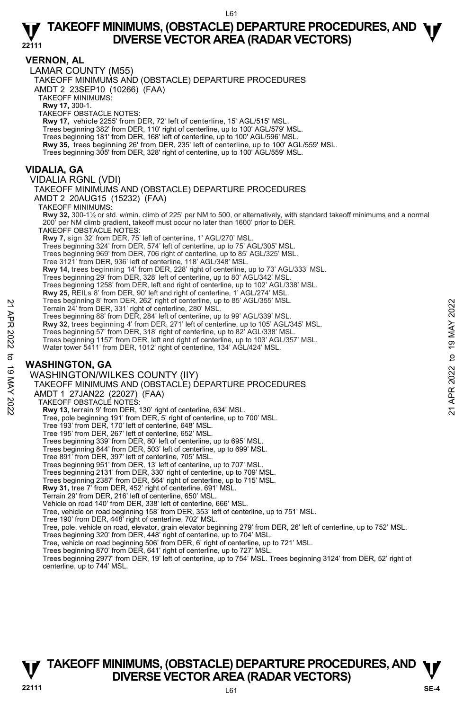### **VERNON, AL**

**22111**  LAMAR COUNTY (M55) TAKEOFF MINIMUMS AND (OBSTACLE) DEPARTURE PROCEDURES AMDT 2 23SEP10 (10266) (FAA) TAKEOFF MINIMUMS: **Rwy 17,** 300-1. TAKEOFF OBSTACLE NOTES: **Rwy 17,** vehicle 2255' from DER, 72' left of centerline, 15' AGL/515' MSL. Trees beginning 382' from DER, 110' right of centerline, up to 100' AGL/579' MSL. Trees beginning 181' from DER, 168' left of centerline, up to 100' AGL/596' MSL. **Rwy 35,** trees beginning 26' from DER, 235' left of centerline, up to 100' AGL/559' MSL. Trees beginning 305' from DER, 328' right of centerline, up to 100' AGL/559' MSL. **VIDALIA, GA**  VIDALIA RGNL (VDI) TAKEOFF MINIMUMS AND (OBSTACLE) DEPARTURE PROCEDURES AMDT 2 20AUG15 (15232) (FAA) TAKEOFF MINIMUMS: **Rwy 32,** 300-1½ or std. w/min. climb of 225' per NM to 500, or alternatively, with standard takeoff minimums and a normal per NM climb gradient, takeoff must occur no later than 1600' prior to DER. TAKEOFF OBSTACLE NOTES: **Rwy 7,** sign 32' from DER, 75' left of centerline, 1' AGL/270' MSL. Trees beginning 324' from DER, 574' left of centerline, up to 75' AGL/305' MSL. Trees beginning 969' from DER, 706 right of centerline, up to 85' AGL/325' MSL. Tree 3121' from DER, 936' left of centerline, 118' AGL/348' MSL. **Rwy 14,** trees beginning 14' from DER, 228' right of centerline, up to 73' AGL/333' MSL.<br>Trees beginning 29' from DER, 328' left of centerline, up to 80' AGL/342' MSL. Trees beginning 1258' from DER, left and right of centerline, up to 102' AGL/338' MSL. **Rwy 25,** REILs 8' from DER, 90' left and right of centerline, 1' AGL/274' MSL. Trees beginning 8' from DER, 262' right of centerline, up to 85' AGL/355' MSL. Terrain 24' from DER, 331' right of centerline, 280' MSL. Trees beginning 88' from DER, 284' left of centerline, up to 99' AGL/339' MSL. **Rwy 32**, trees beginning 4' from DER, 271' left of centerline, up to 105' AGL/345' MSL. Trees beginning 57' from DER, 318' right of centerline, up to 82' AGL/338' MSL. Trees beginning 1157' from DER, left and right of centerline, up to 103' AGL/357' MSL. Water tower 5411' from DER, 1012' right of centerline, 134' AGL/424' MSL. **WASHINGTON, GA**  WASHINGTON/WILKES COUNTY (IIY) TAKEOFF MINIMUMS AND (OBSTACLE) DEPARTURE PROCEDURES AMDT 1 27JAN22 (22027) (FAA) TAKEOFF OBSTACLE NOTES: **Rwy 13,** terrain 9' from DER, 130' right of centerline, 634' MSL. Tree, pole beginning 191' from DER, 5' right of centerline, up to 700' MSL. Tree 193' from DER, 170' left of centerline, 648' MSL. Tree 195' from DER, 267' left of centerline, 652' MSL. Trees beginning 339' from DER, 80' left of centerline, up to 695' MSL. Trees beginning 844' from DER, 503' left of centerline, up to 699' MSL. Tree 891' from DER, 397' left of centerline, 705' MSL. Trees beginning 951' from DER, 13' left of centerline, up to 707' MSL. Trees beginning 2131' from DER, 330' right of centerline, up to 709' MSL. Trees beginning 2387' from DER, 564' right of centerline, up to 715' MSL.<br>**Rwy 31,** tree 7' from DER, 452' right of centerline, 691' MSL. Terrain 29' from DER, 216' left of centerline, 650' MSL. Vehicle on road 140' from DER, 338' left of centerline, 666' MSL. Tree, vehicle on road beginning 158' from DER, 353' left of centerline, up to 751' MSL. Tree 190' from DER, 448' right of centerline, 702' MSL. Tree, pole, vehicle on road, elevator, grain elevator beginning 279' from DER, 26' left of centerline, up to 752' MSL. Trees beginning 320' from DER, 448' right of centerline, up to 704' MSL. Terms beginning 8' from DER, 38' right of centerline, ap to 85' AGL/355' MSL.<br>
Terms 24' from DER, 331' right of centerline, up to 99' AGL/339' MSL.<br>
Trees beginning 88' from DER, 284' left of centerline, up to 195' AGL/33

Tree, vehicle on road beginning 506' from DER, 6' right of centerline, up to 721' MSL.

Trees beginning 870' from DER, 641' right of centerline, up to 727' MSL.

Trees beginning 2977' from DER, 19' left of centerline, up to 754' MSL. Trees beginning 3124' from DER, 52' right of centerline, up to 744' MSL.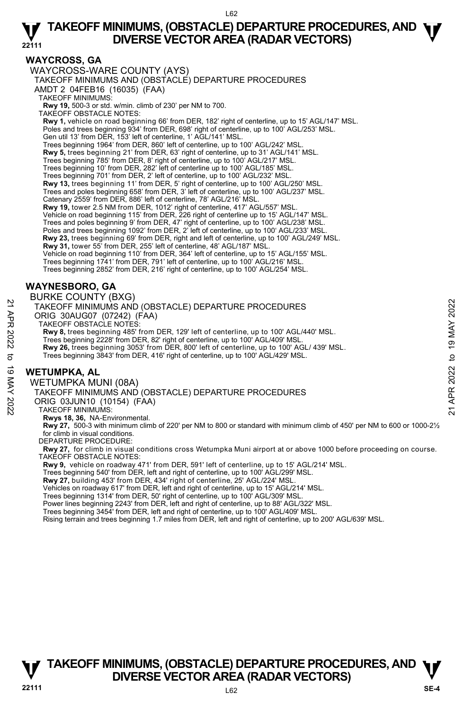### **WAYCROSS, GA**

WAYCROSS-WARE COUNTY (AYS) TAKEOFF MINIMUMS AND (OBSTACLE) DEPARTURE PROCEDURES AMDT 2 04FEB16 (16035) (FAA) TAKEOFF MINIMUMS: **Rwy 19,** 500-3 or std. w/min. climb of 230' per NM to 700. TAKEOFF OBSTACLE NOTES: **Rwy 1,** vehicle on road beginning 66' from DER, 182' right of centerline, up to 15' AGL/147' MSL. Poles and trees beginning 934' from DER, 698' right of centerline, up to 100' AGL/253' MSL. Gen util 13' from DER, 153' left of centerline, 1' AGL/141' MSL. Trees beginning 1964' from DER, 860' left of centerline, up to 100' AGL/242' MSL. **Rwy 5,** trees beginning 21' from DER, 63' right of centerline, up to 31' AGL/141' MSL. Trees beginning 785' from DER, 8' right of centerline, up to 100' AGL/217' MSL. Trees beginning 10' from DER, 282' left of centerline up to 100' AGL/185' MSL. Trees beginning 701' from DER, 2' left of centerline, up to 100' AGL/232' MSL. **Rwy 13,** trees beginning 11' from DER, 5' right of centerline, up to 100' AGL/250' MSL.<br>Trees and poles beginning 658' from DER, 3' left of centerline, up to 100' AGL/237' MSL. Catenary 2559' from DER, 886' left of centerline, 78' AGL/216' MSL. **Rwy 19,** tower 2.5 NM from DER, 1012' right of centerline, 417' AGL/557' MSL. Vehicle on road beginning 115' from DER, 226 right of centerline up to 15' AGL/147' MSL. Trees and poles beginning 9' from DER, 47' right of centerline, up to 100' AGL/238' MSL. Poles and trees beginning 1092' from DER, 2' left of centerline, up to 100' AGL/233' MSL. **Rwy 23,** trees beginning 69' from DER, right and left of centerline, up to 100' AGL/249' MSL. **Rwy 31,** tower 55' from DER, 255' left of centerline, 48' AGL/187' MSL. Vehicle on road beginning 110' from DER, 364' left of centerline, up to 15' AGL/155' MSL. Trees beginning 1741' from DER, 791' left of centerline, up to 100' AGL/216' MSL. Trees beginning 2852' from DER, 216' right of centerline, up to 100' AGL/254' MSL.

### **WAYNESBORO, GA**

BURKE COUNTY (BXG)

TAKEOFF MINIMUMS AND (OBSTACLE) DEPARTURE PROCEDURES ORIG 30AUG07 (07242) (FAA) 21 TAKEOFF MINIMUMS AND (OBSTACLE) DEPARTURE PROCEDURES<br>
22 TAKEOFF MINIMUMS AND (OBSTACLE) DEPARTURE PROCEDURES<br>
22 TAKEOFF MINIMUMS AND (OBSTACLE) DEPARTURE PROCEDURES<br>
22 TAKEOFF MINIMUMS AND (OBSTACLE) eft of centerli

TAKEOFF OBSTACLE NOTES:

**Rwy 8,** trees beginning 485' from DER, 129' left of centerline, up to 100' AGL/440' MSL.

Trees beginning 2228' from DER, 82' right of centerline, up to 100' AGL/409' MSL.

**Rwy 26,** trees beginning 3053' from DER, 800' left of centerline, up to 100' AGL/ 439' MSL.

Trees beginning 3843' from DER, 416' right of centerline, up to 100' AGL/429' MSL.

### **WETUMPKA, AL**

WETUMPKA MUNI (08A)

TAKEOFF MINIMUMS AND (OBSTACLE) DEPARTURE PROCEDURES

ORIG 03JUN10 (10154) (FAA)

TAKEOFF MINIMUMS: **Rwys 18, 36,** NA-Environmental.

**Rwy 27,** 500-3 with minimum climb of 220' per NM to 800 or standard with minimum climb of 450' per NM to 600 or 1000-2½ for climb in visual conditions.

DEPARTURE PROCEDURE:

**Rwy 27,** for climb in visual conditions cross Wetumpka Muni airport at or above 1000 before proceeding on course. TAKEOFF OBSTACLE NOTES:

**Rwy 9,** vehicle on roadway 471' from DER, 591' left of centerline, up to 15' AGL/214' MSL.

Trees beginning 540' from DER, left and right of centerline, up to 100' AGL/299' MSL.

**Rwy 27,** building 453' from DER, 434' right of centerline, 25' AGL/224' MSL.

Vehicles on roadway 617' from DER, left and right of centerline, up to 15' AGL/214' MSL.

Trees beginning 1314' from DER, 50' right of centerline, up to 100' AGL/309' MSL.

Power lines beginning 2243' from DER, left and right of centerline, up to 88' AGL/322' MSL. Trees beginning 3454' from DER, left and right of centerline, up to 100' AGL/409' MSL.

Rising terrain and trees beginning 1.7 miles from DER, left and right of centerline, up to 200' AGL/639' MSL.